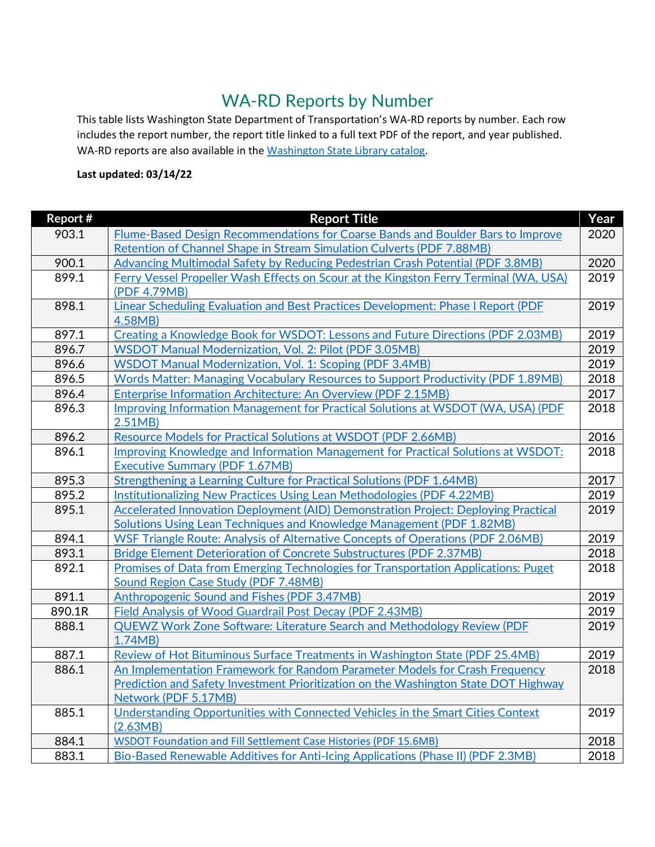## WA-RD Reports by Number

This table lists Washington State Department of Transportation's WA-RD reports by number. Each row includes the report number, the report title linked to a full text PDF of the report, and year published. WA-RD reports are also available in th[e Washington State Library catalog.](https://stlow.iii.com/)

## **Last updated: 03/14/22**

| Report # | <b>Report Title</b>                                                                                                        | Year         |
|----------|----------------------------------------------------------------------------------------------------------------------------|--------------|
| 903.1    | Flume-Based Design Recommendations for Coarse Bands and Boulder Bars to Improve                                            | 2020         |
|          | Retention of Channel Shape in Stream Simulation Culverts (PDF 7.88MB)                                                      |              |
| 900.1    | Advancing Multimodal Safety by Reducing Pedestrian Crash Potential (PDF 3.8MB)                                             | 2020         |
| 899.1    | Ferry Vessel Propeller Wash Effects on Scour at the Kingston Ferry Terminal (WA, USA)                                      | 2019         |
|          | (PDF 4.79MB)                                                                                                               |              |
| 898.1    | Linear Scheduling Evaluation and Best Practices Development: Phase I Report (PDF                                           | 2019         |
|          | 4.58MB)                                                                                                                    |              |
| 897.1    | Creating a Knowledge Book for WSDOT: Lessons and Future Directions (PDF 2.03MB)                                            | 2019         |
| 896.7    | <b>WSDOT Manual Modernization, Vol. 2: Pilot (PDF 3.05MB)</b>                                                              | 2019         |
| 896.6    | <b>WSDOT Manual Modernization, Vol. 1: Scoping (PDF 3.4MB)</b>                                                             | 2019         |
| 896.5    | <b>Words Matter: Managing Vocabulary Resources to Support Productivity (PDF 1.89MB)</b>                                    | 2018         |
| 896.4    | <b>Enterprise Information Architecture: An Overview (PDF 2.15MB)</b>                                                       | 2017         |
| 896.3    | Improving Information Management for Practical Solutions at WSDOT (WA, USA) (PDF                                           | 2018         |
|          | 2.51MB)                                                                                                                    |              |
| 896.2    | Resource Models for Practical Solutions at WSDOT (PDF 2.66MB)                                                              | 2016         |
| 896.1    | Improving Knowledge and Information Management for Practical Solutions at WSDOT:                                           | 2018         |
|          | <b>Executive Summary (PDF 1.67MB)</b>                                                                                      |              |
| 895.3    | Strengthening a Learning Culture for Practical Solutions (PDF 1.64MB)                                                      | 2017         |
| 895.2    | Institutionalizing New Practices Using Lean Methodologies (PDF 4.22MB)                                                     | 2019         |
| 895.1    | Accelerated Innovation Deployment (AID) Demonstration Project: Deploying Practical                                         | 2019         |
|          | Solutions Using Lean Techniques and Knowledge Management (PDF 1.82MB)                                                      |              |
| 894.1    | <b>WSF Triangle Route: Analysis of Alternative Concepts of Operations (PDF 2.06MB)</b>                                     | 2019<br>2018 |
| 893.1    | Bridge Element Deterioration of Concrete Substructures (PDF 2.37MB)                                                        |              |
| 892.1    | Promises of Data from Emerging Technologies for Transportation Applications: Puget<br>Sound Region Case Study (PDF 7.48MB) | 2018         |
| 891.1    | Anthropogenic Sound and Fishes (PDF 3.47MB)                                                                                | 2019         |
| 890.1R   | Field Analysis of Wood Guardrail Post Decay (PDF 2.43MB)                                                                   | 2019         |
| 888.1    | <b>QUEWZ Work Zone Software: Literature Search and Methodology Review (PDF</b>                                             | 2019         |
|          | 1.74MB)                                                                                                                    |              |
| 887.1    | Review of Hot Bituminous Surface Treatments in Washington State (PDF 25.4MB)                                               | 2019         |
| 886.1    | An Implementation Framework for Random Parameter Models for Crash Frequency                                                | 2018         |
|          | Prediction and Safety Investment Prioritization on the Washington State DOT Highway                                        |              |
|          | Network (PDF 5.17MB)                                                                                                       |              |
| 885.1    | Understanding Opportunities with Connected Vehicles in the Smart Cities Context                                            | 2019         |
|          | (2.63MB)                                                                                                                   |              |
| 884.1    | <b>WSDOT Foundation and Fill Settlement Case Histories (PDF 15.6MB)</b>                                                    | 2018         |
| 883.1    | Bio-Based Renewable Additives for Anti-Icing Applications (Phase II) (PDF 2.3MB)                                           | 2018         |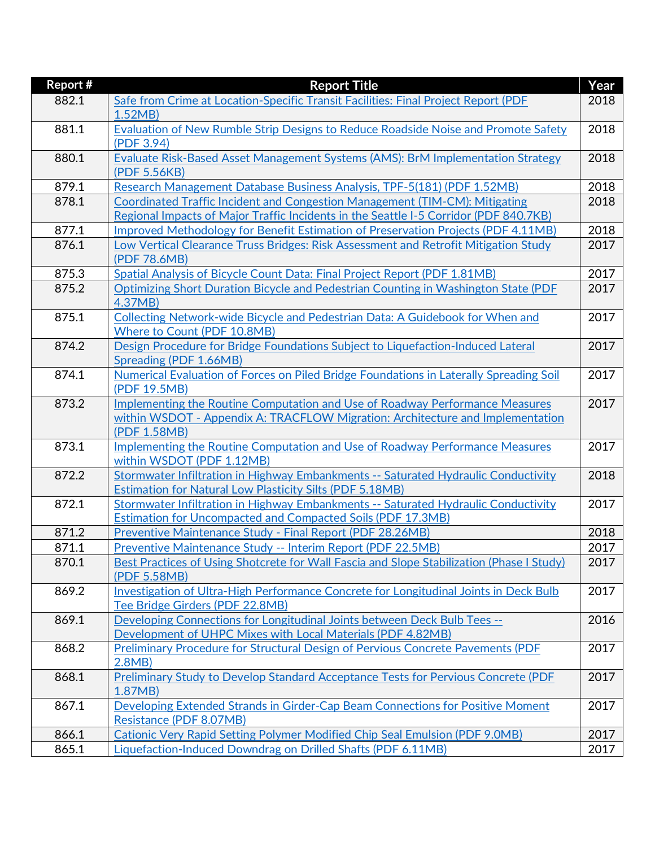| <b>Report #</b> | <b>Report Title</b>                                                                       | Year |
|-----------------|-------------------------------------------------------------------------------------------|------|
| 882.1           | Safe from Crime at Location-Specific Transit Facilities: Final Project Report (PDF        | 2018 |
|                 | 1.52MB                                                                                    |      |
| 881.1           | Evaluation of New Rumble Strip Designs to Reduce Roadside Noise and Promote Safety        | 2018 |
|                 | (PDF 3.94)                                                                                |      |
| 880.1           | Evaluate Risk-Based Asset Management Systems (AMS): BrM Implementation Strategy           | 2018 |
|                 | (PDF 5.56KB)                                                                              |      |
| 879.1           | Research Management Database Business Analysis, TPF-5(181) (PDF 1.52MB)                   | 2018 |
| 878.1           | Coordinated Traffic Incident and Congestion Management (TIM-CM): Mitigating               | 2018 |
|                 | Regional Impacts of Major Traffic Incidents in the Seattle I-5 Corridor (PDF 840.7KB)     |      |
| 877.1           | Improved Methodology for Benefit Estimation of Preservation Projects (PDF 4.11MB)         | 2018 |
| 876.1           | Low Vertical Clearance Truss Bridges: Risk Assessment and Retrofit Mitigation Study       | 2017 |
|                 | (PDF 78.6MB)                                                                              |      |
| 875.3           | Spatial Analysis of Bicycle Count Data: Final Project Report (PDF 1.81MB)                 | 2017 |
| 875.2           | Optimizing Short Duration Bicycle and Pedestrian Counting in Washington State (PDF        | 2017 |
|                 | 4.37MB)                                                                                   |      |
| 875.1           | Collecting Network-wide Bicycle and Pedestrian Data: A Guidebook for When and             | 2017 |
|                 | Where to Count (PDF 10.8MB)                                                               |      |
| 874.2           | Design Procedure for Bridge Foundations Subject to Liquefaction-Induced Lateral           | 2017 |
|                 | Spreading (PDF 1.66MB)                                                                    |      |
| 874.1           | Numerical Evaluation of Forces on Piled Bridge Foundations in Laterally Spreading Soil    | 2017 |
|                 | (PDF 19.5MB)                                                                              |      |
| 873.2           | Implementing the Routine Computation and Use of Roadway Performance Measures              | 2017 |
|                 | within WSDOT - Appendix A: TRACFLOW Migration: Architecture and Implementation            |      |
|                 | (PDF 1.58MB)                                                                              |      |
| 873.1           | Implementing the Routine Computation and Use of Roadway Performance Measures              | 2017 |
|                 | within WSDOT (PDF 1.12MB)                                                                 |      |
| 872.2           | Stormwater Infiltration in Highway Embankments -- Saturated Hydraulic Conductivity        | 2018 |
|                 | <b>Estimation for Natural Low Plasticity Silts (PDF 5.18MB)</b>                           |      |
| 872.1           | Stormwater Infiltration in Highway Embankments -- Saturated Hydraulic Conductivity        | 2017 |
|                 | <b>Estimation for Uncompacted and Compacted Soils (PDF 17.3MB)</b>                        |      |
| 871.2           | Preventive Maintenance Study - Final Report (PDF 28.26MB)                                 | 2018 |
| 871.1           | Preventive Maintenance Study -- Interim Report (PDF 22.5MB)                               | 2017 |
| 870.1           | Best Practices of Using Shotcrete for Wall Fascia and Slope Stabilization (Phase I Study) | 2017 |
|                 | (PDF 5.58MB)                                                                              |      |
| 869.2           | Investigation of Ultra-High Performance Concrete for Longitudinal Joints in Deck Bulb     | 2017 |
|                 | Tee Bridge Girders (PDF 22.8MB)                                                           |      |
| 869.1           | Developing Connections for Longitudinal Joints between Deck Bulb Tees --                  | 2016 |
|                 | Development of UHPC Mixes with Local Materials (PDF 4.82MB)                               |      |
| 868.2           | <b>Preliminary Procedure for Structural Design of Pervious Concrete Pavements (PDF</b>    | 2017 |
|                 | 2.8MB                                                                                     |      |
| 868.1           | Preliminary Study to Develop Standard Acceptance Tests for Pervious Concrete (PDF         | 2017 |
|                 | 1.87MB                                                                                    |      |
| 867.1           | Developing Extended Strands in Girder-Cap Beam Connections for Positive Moment            | 2017 |
|                 | Resistance (PDF 8.07MB)                                                                   |      |
| 866.1           | <b>Cationic Very Rapid Setting Polymer Modified Chip Seal Emulsion (PDF 9.0MB)</b>        | 2017 |
| 865.1           | Liquefaction-Induced Downdrag on Drilled Shafts (PDF 6.11MB)                              | 2017 |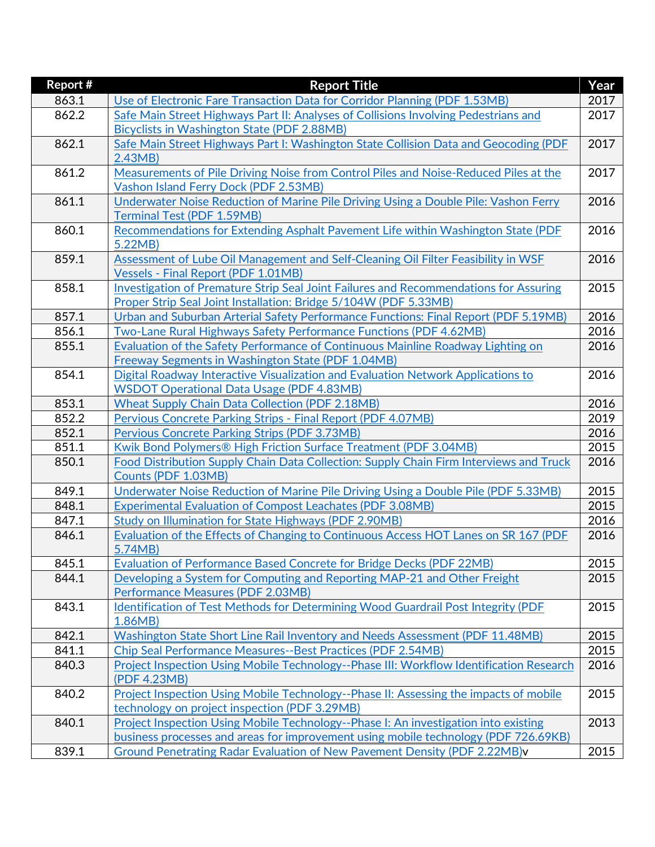| <b>Report #</b> | <b>Report Title</b>                                                                                           | Year |
|-----------------|---------------------------------------------------------------------------------------------------------------|------|
| 863.1           | Use of Electronic Fare Transaction Data for Corridor Planning (PDF 1.53MB)                                    | 2017 |
| 862.2           | Safe Main Street Highways Part II: Analyses of Collisions Involving Pedestrians and                           | 2017 |
|                 | Bicyclists in Washington State (PDF 2.88MB)                                                                   |      |
| 862.1           | Safe Main Street Highways Part I: Washington State Collision Data and Geocoding (PDF                          | 2017 |
|                 | 2.43MB                                                                                                        |      |
| 861.2           | Measurements of Pile Driving Noise from Control Piles and Noise-Reduced Piles at the                          | 2017 |
|                 | Vashon Island Ferry Dock (PDF 2.53MB)                                                                         |      |
| 861.1           | Underwater Noise Reduction of Marine Pile Driving Using a Double Pile: Vashon Ferry                           | 2016 |
|                 | <b>Terminal Test (PDF 1.59MB)</b>                                                                             |      |
| 860.1           | Recommendations for Extending Asphalt Pavement Life within Washington State (PDF                              | 2016 |
|                 | 5.22MB)                                                                                                       |      |
| 859.1           | Assessment of Lube Oil Management and Self-Cleaning Oil Filter Feasibility in WSF                             | 2016 |
|                 | <b>Vessels - Final Report (PDF 1.01MB)</b>                                                                    |      |
| 858.1           | Investigation of Premature Strip Seal Joint Failures and Recommendations for Assuring                         | 2015 |
|                 | Proper Strip Seal Joint Installation: Bridge 5/104W (PDF 5.33MB)                                              |      |
| 857.1           | Urban and Suburban Arterial Safety Performance Functions: Final Report (PDF 5.19MB)                           | 2016 |
| 856.1           | Two-Lane Rural Highways Safety Performance Functions (PDF 4.62MB)                                             | 2016 |
| 855.1           | <b>Evaluation of the Safety Performance of Continuous Mainline Roadway Lighting on</b>                        | 2016 |
|                 | Freeway Segments in Washington State (PDF 1.04MB)                                                             |      |
| 854.1           | Digital Roadway Interactive Visualization and Evaluation Network Applications to                              | 2016 |
|                 | <b>WSDOT Operational Data Usage (PDF 4.83MB)</b>                                                              |      |
| 853.1           | <b>Wheat Supply Chain Data Collection (PDF 2.18MB)</b>                                                        | 2016 |
| 852.2           | Pervious Concrete Parking Strips - Final Report (PDF 4.07MB)                                                  | 2019 |
| 852.1           | Pervious Concrete Parking Strips (PDF 3.73MB)                                                                 | 2016 |
| 851.1           | Kwik Bond Polymers® High Friction Surface Treatment (PDF 3.04MB)                                              | 2015 |
| 850.1           | Food Distribution Supply Chain Data Collection: Supply Chain Firm Interviews and Truck<br>Counts (PDF 1.03MB) | 2016 |
| 849.1           | Underwater Noise Reduction of Marine Pile Driving Using a Double Pile (PDF 5.33MB)                            | 2015 |
| 848.1           | <b>Experimental Evaluation of Compost Leachates (PDF 3.08MB)</b>                                              | 2015 |
| 847.1           | Study on Illumination for State Highways (PDF 2.90MB)                                                         | 2016 |
| 846.1           | Evaluation of the Effects of Changing to Continuous Access HOT Lanes on SR 167 (PDF                           | 2016 |
|                 | 5.74MB)                                                                                                       |      |
| 845.1           | Evaluation of Performance Based Concrete for Bridge Decks (PDF 22MB)                                          | 2015 |
| 844.1           | Developing a System for Computing and Reporting MAP-21 and Other Freight                                      | 2015 |
|                 | Performance Measures (PDF 2.03MB)                                                                             |      |
| 843.1           | Identification of Test Methods for Determining Wood Guardrail Post Integrity (PDF                             | 2015 |
|                 | 1.86MB)                                                                                                       |      |
| 842.1           | Washington State Short Line Rail Inventory and Needs Assessment (PDF 11.48MB)                                 | 2015 |
| 841.1           | <b>Chip Seal Performance Measures--Best Practices (PDF 2.54MB)</b>                                            | 2015 |
| 840.3           | Project Inspection Using Mobile Technology--Phase III: Workflow Identification Research                       | 2016 |
|                 | (PDF 4.23MB)                                                                                                  |      |
| 840.2           | Project Inspection Using Mobile Technology--Phase II: Assessing the impacts of mobile                         | 2015 |
|                 | technology on project inspection (PDF 3.29MB)                                                                 |      |
| 840.1           | Project Inspection Using Mobile Technology--Phase I: An investigation into existing                           | 2013 |
|                 | business processes and areas for improvement using mobile technology (PDF 726.69KB)                           |      |
| 839.1           | <b>Ground Penetrating Radar Evaluation of New Pavement Density (PDF 2.22MB)v</b>                              | 2015 |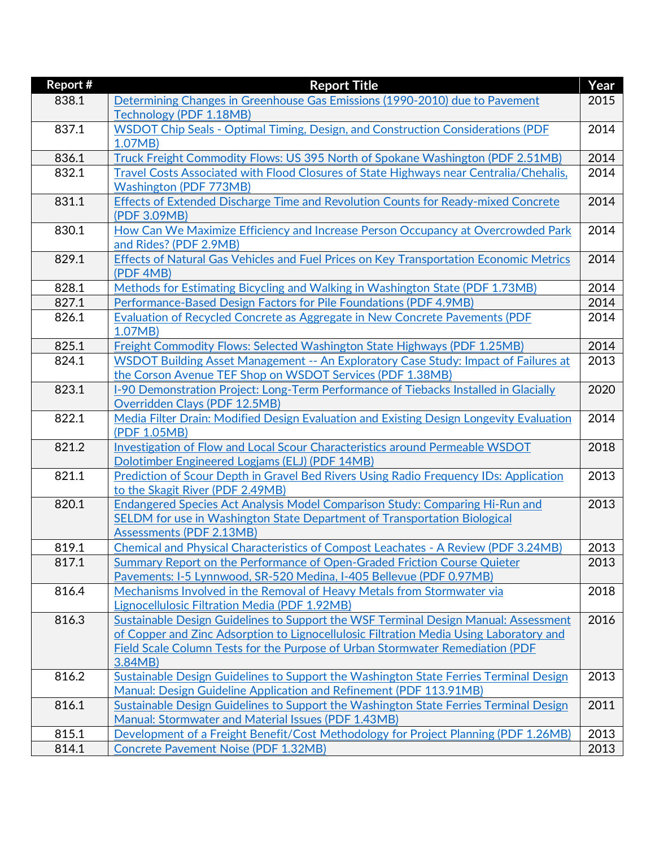| Report # | <b>Report Title</b>                                                                                          | Year |
|----------|--------------------------------------------------------------------------------------------------------------|------|
| 838.1    | Determining Changes in Greenhouse Gas Emissions (1990-2010) due to Pavement                                  | 2015 |
|          | Technology (PDF 1.18MB)                                                                                      |      |
| 837.1    | WSDOT Chip Seals - Optimal Timing, Design, and Construction Considerations (PDF                              | 2014 |
|          | 1.07MB)                                                                                                      |      |
| 836.1    | Truck Freight Commodity Flows: US 395 North of Spokane Washington (PDF 2.51MB)                               | 2014 |
| 832.1    | <b>Travel Costs Associated with Flood Closures of State Highways near Centralia/Chehalis,</b>                | 2014 |
|          | <b>Washington (PDF 773MB)</b>                                                                                |      |
| 831.1    | <b>Effects of Extended Discharge Time and Revolution Counts for Ready-mixed Concrete</b>                     | 2014 |
|          | (PDF 3.09MB)                                                                                                 |      |
| 830.1    | How Can We Maximize Efficiency and Increase Person Occupancy at Overcrowded Park                             | 2014 |
|          | and Rides? (PDF 2.9MB)                                                                                       |      |
| 829.1    | <b>Effects of Natural Gas Vehicles and Fuel Prices on Key Transportation Economic Metrics</b>                | 2014 |
|          | (PDF 4MB)                                                                                                    |      |
| 828.1    | Methods for Estimating Bicycling and Walking in Washington State (PDF 1.73MB)                                | 2014 |
| 827.1    | Performance-Based Design Factors for Pile Foundations (PDF 4.9MB)                                            | 2014 |
| 826.1    | Evaluation of Recycled Concrete as Aggregate in New Concrete Pavements (PDF                                  | 2014 |
|          | 1.07MB)                                                                                                      |      |
| 825.1    | Freight Commodity Flows: Selected Washington State Highways (PDF 1.25MB)                                     | 2014 |
| 824.1    | WSDOT Building Asset Management -- An Exploratory Case Study: Impact of Failures at                          | 2013 |
|          | the Corson Avenue TEF Shop on WSDOT Services (PDF 1.38MB)                                                    |      |
| 823.1    | 1-90 Demonstration Project: Long-Term Performance of Tiebacks Installed in Glacially                         | 2020 |
|          | Overridden Clays (PDF 12.5MB)                                                                                |      |
| 822.1    | Media Filter Drain: Modified Design Evaluation and Existing Design Longevity Evaluation                      | 2014 |
|          | (PDF 1.05MB)                                                                                                 |      |
| 821.2    | Investigation of Flow and Local Scour Characteristics around Permeable WSDOT                                 | 2018 |
|          | Dolotimber Engineered Logjams (ELJ) (PDF 14MB)                                                               |      |
| 821.1    | Prediction of Scour Depth in Gravel Bed Rivers Using Radio Frequency IDs: Application                        | 2013 |
|          | to the Skagit River (PDF 2.49MB)                                                                             |      |
| 820.1    | Endangered Species Act Analysis Model Comparison Study: Comparing Hi-Run and                                 | 2013 |
|          | SELDM for use in Washington State Department of Transportation Biological<br><b>Assessments (PDF 2.13MB)</b> |      |
| 819.1    | Chemical and Physical Characteristics of Compost Leachates - A Review (PDF 3.24MB)                           | 2013 |
| 817.1    | Summary Report on the Performance of Open-Graded Friction Course Quieter                                     | 2013 |
|          | Pavements: I-5 Lynnwood, SR-520 Medina, I-405 Bellevue (PDF 0.97MB)                                          |      |
| 816.4    | Mechanisms Involved in the Removal of Heavy Metals from Stormwater via                                       | 2018 |
|          | Lignocellulosic Filtration Media (PDF 1.92MB)                                                                |      |
| 816.3    | Sustainable Design Guidelines to Support the WSF Terminal Design Manual: Assessment                          | 2016 |
|          | of Copper and Zinc Adsorption to Lignocellulosic Filtration Media Using Laboratory and                       |      |
|          | Field Scale Column Tests for the Purpose of Urban Stormwater Remediation (PDF                                |      |
|          | 3.84MB                                                                                                       |      |
| 816.2    | Sustainable Design Guidelines to Support the Washington State Ferries Terminal Design                        | 2013 |
|          | Manual: Design Guideline Application and Refinement (PDF 113.91MB)                                           |      |
| 816.1    | Sustainable Design Guidelines to Support the Washington State Ferries Terminal Design                        | 2011 |
|          | Manual: Stormwater and Material Issues (PDF 1.43MB)                                                          |      |
| 815.1    | Development of a Freight Benefit/Cost Methodology for Project Planning (PDF 1.26MB)                          | 2013 |
| 814.1    | <b>Concrete Pavement Noise (PDF 1.32MB)</b>                                                                  | 2013 |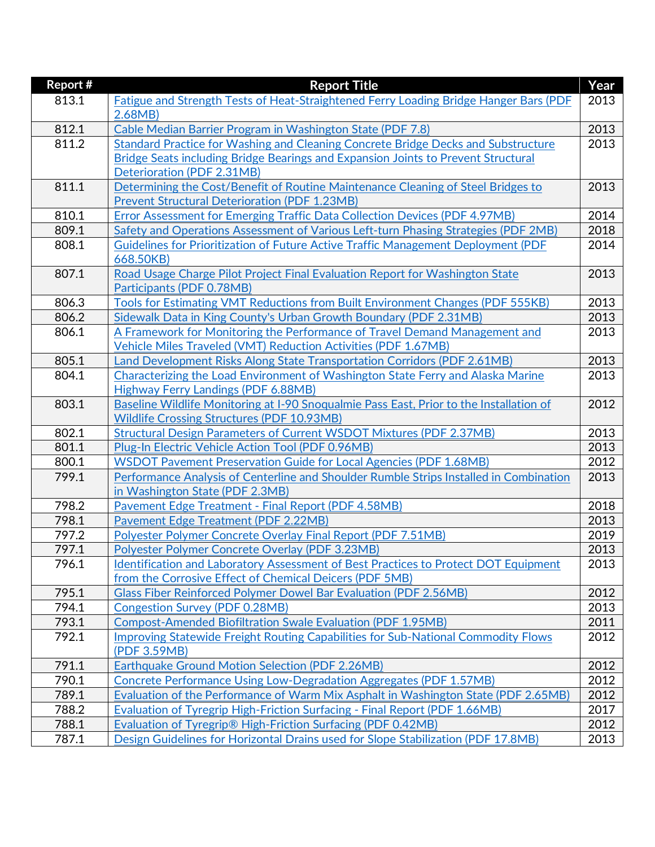| Report# | <b>Report Title</b>                                                                        | Year |
|---------|--------------------------------------------------------------------------------------------|------|
| 813.1   | Fatigue and Strength Tests of Heat-Straightened Ferry Loading Bridge Hanger Bars (PDF      | 2013 |
|         | 2.68MB                                                                                     |      |
| 812.1   | Cable Median Barrier Program in Washington State (PDF 7.8)                                 | 2013 |
| 811.2   | Standard Practice for Washing and Cleaning Concrete Bridge Decks and Substructure          | 2013 |
|         | Bridge Seats including Bridge Bearings and Expansion Joints to Prevent Structural          |      |
|         | Deterioration (PDF 2.31MB)                                                                 |      |
| 811.1   | Determining the Cost/Benefit of Routine Maintenance Cleaning of Steel Bridges to           | 2013 |
|         | <b>Prevent Structural Deterioration (PDF 1.23MB)</b>                                       |      |
| 810.1   | <b>Error Assessment for Emerging Traffic Data Collection Devices (PDF 4.97MB)</b>          | 2014 |
| 809.1   | Safety and Operations Assessment of Various Left-turn Phasing Strategies (PDF 2MB)         | 2018 |
| 808.1   | Guidelines for Prioritization of Future Active Traffic Management Deployment (PDF          | 2014 |
|         | 668.50KB)                                                                                  |      |
| 807.1   | Road Usage Charge Pilot Project Final Evaluation Report for Washington State               | 2013 |
|         | Participants (PDF 0.78MB)                                                                  |      |
| 806.3   | Tools for Estimating VMT Reductions from Built Environment Changes (PDF 555KB)             | 2013 |
| 806.2   | Sidewalk Data in King County's Urban Growth Boundary (PDF 2.31MB)                          | 2013 |
| 806.1   | A Framework for Monitoring the Performance of Travel Demand Management and                 | 2013 |
|         | <b>Vehicle Miles Traveled (VMT) Reduction Activities (PDF 1.67MB)</b>                      |      |
| 805.1   | Land Development Risks Along State Transportation Corridors (PDF 2.61MB)                   | 2013 |
| 804.1   | Characterizing the Load Environment of Washington State Ferry and Alaska Marine            | 2013 |
|         | Highway Ferry Landings (PDF 6.88MB)                                                        |      |
| 803.1   | Baseline Wildlife Monitoring at I-90 Snoqualmie Pass East, Prior to the Installation of    | 2012 |
|         | <b>Wildlife Crossing Structures (PDF 10.93MB)</b>                                          |      |
| 802.1   | <b>Structural Design Parameters of Current WSDOT Mixtures (PDF 2.37MB)</b>                 | 2013 |
| 801.1   | Plug-In Electric Vehicle Action Tool (PDF 0.96MB)                                          | 2013 |
| 800.1   | <b>WSDOT Pavement Preservation Guide for Local Agencies (PDF 1.68MB)</b>                   | 2012 |
| 799.1   | Performance Analysis of Centerline and Shoulder Rumble Strips Installed in Combination     | 2013 |
|         | in Washington State (PDF 2.3MB)                                                            |      |
| 798.2   | Pavement Edge Treatment - Final Report (PDF 4.58MB)                                        | 2018 |
| 798.1   | <b>Pavement Edge Treatment (PDF 2.22MB)</b>                                                | 2013 |
| 797.2   | Polyester Polymer Concrete Overlay Final Report (PDF 7.51MB)                               | 2019 |
| 797.1   | Polyester Polymer Concrete Overlay (PDF 3.23MB)                                            | 2013 |
| 796.1   | <b>Identification and Laboratory Assessment of Best Practices to Protect DOT Equipment</b> | 2013 |
|         | from the Corrosive Effect of Chemical Deicers (PDF 5MB)                                    |      |
| 795.1   | <b>Glass Fiber Reinforced Polymer Dowel Bar Evaluation (PDF 2.56MB)</b>                    | 2012 |
| 794.1   | <b>Congestion Survey (PDF 0.28MB)</b>                                                      | 2013 |
| 793.1   | <b>Compost-Amended Biofiltration Swale Evaluation (PDF 1.95MB)</b>                         | 2011 |
| 792.1   | <b>Improving Statewide Freight Routing Capabilities for Sub-National Commodity Flows</b>   | 2012 |
|         | (PDF 3.59MB)                                                                               |      |
| 791.1   | Earthquake Ground Motion Selection (PDF 2.26MB)                                            | 2012 |
| 790.1   | Concrete Performance Using Low-Degradation Aggregates (PDF 1.57MB)                         | 2012 |
| 789.1   | Evaluation of the Performance of Warm Mix Asphalt in Washington State (PDF 2.65MB)         | 2012 |
| 788.2   | <b>Evaluation of Tyregrip High-Friction Surfacing - Final Report (PDF 1.66MB)</b>          | 2017 |
| 788.1   | Evaluation of Tyregrip® High-Friction Surfacing (PDF 0.42MB)                               | 2012 |
| 787.1   | Design Guidelines for Horizontal Drains used for Slope Stabilization (PDF 17.8MB)          | 2013 |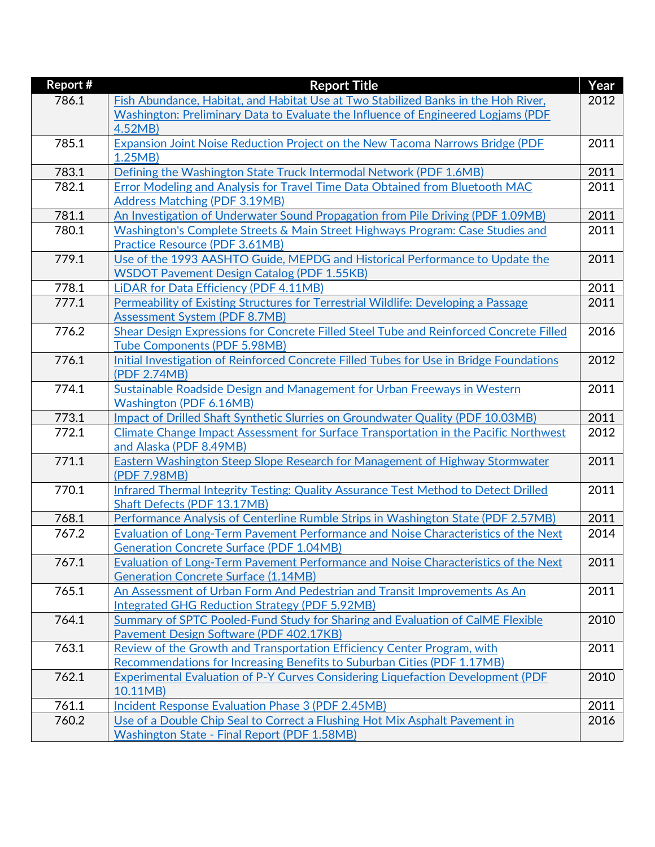| <b>Report #</b> | <b>Report Title</b>                                                                     | Year |
|-----------------|-----------------------------------------------------------------------------------------|------|
| 786.1           | Fish Abundance, Habitat, and Habitat Use at Two Stabilized Banks in the Hoh River,      | 2012 |
|                 | Washington: Preliminary Data to Evaluate the Influence of Engineered Logjams (PDF       |      |
|                 | 4.52MB)                                                                                 |      |
| 785.1           | Expansion Joint Noise Reduction Project on the New Tacoma Narrows Bridge (PDF           | 2011 |
|                 | 1.25MB                                                                                  |      |
| 783.1           | Defining the Washington State Truck Intermodal Network (PDF 1.6MB)                      | 2011 |
| 782.1           | Error Modeling and Analysis for Travel Time Data Obtained from Bluetooth MAC            | 2011 |
|                 | <b>Address Matching (PDF 3.19MB)</b>                                                    |      |
| 781.1           | An Investigation of Underwater Sound Propagation from Pile Driving (PDF 1.09MB)         | 2011 |
| 780.1           | Washington's Complete Streets & Main Street Highways Program: Case Studies and          | 2011 |
|                 | Practice Resource (PDF 3.61MB)                                                          |      |
| 779.1           | Use of the 1993 AASHTO Guide, MEPDG and Historical Performance to Update the            | 2011 |
|                 | <b>WSDOT Pavement Design Catalog (PDF 1.55KB)</b>                                       |      |
| 778.1           | LIDAR for Data Efficiency (PDF 4.11MB)                                                  | 2011 |
| 777.1           | Permeability of Existing Structures for Terrestrial Wildlife: Developing a Passage      | 2011 |
|                 | <b>Assessment System (PDF 8.7MB)</b>                                                    |      |
| 776.2           | Shear Design Expressions for Concrete Filled Steel Tube and Reinforced Concrete Filled  | 2016 |
|                 | <b>Tube Components (PDF 5.98MB)</b>                                                     |      |
| 776.1           | Initial Investigation of Reinforced Concrete Filled Tubes for Use in Bridge Foundations | 2012 |
|                 | (PDF 2.74MB)                                                                            |      |
| 774.1           | Sustainable Roadside Design and Management for Urban Freeways in Western                | 2011 |
|                 | <b>Washington (PDF 6.16MB)</b>                                                          |      |
| 773.1           | Impact of Drilled Shaft Synthetic Slurries on Groundwater Quality (PDF 10.03MB)         | 2011 |
| 772.1           | Climate Change Impact Assessment for Surface Transportation in the Pacific Northwest    | 2012 |
|                 | and Alaska (PDF 8.49MB)                                                                 |      |
| 771.1           | Eastern Washington Steep Slope Research for Management of Highway Stormwater            | 2011 |
|                 | (PDF 7.98MB)                                                                            |      |
| 770.1           | Infrared Thermal Integrity Testing: Quality Assurance Test Method to Detect Drilled     | 2011 |
|                 | Shaft Defects (PDF 13.17MB)                                                             |      |
| 768.1           | Performance Analysis of Centerline Rumble Strips in Washington State (PDF 2.57MB)       | 2011 |
| 767.2           | Evaluation of Long-Term Pavement Performance and Noise Characteristics of the Next      | 2014 |
|                 | <b>Generation Concrete Surface (PDF 1.04MB)</b>                                         |      |
| 767.1           | Evaluation of Long-Term Pavement Performance and Noise Characteristics of the Next      | 2011 |
|                 | <b>Generation Concrete Surface (1.14MB)</b>                                             |      |
| 765.1           | An Assessment of Urban Form And Pedestrian and Transit Improvements As An               | 2011 |
|                 | Integrated GHG Reduction Strategy (PDF 5.92MB)                                          |      |
| 764.1           | Summary of SPTC Pooled-Fund Study for Sharing and Evaluation of CalME Flexible          | 2010 |
|                 | Pavement Design Software (PDF 402.17KB)                                                 |      |
| 763.1           | Review of the Growth and Transportation Efficiency Center Program, with                 | 2011 |
|                 | Recommendations for Increasing Benefits to Suburban Cities (PDF 1.17MB)                 |      |
| 762.1           | Experimental Evaluation of P-Y Curves Considering Liquefaction Development (PDF         | 2010 |
|                 | 10.11MB)                                                                                |      |
| 761.1           | Incident Response Evaluation Phase 3 (PDF 2.45MB)                                       | 2011 |
| 760.2           | Use of a Double Chip Seal to Correct a Flushing Hot Mix Asphalt Pavement in             | 2016 |
|                 | <b>Washington State - Final Report (PDF 1.58MB)</b>                                     |      |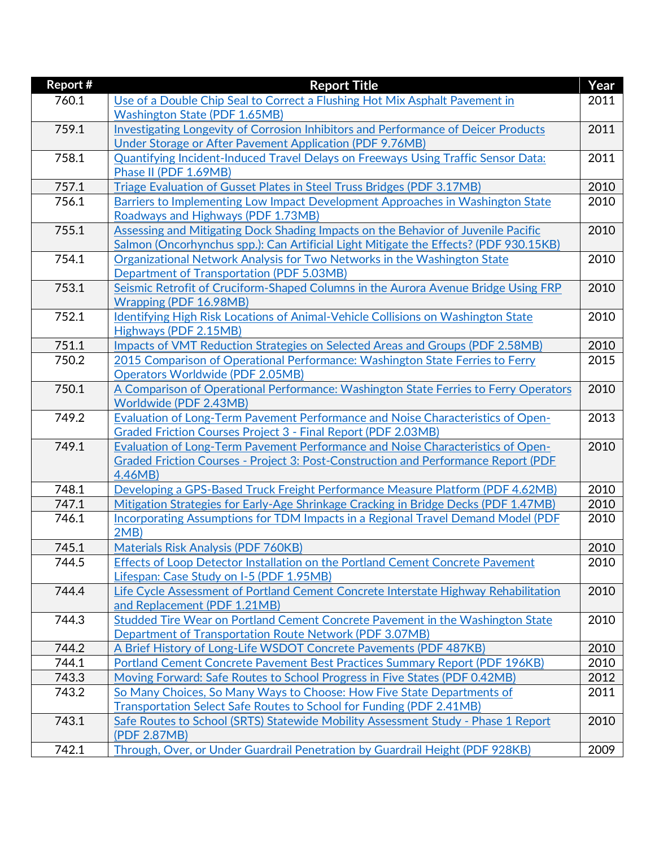| Report # | <b>Report Title</b>                                                                           | Year |
|----------|-----------------------------------------------------------------------------------------------|------|
| 760.1    | Use of a Double Chip Seal to Correct a Flushing Hot Mix Asphalt Pavement in                   | 2011 |
|          | <b>Washington State (PDF 1.65MB)</b>                                                          |      |
| 759.1    | Investigating Longevity of Corrosion Inhibitors and Performance of Deicer Products            | 2011 |
|          | Under Storage or After Pavement Application (PDF 9.76MB)                                      |      |
| 758.1    | Quantifying Incident-Induced Travel Delays on Freeways Using Traffic Sensor Data:             | 2011 |
|          | Phase II (PDF 1.69MB)                                                                         |      |
| 757.1    | Triage Evaluation of Gusset Plates in Steel Truss Bridges (PDF 3.17MB)                        | 2010 |
| 756.1    | Barriers to Implementing Low Impact Development Approaches in Washington State                | 2010 |
|          | Roadways and Highways (PDF 1.73MB)                                                            |      |
| 755.1    | Assessing and Mitigating Dock Shading Impacts on the Behavior of Juvenile Pacific             | 2010 |
|          | Salmon (Oncorhynchus spp.): Can Artificial Light Mitigate the Effects? (PDF 930.15KB)         |      |
| 754.1    | Organizational Network Analysis for Two Networks in the Washington State                      | 2010 |
|          | <b>Department of Transportation (PDF 5.03MB)</b>                                              |      |
| 753.1    | Seismic Retrofit of Cruciform-Shaped Columns in the Aurora Avenue Bridge Using FRP            | 2010 |
|          | Wrapping (PDF 16.98MB)                                                                        |      |
| 752.1    | <b>Identifying High Risk Locations of Animal-Vehicle Collisions on Washington State</b>       | 2010 |
|          | Highways (PDF 2.15MB)                                                                         |      |
| 751.1    | Impacts of VMT Reduction Strategies on Selected Areas and Groups (PDF 2.58MB)                 | 2010 |
| 750.2    | 2015 Comparison of Operational Performance: Washington State Ferries to Ferry                 | 2015 |
|          | <b>Operators Worldwide (PDF 2.05MB)</b>                                                       |      |
| 750.1    | A Comparison of Operational Performance: Washington State Ferries to Ferry Operators          | 2010 |
|          | Worldwide (PDF 2.43MB)                                                                        |      |
| 749.2    | Evaluation of Long-Term Pavement Performance and Noise Characteristics of Open-               | 2013 |
|          | <b>Graded Friction Courses Project 3 - Final Report (PDF 2.03MB)</b>                          |      |
| 749.1    | Evaluation of Long-Term Pavement Performance and Noise Characteristics of Open-               | 2010 |
|          | Graded Friction Courses - Project 3: Post-Construction and Performance Report (PDF<br>4.46MB) |      |
| 748.1    | Developing a GPS-Based Truck Freight Performance Measure Platform (PDF 4.62MB)                | 2010 |
| 747.1    | Mitigation Strategies for Early-Age Shrinkage Cracking in Bridge Decks (PDF 1.47MB)           | 2010 |
| 746.1    | Incorporating Assumptions for TDM Impacts in a Regional Travel Demand Model (PDF              | 2010 |
|          | $2MB$ )                                                                                       |      |
| 745.1    | <b>Materials Risk Analysis (PDF 760KB)</b>                                                    | 2010 |
| 744.5    | Effects of Loop Detector Installation on the Portland Cement Concrete Pavement                | 2010 |
|          | Lifespan: Case Study on I-5 (PDF 1.95MB)                                                      |      |
| 744.4    | Life Cycle Assessment of Portland Cement Concrete Interstate Highway Rehabilitation           | 2010 |
|          | and Replacement (PDF 1.21MB)                                                                  |      |
| 744.3    | Studded Tire Wear on Portland Cement Concrete Pavement in the Washington State                | 2010 |
|          | Department of Transportation Route Network (PDF 3.07MB)                                       |      |
| 744.2    | A Brief History of Long-Life WSDOT Concrete Pavements (PDF 487KB)                             | 2010 |
| 744.1    | Portland Cement Concrete Pavement Best Practices Summary Report (PDF 196KB)                   | 2010 |
| 743.3    | Moving Forward: Safe Routes to School Progress in Five States (PDF 0.42MB)                    | 2012 |
| 743.2    | So Many Choices, So Many Ways to Choose: How Five State Departments of                        | 2011 |
|          | <b>Transportation Select Safe Routes to School for Funding (PDF 2.41MB)</b>                   |      |
| 743.1    | Safe Routes to School (SRTS) Statewide Mobility Assessment Study - Phase 1 Report             | 2010 |
|          | (PDF 2.87MB)                                                                                  |      |
| 742.1    | Through, Over, or Under Guardrail Penetration by Guardrail Height (PDF 928KB)                 | 2009 |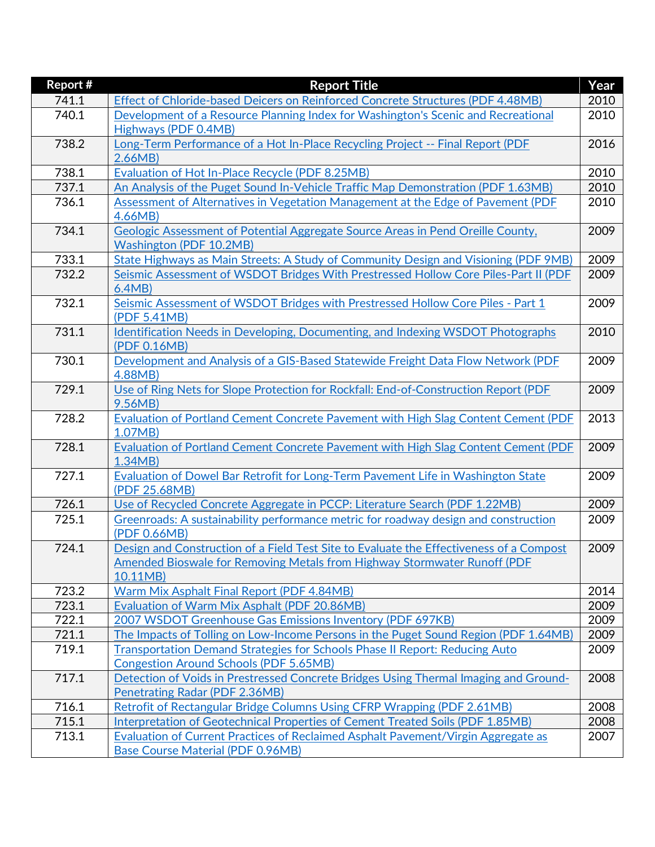| Report# | <b>Report Title</b>                                                                           | Year |
|---------|-----------------------------------------------------------------------------------------------|------|
| 741.1   | Effect of Chloride-based Deicers on Reinforced Concrete Structures (PDF 4.48MB)               | 2010 |
| 740.1   | Development of a Resource Planning Index for Washington's Scenic and Recreational             | 2010 |
|         | Highways (PDF 0.4MB)                                                                          |      |
| 738.2   | Long-Term Performance of a Hot In-Place Recycling Project -- Final Report (PDF                | 2016 |
|         | 2.66MB                                                                                        |      |
| 738.1   | <b>Evaluation of Hot In-Place Recycle (PDF 8.25MB)</b>                                        | 2010 |
| 737.1   | An Analysis of the Puget Sound In-Vehicle Traffic Map Demonstration (PDF 1.63MB)              | 2010 |
| 736.1   | Assessment of Alternatives in Vegetation Management at the Edge of Pavement (PDF              | 2010 |
|         | 4.66MB                                                                                        |      |
| 734.1   | Geologic Assessment of Potential Aggregate Source Areas in Pend Oreille County,               | 2009 |
|         | <b>Washington (PDF 10.2MB)</b>                                                                |      |
| 733.1   | <b>State Highways as Main Streets: A Study of Community Design and Visioning (PDF 9MB)</b>    | 2009 |
| 732.2   | Seismic Assessment of WSDOT Bridges With Prestressed Hollow Core Piles-Part II (PDF           | 2009 |
|         | 6.4MB                                                                                         |      |
| 732.1   | Seismic Assessment of WSDOT Bridges with Prestressed Hollow Core Piles - Part 1               | 2009 |
|         | (PDF 5.41MB)                                                                                  |      |
| 731.1   | Identification Needs in Developing, Documenting, and Indexing WSDOT Photographs               | 2010 |
|         | (PDF 0.16MB)                                                                                  |      |
| 730.1   | Development and Analysis of a GIS-Based Statewide Freight Data Flow Network (PDF              | 2009 |
|         | 4.88MB)                                                                                       |      |
| 729.1   | Use of Ring Nets for Slope Protection for Rockfall: End-of-Construction Report (PDF           | 2009 |
|         | 9.56MB)                                                                                       |      |
| 728.2   | <b>Evaluation of Portland Cement Concrete Pavement with High Slag Content Cement (PDF</b>     | 2013 |
| 728.1   | 1.07MB)<br>Evaluation of Portland Cement Concrete Pavement with High Slag Content Cement (PDF | 2009 |
|         | 1.34MB                                                                                        |      |
| 727.1   | Evaluation of Dowel Bar Retrofit for Long-Term Pavement Life in Washington State              | 2009 |
|         | (PDF 25.68MB)                                                                                 |      |
| 726.1   | Use of Recycled Concrete Aggregate in PCCP: Literature Search (PDF 1.22MB)                    | 2009 |
| 725.1   | Greenroads: A sustainability performance metric for roadway design and construction           | 2009 |
|         | (PDF 0.66MB)                                                                                  |      |
| 724.1   | Design and Construction of a Field Test Site to Evaluate the Effectiveness of a Compost       | 2009 |
|         | Amended Bioswale for Removing Metals from Highway Stormwater Runoff (PDF)                     |      |
|         | 10.11MB)                                                                                      |      |
| 723.2   | Warm Mix Asphalt Final Report (PDF 4.84MB)                                                    | 2014 |
| 723.1   | Evaluation of Warm Mix Asphalt (PDF 20.86MB)                                                  | 2009 |
| 722.1   | 2007 WSDOT Greenhouse Gas Emissions Inventory (PDF 697KB)                                     | 2009 |
| 721.1   | The Impacts of Tolling on Low-Income Persons in the Puget Sound Region (PDF 1.64MB)           | 2009 |
| 719.1   | Transportation Demand Strategies for Schools Phase II Report: Reducing Auto                   | 2009 |
|         | <b>Congestion Around Schools (PDF 5.65MB)</b>                                                 |      |
| 717.1   | Detection of Voids in Prestressed Concrete Bridges Using Thermal Imaging and Ground-          | 2008 |
|         | <b>Penetrating Radar (PDF 2.36MB)</b>                                                         |      |
| 716.1   | Retrofit of Rectangular Bridge Columns Using CFRP Wrapping (PDF 2.61MB)                       | 2008 |
| 715.1   | Interpretation of Geotechnical Properties of Cement Treated Soils (PDF 1.85MB)                | 2008 |
| 713.1   | Evaluation of Current Practices of Reclaimed Asphalt Pavement/Virgin Aggregate as             | 2007 |
|         | <b>Base Course Material (PDF 0.96MB)</b>                                                      |      |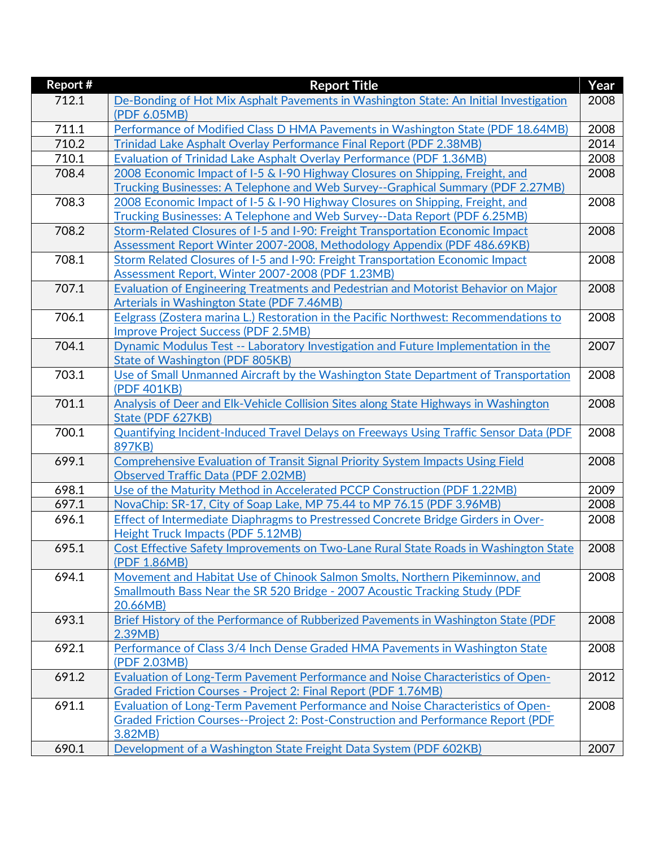| <b>Report #</b> | <b>Report Title</b>                                                                          | Year |
|-----------------|----------------------------------------------------------------------------------------------|------|
| 712.1           | De-Bonding of Hot Mix Asphalt Pavements in Washington State: An Initial Investigation        | 2008 |
|                 | (PDF 6.05MB)                                                                                 |      |
| 711.1           | Performance of Modified Class D HMA Pavements in Washington State (PDF 18.64MB)              | 2008 |
| 710.2           | Trinidad Lake Asphalt Overlay Performance Final Report (PDF 2.38MB)                          | 2014 |
| 710.1           | Evaluation of Trinidad Lake Asphalt Overlay Performance (PDF 1.36MB)                         | 2008 |
| 708.4           | 2008 Economic Impact of I-5 & I-90 Highway Closures on Shipping, Freight, and                | 2008 |
|                 | Trucking Businesses: A Telephone and Web Survey--Graphical Summary (PDF 2.27MB)              |      |
| 708.3           | 2008 Economic Impact of I-5 & I-90 Highway Closures on Shipping, Freight, and                | 2008 |
|                 | Trucking Businesses: A Telephone and Web Survey--Data Report (PDF 6.25MB)                    |      |
| 708.2           | Storm-Related Closures of I-5 and I-90: Freight Transportation Economic Impact               | 2008 |
|                 | Assessment Report Winter 2007-2008, Methodology Appendix (PDF 486.69KB)                      |      |
| 708.1           | Storm Related Closures of I-5 and I-90: Freight Transportation Economic Impact               | 2008 |
|                 | Assessment Report, Winter 2007-2008 (PDF 1.23MB)                                             |      |
| 707.1           | Evaluation of Engineering Treatments and Pedestrian and Motorist Behavior on Major           | 2008 |
|                 | Arterials in Washington State (PDF 7.46MB)                                                   |      |
| 706.1           | Eelgrass (Zostera marina L.) Restoration in the Pacific Northwest: Recommendations to        | 2008 |
|                 | <b>Improve Project Success (PDF 2.5MB)</b>                                                   |      |
| 704.1           | Dynamic Modulus Test -- Laboratory Investigation and Future Implementation in the            | 2007 |
|                 | State of Washington (PDF 805KB)                                                              |      |
| 703.1           | Use of Small Unmanned Aircraft by the Washington State Department of Transportation          | 2008 |
|                 | (PDF 401KB)                                                                                  |      |
| 701.1           | Analysis of Deer and Elk-Vehicle Collision Sites along State Highways in Washington          | 2008 |
|                 | State (PDF 627KB)                                                                            |      |
| 700.1           | <b>Quantifying Incident-Induced Travel Delays on Freeways Using Traffic Sensor Data (PDF</b> | 2008 |
|                 | 897KB)                                                                                       |      |
| 699.1           | Comprehensive Evaluation of Transit Signal Priority System Impacts Using Field               | 2008 |
|                 | <b>Observed Traffic Data (PDF 2.02MB)</b>                                                    |      |
| 698.1           | Use of the Maturity Method in Accelerated PCCP Construction (PDF 1.22MB)                     | 2009 |
| 697.1           | NovaChip: SR-17, City of Soap Lake, MP 75.44 to MP 76.15 (PDF 3.96MB)                        | 2008 |
| 696.1           | Effect of Intermediate Diaphragms to Prestressed Concrete Bridge Girders in Over-            | 2008 |
|                 | <b>Height Truck Impacts (PDF 5.12MB)</b>                                                     |      |
| 695.1           | Cost Effective Safety Improvements on Two-Lane Rural State Roads in Washington State         | 2008 |
|                 | (PDF 1.86MB)                                                                                 |      |
| 694.1           | Movement and Habitat Use of Chinook Salmon Smolts, Northern Pikeminnow, and                  | 2008 |
|                 | Smallmouth Bass Near the SR 520 Bridge - 2007 Acoustic Tracking Study (PDF                   |      |
|                 | 20.66MB)                                                                                     |      |
| 693.1           | Brief History of the Performance of Rubberized Pavements in Washington State (PDF            | 2008 |
|                 | 2.39MB                                                                                       |      |
| 692.1           | Performance of Class 3/4 Inch Dense Graded HMA Pavements in Washington State                 | 2008 |
|                 | (PDF 2.03MB)                                                                                 |      |
| 691.2           | Evaluation of Long-Term Pavement Performance and Noise Characteristics of Open-              | 2012 |
|                 | Graded Friction Courses - Project 2: Final Report (PDF 1.76MB)                               |      |
| 691.1           | Evaluation of Long-Term Pavement Performance and Noise Characteristics of Open-              | 2008 |
|                 | Graded Friction Courses--Project 2: Post-Construction and Performance Report (PDF            |      |
|                 | 3.82MB)                                                                                      |      |
| 690.1           | Development of a Washington State Freight Data System (PDF 602KB)                            | 2007 |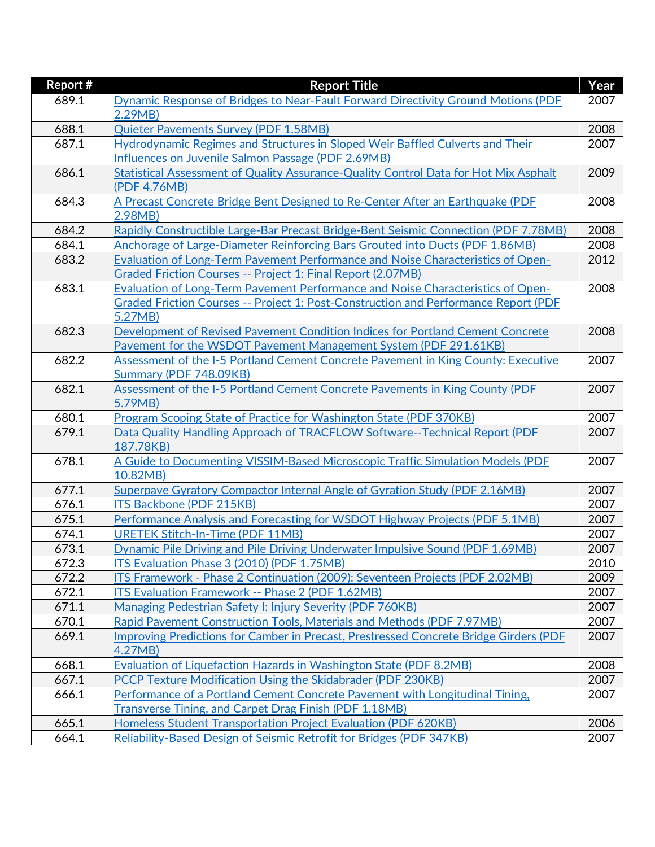| Year |
|------|
| 2007 |
|      |
| 2008 |
| 2007 |
|      |
| 2009 |
|      |
| 2008 |
|      |
| 2008 |
| 2008 |
| 2012 |
|      |
| 2008 |
|      |
|      |
| 2008 |
|      |
| 2007 |
|      |
| 2007 |
|      |
| 2007 |
| 2007 |
|      |
| 2007 |
| 2007 |
| 2007 |
| 2007 |
| 2007 |
| 2007 |
| 2010 |
| 2009 |
| 2007 |
| 2007 |
| 2007 |
| 2007 |
|      |
| 2008 |
| 2007 |
| 2007 |
|      |
| 2006 |
| 2007 |
|      |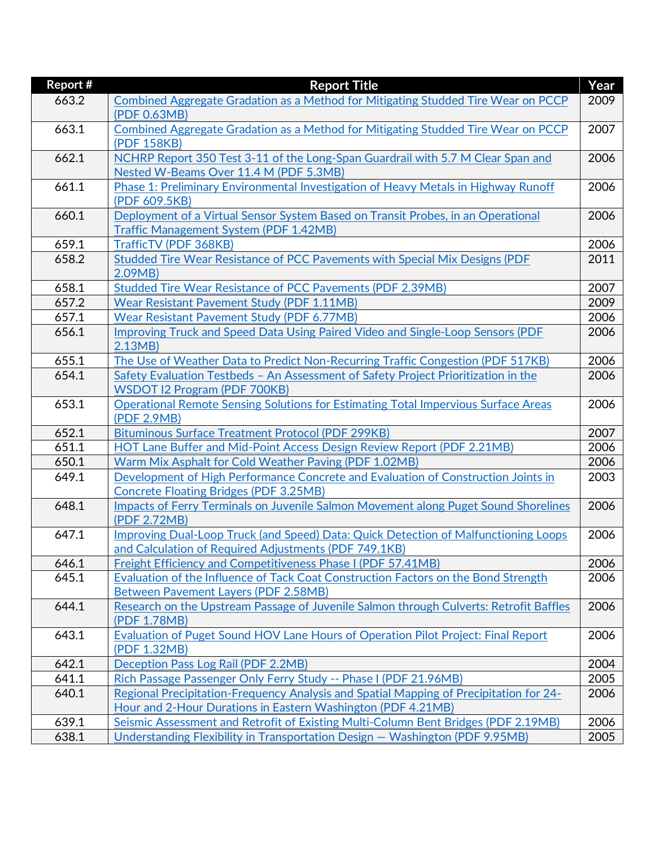| <b>Report #</b> | <b>Report Title</b>                                                                                 | Year |
|-----------------|-----------------------------------------------------------------------------------------------------|------|
| 663.2           | Combined Aggregate Gradation as a Method for Mitigating Studded Tire Wear on PCCP                   | 2009 |
|                 | (PDF 0.63MB)                                                                                        |      |
| 663.1           | Combined Aggregate Gradation as a Method for Mitigating Studded Tire Wear on PCCP                   | 2007 |
|                 | (PDF 158KB)                                                                                         |      |
| 662.1           | NCHRP Report 350 Test 3-11 of the Long-Span Guardrail with 5.7 M Clear Span and                     | 2006 |
|                 | Nested W-Beams Over 11.4 M (PDF 5.3MB)                                                              |      |
| 661.1           | Phase 1: Preliminary Environmental Investigation of Heavy Metals in Highway Runoff                  | 2006 |
|                 | (PDF 609.5KB)                                                                                       |      |
| 660.1           | Deployment of a Virtual Sensor System Based on Transit Probes, in an Operational                    | 2006 |
|                 | <b>Traffic Management System (PDF 1.42MB)</b>                                                       |      |
| 659.1           | TrafficTV (PDF 368KB)                                                                               | 2006 |
| 658.2           | Studded Tire Wear Resistance of PCC Pavements with Special Mix Designs (PDF                         | 2011 |
|                 | 2.09MB                                                                                              |      |
| 658.1           | <b>Studded Tire Wear Resistance of PCC Pavements (PDF 2.39MB)</b>                                   | 2007 |
| 657.2           | <b>Wear Resistant Pavement Study (PDF 1.11MB)</b>                                                   | 2009 |
| 657.1           | <b>Wear Resistant Pavement Study (PDF 6.77MB)</b>                                                   | 2006 |
| 656.1           | Improving Truck and Speed Data Using Paired Video and Single-Loop Sensors (PDF                      | 2006 |
|                 | 2.13MB                                                                                              |      |
| 655.1           | The Use of Weather Data to Predict Non-Recurring Traffic Congestion (PDF 517KB)                     | 2006 |
| 654.1           | Safety Evaluation Testbeds - An Assessment of Safety Project Prioritization in the                  | 2006 |
|                 | <b>WSDOT I2 Program (PDF 700KB)</b>                                                                 |      |
| 653.1           | Operational Remote Sensing Solutions for Estimating Total Impervious Surface Areas                  | 2006 |
|                 | (PDF 2.9MB)                                                                                         |      |
| 652.1           | <b>Bituminous Surface Treatment Protocol (PDF 299KB)</b>                                            | 2007 |
| 651.1           | HOT Lane Buffer and Mid-Point Access Design Review Report (PDF 2.21MB)                              | 2006 |
| 650.1           | Warm Mix Asphalt for Cold Weather Paving (PDF 1.02MB)                                               | 2006 |
| 649.1           | Development of High Performance Concrete and Evaluation of Construction Joints in                   | 2003 |
|                 | <b>Concrete Floating Bridges (PDF 3.25MB)</b>                                                       |      |
| 648.1           | Impacts of Ferry Terminals on Juvenile Salmon Movement along Puget Sound Shorelines<br>(PDF 2.72MB) | 2006 |
| 647.1           | Improving Dual-Loop Truck (and Speed) Data: Quick Detection of Malfunctioning Loops                 | 2006 |
|                 | and Calculation of Required Adjustments (PDF 749.1KB)                                               |      |
| 646.1           | Freight Efficiency and Competitiveness Phase I (PDF 57.41MB)                                        | 2006 |
| 645.1           | Evaluation of the Influence of Tack Coat Construction Factors on the Bond Strength                  | 2006 |
|                 | Between Pavement Layers (PDF 2.58MB)                                                                |      |
| 644.1           | Research on the Upstream Passage of Juvenile Salmon through Culverts: Retrofit Baffles              | 2006 |
|                 | (PDF 1.78MB)                                                                                        |      |
| 643.1           | Evaluation of Puget Sound HOV Lane Hours of Operation Pilot Project: Final Report                   | 2006 |
|                 | (PDF 1.32MB)                                                                                        |      |
| 642.1           | Deception Pass Log Rail (PDF 2.2MB)                                                                 | 2004 |
| 641.1           | Rich Passage Passenger Only Ferry Study -- Phase I (PDF 21.96MB)                                    | 2005 |
| 640.1           | Regional Precipitation-Frequency Analysis and Spatial Mapping of Precipitation for 24-              | 2006 |
|                 | Hour and 2-Hour Durations in Eastern Washington (PDF 4.21MB)                                        |      |
| 639.1           | Seismic Assessment and Retrofit of Existing Multi-Column Bent Bridges (PDF 2.19MB)                  | 2006 |
| 638.1           | Understanding Flexibility in Transportation Design - Washington (PDF 9.95MB)                        | 2005 |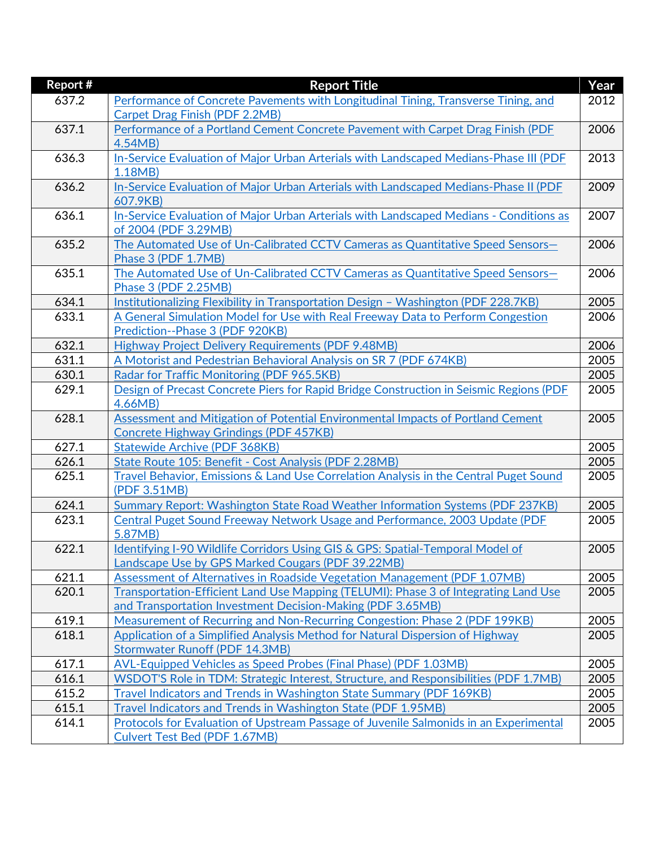| Report # | <b>Report Title</b>                                                                    | Year |
|----------|----------------------------------------------------------------------------------------|------|
| 637.2    | Performance of Concrete Pavements with Longitudinal Tining, Transverse Tining, and     | 2012 |
|          | Carpet Drag Finish (PDF 2.2MB)                                                         |      |
| 637.1    | Performance of a Portland Cement Concrete Pavement with Carpet Drag Finish (PDF        | 2006 |
|          | 4.54MB)                                                                                |      |
| 636.3    | In-Service Evaluation of Major Urban Arterials with Landscaped Medians-Phase III (PDF  | 2013 |
|          | 1.18MB                                                                                 |      |
| 636.2    | In-Service Evaluation of Major Urban Arterials with Landscaped Medians-Phase II (PDF   | 2009 |
|          | 607.9KB)                                                                               |      |
| 636.1    | In-Service Evaluation of Major Urban Arterials with Landscaped Medians - Conditions as | 2007 |
|          | of 2004 (PDF 3.29MB)                                                                   |      |
| 635.2    | The Automated Use of Un-Calibrated CCTV Cameras as Quantitative Speed Sensors-         | 2006 |
|          | Phase 3 (PDF 1.7MB)                                                                    |      |
| 635.1    | The Automated Use of Un-Calibrated CCTV Cameras as Quantitative Speed Sensors-         | 2006 |
|          | Phase 3 (PDF 2.25MB)                                                                   |      |
| 634.1    | Institutionalizing Flexibility in Transportation Design - Washington (PDF 228.7KB)     | 2005 |
| 633.1    | A General Simulation Model for Use with Real Freeway Data to Perform Congestion        | 2006 |
|          | Prediction--Phase 3 (PDF 920KB)                                                        |      |
| 632.1    | Highway Project Delivery Requirements (PDF 9.48MB)                                     | 2006 |
| 631.1    | A Motorist and Pedestrian Behavioral Analysis on SR 7 (PDF 674KB)                      | 2005 |
| 630.1    | Radar for Traffic Monitoring (PDF 965.5KB)                                             | 2005 |
| 629.1    | Design of Precast Concrete Piers for Rapid Bridge Construction in Seismic Regions (PDF | 2005 |
|          | 4.66MB                                                                                 |      |
| 628.1    | Assessment and Mitigation of Potential Environmental Impacts of Portland Cement        | 2005 |
|          | <b>Concrete Highway Grindings (PDF 457KB)</b>                                          |      |
| 627.1    | <b>Statewide Archive (PDF 368KB)</b>                                                   | 2005 |
| 626.1    | State Route 105: Benefit - Cost Analysis (PDF 2.28MB)                                  | 2005 |
| 625.1    | Travel Behavior, Emissions & Land Use Correlation Analysis in the Central Puget Sound  | 2005 |
|          | (PDF 3.51MB)                                                                           |      |
| 624.1    | Summary Report: Washington State Road Weather Information Systems (PDF 237KB)          | 2005 |
| 623.1    | Central Puget Sound Freeway Network Usage and Performance, 2003 Update (PDF            | 2005 |
|          | 5.87MB)                                                                                |      |
| 622.1    | Identifying I-90 Wildlife Corridors Using GIS & GPS: Spatial-Temporal Model of         | 2005 |
|          | Landscape Use by GPS Marked Cougars (PDF 39.22MB)                                      |      |
| 621.1    | Assessment of Alternatives in Roadside Vegetation Management (PDF 1.07MB)              | 2005 |
| 620.1    | Transportation-Efficient Land Use Mapping (TELUMI): Phase 3 of Integrating Land Use    | 2005 |
|          | and Transportation Investment Decision-Making (PDF 3.65MB)                             |      |
| 619.1    | Measurement of Recurring and Non-Recurring Congestion: Phase 2 (PDF 199KB)             | 2005 |
| 618.1    | Application of a Simplified Analysis Method for Natural Dispersion of Highway          | 2005 |
|          | <b>Stormwater Runoff (PDF 14.3MB)</b>                                                  |      |
| 617.1    | <b>AVL-Equipped Vehicles as Speed Probes (Final Phase) (PDF 1.03MB)</b>                | 2005 |
| 616.1    | WSDOT'S Role in TDM: Strategic Interest, Structure, and Responsibilities (PDF 1.7MB)   | 2005 |
| 615.2    | <b>Travel Indicators and Trends in Washington State Summary (PDF 169KB)</b>            | 2005 |
| 615.1    | Travel Indicators and Trends in Washington State (PDF 1.95MB)                          | 2005 |
| 614.1    | Protocols for Evaluation of Upstream Passage of Juvenile Salmonids in an Experimental  | 2005 |
|          | Culvert Test Bed (PDF 1.67MB)                                                          |      |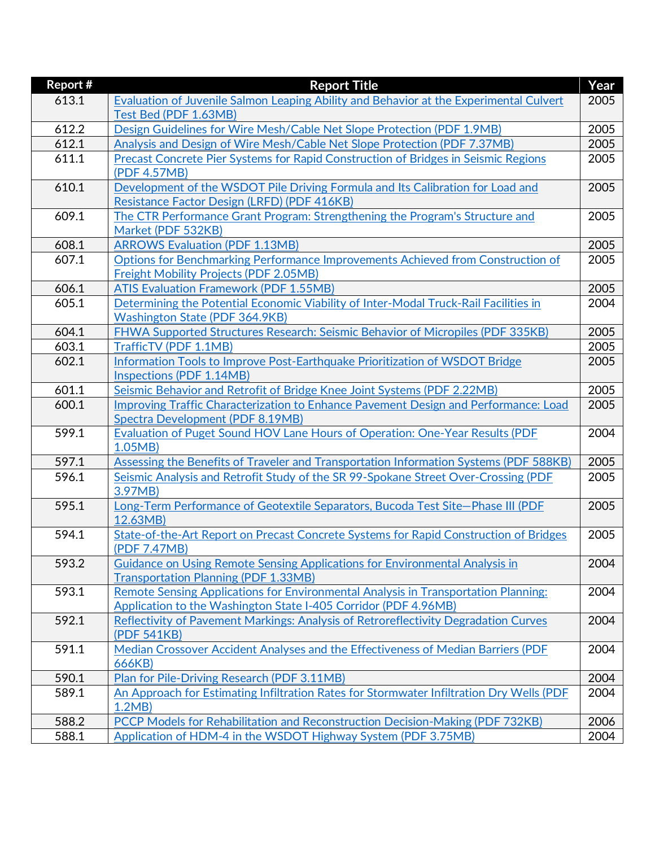| <b>Report #</b> | <b>Report Title</b>                                                                                                        | Year |
|-----------------|----------------------------------------------------------------------------------------------------------------------------|------|
| 613.1           | Evaluation of Juvenile Salmon Leaping Ability and Behavior at the Experimental Culvert                                     | 2005 |
|                 | Test Bed (PDF 1.63MB)                                                                                                      |      |
| 612.2           | Design Guidelines for Wire Mesh/Cable Net Slope Protection (PDF 1.9MB)                                                     | 2005 |
| 612.1           | Analysis and Design of Wire Mesh/Cable Net Slope Protection (PDF 7.37MB)                                                   | 2005 |
| 611.1           | Precast Concrete Pier Systems for Rapid Construction of Bridges in Seismic Regions                                         | 2005 |
|                 | (PDF 4.57MB)                                                                                                               |      |
| 610.1           | Development of the WSDOT Pile Driving Formula and Its Calibration for Load and                                             | 2005 |
|                 | Resistance Factor Design (LRFD) (PDF 416KB)                                                                                |      |
| 609.1           | The CTR Performance Grant Program: Strengthening the Program's Structure and                                               | 2005 |
|                 | Market (PDF 532KB)                                                                                                         |      |
| 608.1           | <b>ARROWS Evaluation (PDF 1.13MB)</b>                                                                                      | 2005 |
| 607.1           | Options for Benchmarking Performance Improvements Achieved from Construction of                                            | 2005 |
|                 | <b>Freight Mobility Projects (PDF 2.05MB)</b>                                                                              |      |
| 606.1           | <b>ATIS Evaluation Framework (PDF 1.55MB)</b>                                                                              | 2005 |
| 605.1           | Determining the Potential Economic Viability of Inter-Modal Truck-Rail Facilities in                                       | 2004 |
|                 | <b>Washington State (PDF 364.9KB)</b>                                                                                      |      |
| 604.1           | FHWA Supported Structures Research: Seismic Behavior of Micropiles (PDF 335KB)                                             | 2005 |
| 603.1           | TrafficTV (PDF 1.1MB)                                                                                                      | 2005 |
| 602.1           | Information Tools to Improve Post-Earthquake Prioritization of WSDOT Bridge                                                | 2005 |
|                 | Inspections (PDF 1.14MB)                                                                                                   |      |
| 601.1           | Seismic Behavior and Retrofit of Bridge Knee Joint Systems (PDF 2.22MB)                                                    | 2005 |
| 600.1           | Improving Traffic Characterization to Enhance Pavement Design and Performance: Load                                        | 2005 |
|                 | Spectra Development (PDF 8.19MB)                                                                                           |      |
| 599.1           | Evaluation of Puget Sound HOV Lane Hours of Operation: One-Year Results (PDF                                               | 2004 |
|                 | 1.05MB                                                                                                                     |      |
| 597.1           | Assessing the Benefits of Traveler and Transportation Information Systems (PDF 588KB)                                      | 2005 |
| 596.1           | Seismic Analysis and Retrofit Study of the SR 99-Spokane Street Over-Crossing (PDF                                         | 2005 |
|                 | 3.97MB)                                                                                                                    |      |
| 595.1           | Long-Term Performance of Geotextile Separators, Bucoda Test Site-Phase III (PDF                                            | 2005 |
|                 | 12.63MB)                                                                                                                   |      |
| 594.1           | State-of-the-Art Report on Precast Concrete Systems for Rapid Construction of Bridges                                      | 2005 |
|                 | (PDF 7.47MB)                                                                                                               |      |
| 593.2           | Guidance on Using Remote Sensing Applications for Environmental Analysis in<br><b>Transportation Planning (PDF 1.33MB)</b> | 2004 |
| 593.1           | Remote Sensing Applications for Environmental Analysis in Transportation Planning:                                         | 2004 |
|                 | Application to the Washington State I-405 Corridor (PDF 4.96MB)                                                            |      |
| 592.1           | Reflectivity of Pavement Markings: Analysis of Retroreflectivity Degradation Curves                                        | 2004 |
|                 | (PDF 541KB)                                                                                                                |      |
| 591.1           | Median Crossover Accident Analyses and the Effectiveness of Median Barriers (PDF                                           | 2004 |
|                 | 666KB)                                                                                                                     |      |
| 590.1           | Plan for Pile-Driving Research (PDF 3.11MB)                                                                                | 2004 |
| 589.1           | An Approach for Estimating Infiltration Rates for Stormwater Infiltration Dry Wells (PDF                                   | 2004 |
|                 | 1.2MB                                                                                                                      |      |
| 588.2           | PCCP Models for Rehabilitation and Reconstruction Decision-Making (PDF 732KB)                                              | 2006 |
| 588.1           | Application of HDM-4 in the WSDOT Highway System (PDF 3.75MB)                                                              | 2004 |
|                 |                                                                                                                            |      |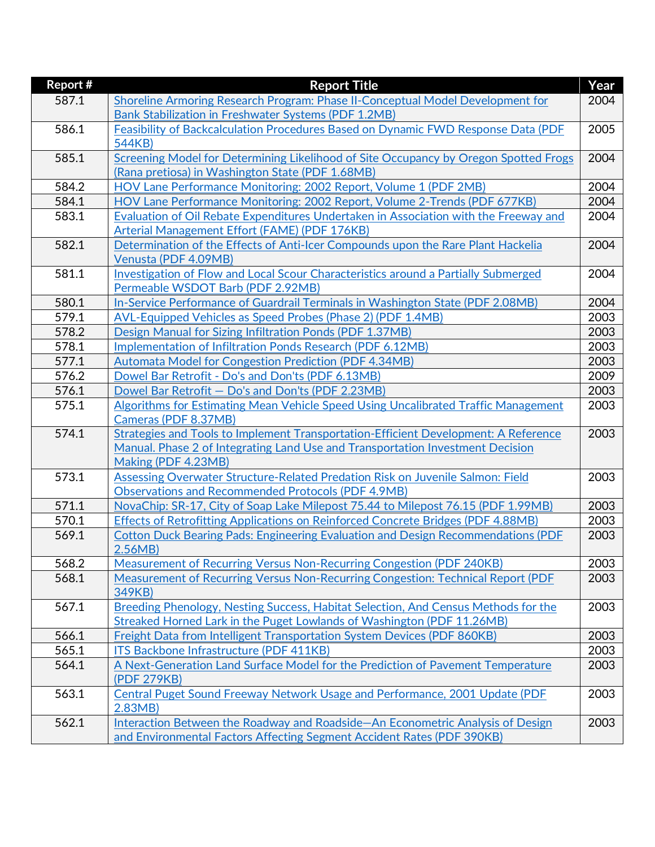| 587.1<br>Shoreline Armoring Research Program: Phase II-Conceptual Model Development for<br>2004<br>Bank Stabilization in Freshwater Systems (PDF 1.2MB)<br>586.1<br>Feasibility of Backcalculation Procedures Based on Dynamic FWD Response Data (PDF<br>2005<br>544KB)<br>585.1<br>Screening Model for Determining Likelihood of Site Occupancy by Oregon Spotted Frogs<br>2004<br>(Rana pretiosa) in Washington State (PDF 1.68MB)<br>584.2<br>2004<br>HOV Lane Performance Monitoring: 2002 Report, Volume 1 (PDF 2MB)<br>584.1<br>2004<br>HOV Lane Performance Monitoring: 2002 Report, Volume 2-Trends (PDF 677KB)<br>583.1<br>2004<br>Evaluation of Oil Rebate Expenditures Undertaken in Association with the Freeway and<br>Arterial Management Effort (FAME) (PDF 176KB)<br>582.1<br>Determination of the Effects of Anti-Icer Compounds upon the Rare Plant Hackelia<br>2004<br>Venusta (PDF 4.09MB)<br>581.1<br>Investigation of Flow and Local Scour Characteristics around a Partially Submerged<br>2004<br>Permeable WSDOT Barb (PDF 2.92MB)<br>580.1<br>In-Service Performance of Guardrail Terminals in Washington State (PDF 2.08MB)<br>2004<br>579.1<br>2003<br>AVL-Equipped Vehicles as Speed Probes (Phase 2) (PDF 1.4MB)<br>578.2<br>2003<br>Design Manual for Sizing Infiltration Ponds (PDF 1.37MB)<br>578.1<br>2003<br>Implementation of Infiltration Ponds Research (PDF 6.12MB)<br>577.1<br>2003<br><b>Automata Model for Congestion Prediction (PDF 4.34MB)</b><br>576.2<br>2009<br>Dowel Bar Retrofit - Do's and Don'ts (PDF 6.13MB)<br>2003<br>576.1<br>Dowel Bar Retrofit - Do's and Don'ts (PDF 2.23MB)<br>575.1<br>Algorithms for Estimating Mean Vehicle Speed Using Uncalibrated Traffic Management<br>2003<br>Cameras (PDF 8.37MB)<br>574.1<br>Strategies and Tools to Implement Transportation-Efficient Development: A Reference<br>2003<br>Manual. Phase 2 of Integrating Land Use and Transportation Investment Decision<br>Making (PDF 4.23MB)<br>573.1<br>Assessing Overwater Structure-Related Predation Risk on Juvenile Salmon: Field<br>2003<br><b>Observations and Recommended Protocols (PDF 4.9MB)</b><br>571.1<br>2003<br>NovaChip: SR-17, City of Soap Lake Milepost 75.44 to Milepost 76.15 (PDF 1.99MB)<br>570.1<br>2003<br>Effects of Retrofitting Applications on Reinforced Concrete Bridges (PDF 4.88MB)<br>569.1<br>Cotton Duck Bearing Pads: Engineering Evaluation and Design Recommendations (PDF<br>2003<br>2.56MB<br>568.2<br>Measurement of Recurring Versus Non-Recurring Congestion (PDF 240KB)<br>2003<br>Measurement of Recurring Versus Non-Recurring Congestion: Technical Report (PDF<br>568.1<br>2003<br>349KB)<br>567.1<br>Breeding Phenology, Nesting Success, Habitat Selection, And Census Methods for the<br>2003<br>Streaked Horned Lark in the Puget Lowlands of Washington (PDF 11.26MB)<br>566.1<br>2003<br><b>Freight Data from Intelligent Transportation System Devices (PDF 860KB)</b> | <b>Report #</b> | <b>Report Title</b>                                                    | Year |
|----------------------------------------------------------------------------------------------------------------------------------------------------------------------------------------------------------------------------------------------------------------------------------------------------------------------------------------------------------------------------------------------------------------------------------------------------------------------------------------------------------------------------------------------------------------------------------------------------------------------------------------------------------------------------------------------------------------------------------------------------------------------------------------------------------------------------------------------------------------------------------------------------------------------------------------------------------------------------------------------------------------------------------------------------------------------------------------------------------------------------------------------------------------------------------------------------------------------------------------------------------------------------------------------------------------------------------------------------------------------------------------------------------------------------------------------------------------------------------------------------------------------------------------------------------------------------------------------------------------------------------------------------------------------------------------------------------------------------------------------------------------------------------------------------------------------------------------------------------------------------------------------------------------------------------------------------------------------------------------------------------------------------------------------------------------------------------------------------------------------------------------------------------------------------------------------------------------------------------------------------------------------------------------------------------------------------------------------------------------------------------------------------------------------------------------------------------------------------------------------------------------------------------------------------------------------------------------------------------------------------------------------------------------------------------------------------------------------------------------------------------------------------------------------------------------------------------------------------------------------------------------------------------------------------------------------------------------------------|-----------------|------------------------------------------------------------------------|------|
|                                                                                                                                                                                                                                                                                                                                                                                                                                                                                                                                                                                                                                                                                                                                                                                                                                                                                                                                                                                                                                                                                                                                                                                                                                                                                                                                                                                                                                                                                                                                                                                                                                                                                                                                                                                                                                                                                                                                                                                                                                                                                                                                                                                                                                                                                                                                                                                                                                                                                                                                                                                                                                                                                                                                                                                                                                                                                                                                                                            |                 |                                                                        |      |
|                                                                                                                                                                                                                                                                                                                                                                                                                                                                                                                                                                                                                                                                                                                                                                                                                                                                                                                                                                                                                                                                                                                                                                                                                                                                                                                                                                                                                                                                                                                                                                                                                                                                                                                                                                                                                                                                                                                                                                                                                                                                                                                                                                                                                                                                                                                                                                                                                                                                                                                                                                                                                                                                                                                                                                                                                                                                                                                                                                            |                 |                                                                        |      |
|                                                                                                                                                                                                                                                                                                                                                                                                                                                                                                                                                                                                                                                                                                                                                                                                                                                                                                                                                                                                                                                                                                                                                                                                                                                                                                                                                                                                                                                                                                                                                                                                                                                                                                                                                                                                                                                                                                                                                                                                                                                                                                                                                                                                                                                                                                                                                                                                                                                                                                                                                                                                                                                                                                                                                                                                                                                                                                                                                                            |                 |                                                                        |      |
|                                                                                                                                                                                                                                                                                                                                                                                                                                                                                                                                                                                                                                                                                                                                                                                                                                                                                                                                                                                                                                                                                                                                                                                                                                                                                                                                                                                                                                                                                                                                                                                                                                                                                                                                                                                                                                                                                                                                                                                                                                                                                                                                                                                                                                                                                                                                                                                                                                                                                                                                                                                                                                                                                                                                                                                                                                                                                                                                                                            |                 |                                                                        |      |
|                                                                                                                                                                                                                                                                                                                                                                                                                                                                                                                                                                                                                                                                                                                                                                                                                                                                                                                                                                                                                                                                                                                                                                                                                                                                                                                                                                                                                                                                                                                                                                                                                                                                                                                                                                                                                                                                                                                                                                                                                                                                                                                                                                                                                                                                                                                                                                                                                                                                                                                                                                                                                                                                                                                                                                                                                                                                                                                                                                            |                 |                                                                        |      |
|                                                                                                                                                                                                                                                                                                                                                                                                                                                                                                                                                                                                                                                                                                                                                                                                                                                                                                                                                                                                                                                                                                                                                                                                                                                                                                                                                                                                                                                                                                                                                                                                                                                                                                                                                                                                                                                                                                                                                                                                                                                                                                                                                                                                                                                                                                                                                                                                                                                                                                                                                                                                                                                                                                                                                                                                                                                                                                                                                                            |                 |                                                                        |      |
|                                                                                                                                                                                                                                                                                                                                                                                                                                                                                                                                                                                                                                                                                                                                                                                                                                                                                                                                                                                                                                                                                                                                                                                                                                                                                                                                                                                                                                                                                                                                                                                                                                                                                                                                                                                                                                                                                                                                                                                                                                                                                                                                                                                                                                                                                                                                                                                                                                                                                                                                                                                                                                                                                                                                                                                                                                                                                                                                                                            |                 |                                                                        |      |
|                                                                                                                                                                                                                                                                                                                                                                                                                                                                                                                                                                                                                                                                                                                                                                                                                                                                                                                                                                                                                                                                                                                                                                                                                                                                                                                                                                                                                                                                                                                                                                                                                                                                                                                                                                                                                                                                                                                                                                                                                                                                                                                                                                                                                                                                                                                                                                                                                                                                                                                                                                                                                                                                                                                                                                                                                                                                                                                                                                            |                 |                                                                        |      |
|                                                                                                                                                                                                                                                                                                                                                                                                                                                                                                                                                                                                                                                                                                                                                                                                                                                                                                                                                                                                                                                                                                                                                                                                                                                                                                                                                                                                                                                                                                                                                                                                                                                                                                                                                                                                                                                                                                                                                                                                                                                                                                                                                                                                                                                                                                                                                                                                                                                                                                                                                                                                                                                                                                                                                                                                                                                                                                                                                                            |                 |                                                                        |      |
|                                                                                                                                                                                                                                                                                                                                                                                                                                                                                                                                                                                                                                                                                                                                                                                                                                                                                                                                                                                                                                                                                                                                                                                                                                                                                                                                                                                                                                                                                                                                                                                                                                                                                                                                                                                                                                                                                                                                                                                                                                                                                                                                                                                                                                                                                                                                                                                                                                                                                                                                                                                                                                                                                                                                                                                                                                                                                                                                                                            |                 |                                                                        |      |
|                                                                                                                                                                                                                                                                                                                                                                                                                                                                                                                                                                                                                                                                                                                                                                                                                                                                                                                                                                                                                                                                                                                                                                                                                                                                                                                                                                                                                                                                                                                                                                                                                                                                                                                                                                                                                                                                                                                                                                                                                                                                                                                                                                                                                                                                                                                                                                                                                                                                                                                                                                                                                                                                                                                                                                                                                                                                                                                                                                            |                 |                                                                        |      |
|                                                                                                                                                                                                                                                                                                                                                                                                                                                                                                                                                                                                                                                                                                                                                                                                                                                                                                                                                                                                                                                                                                                                                                                                                                                                                                                                                                                                                                                                                                                                                                                                                                                                                                                                                                                                                                                                                                                                                                                                                                                                                                                                                                                                                                                                                                                                                                                                                                                                                                                                                                                                                                                                                                                                                                                                                                                                                                                                                                            |                 |                                                                        |      |
|                                                                                                                                                                                                                                                                                                                                                                                                                                                                                                                                                                                                                                                                                                                                                                                                                                                                                                                                                                                                                                                                                                                                                                                                                                                                                                                                                                                                                                                                                                                                                                                                                                                                                                                                                                                                                                                                                                                                                                                                                                                                                                                                                                                                                                                                                                                                                                                                                                                                                                                                                                                                                                                                                                                                                                                                                                                                                                                                                                            |                 |                                                                        |      |
|                                                                                                                                                                                                                                                                                                                                                                                                                                                                                                                                                                                                                                                                                                                                                                                                                                                                                                                                                                                                                                                                                                                                                                                                                                                                                                                                                                                                                                                                                                                                                                                                                                                                                                                                                                                                                                                                                                                                                                                                                                                                                                                                                                                                                                                                                                                                                                                                                                                                                                                                                                                                                                                                                                                                                                                                                                                                                                                                                                            |                 |                                                                        |      |
|                                                                                                                                                                                                                                                                                                                                                                                                                                                                                                                                                                                                                                                                                                                                                                                                                                                                                                                                                                                                                                                                                                                                                                                                                                                                                                                                                                                                                                                                                                                                                                                                                                                                                                                                                                                                                                                                                                                                                                                                                                                                                                                                                                                                                                                                                                                                                                                                                                                                                                                                                                                                                                                                                                                                                                                                                                                                                                                                                                            |                 |                                                                        |      |
|                                                                                                                                                                                                                                                                                                                                                                                                                                                                                                                                                                                                                                                                                                                                                                                                                                                                                                                                                                                                                                                                                                                                                                                                                                                                                                                                                                                                                                                                                                                                                                                                                                                                                                                                                                                                                                                                                                                                                                                                                                                                                                                                                                                                                                                                                                                                                                                                                                                                                                                                                                                                                                                                                                                                                                                                                                                                                                                                                                            |                 |                                                                        |      |
|                                                                                                                                                                                                                                                                                                                                                                                                                                                                                                                                                                                                                                                                                                                                                                                                                                                                                                                                                                                                                                                                                                                                                                                                                                                                                                                                                                                                                                                                                                                                                                                                                                                                                                                                                                                                                                                                                                                                                                                                                                                                                                                                                                                                                                                                                                                                                                                                                                                                                                                                                                                                                                                                                                                                                                                                                                                                                                                                                                            |                 |                                                                        |      |
|                                                                                                                                                                                                                                                                                                                                                                                                                                                                                                                                                                                                                                                                                                                                                                                                                                                                                                                                                                                                                                                                                                                                                                                                                                                                                                                                                                                                                                                                                                                                                                                                                                                                                                                                                                                                                                                                                                                                                                                                                                                                                                                                                                                                                                                                                                                                                                                                                                                                                                                                                                                                                                                                                                                                                                                                                                                                                                                                                                            |                 |                                                                        |      |
|                                                                                                                                                                                                                                                                                                                                                                                                                                                                                                                                                                                                                                                                                                                                                                                                                                                                                                                                                                                                                                                                                                                                                                                                                                                                                                                                                                                                                                                                                                                                                                                                                                                                                                                                                                                                                                                                                                                                                                                                                                                                                                                                                                                                                                                                                                                                                                                                                                                                                                                                                                                                                                                                                                                                                                                                                                                                                                                                                                            |                 |                                                                        |      |
|                                                                                                                                                                                                                                                                                                                                                                                                                                                                                                                                                                                                                                                                                                                                                                                                                                                                                                                                                                                                                                                                                                                                                                                                                                                                                                                                                                                                                                                                                                                                                                                                                                                                                                                                                                                                                                                                                                                                                                                                                                                                                                                                                                                                                                                                                                                                                                                                                                                                                                                                                                                                                                                                                                                                                                                                                                                                                                                                                                            |                 |                                                                        |      |
|                                                                                                                                                                                                                                                                                                                                                                                                                                                                                                                                                                                                                                                                                                                                                                                                                                                                                                                                                                                                                                                                                                                                                                                                                                                                                                                                                                                                                                                                                                                                                                                                                                                                                                                                                                                                                                                                                                                                                                                                                                                                                                                                                                                                                                                                                                                                                                                                                                                                                                                                                                                                                                                                                                                                                                                                                                                                                                                                                                            |                 |                                                                        |      |
|                                                                                                                                                                                                                                                                                                                                                                                                                                                                                                                                                                                                                                                                                                                                                                                                                                                                                                                                                                                                                                                                                                                                                                                                                                                                                                                                                                                                                                                                                                                                                                                                                                                                                                                                                                                                                                                                                                                                                                                                                                                                                                                                                                                                                                                                                                                                                                                                                                                                                                                                                                                                                                                                                                                                                                                                                                                                                                                                                                            |                 |                                                                        |      |
|                                                                                                                                                                                                                                                                                                                                                                                                                                                                                                                                                                                                                                                                                                                                                                                                                                                                                                                                                                                                                                                                                                                                                                                                                                                                                                                                                                                                                                                                                                                                                                                                                                                                                                                                                                                                                                                                                                                                                                                                                                                                                                                                                                                                                                                                                                                                                                                                                                                                                                                                                                                                                                                                                                                                                                                                                                                                                                                                                                            |                 |                                                                        |      |
|                                                                                                                                                                                                                                                                                                                                                                                                                                                                                                                                                                                                                                                                                                                                                                                                                                                                                                                                                                                                                                                                                                                                                                                                                                                                                                                                                                                                                                                                                                                                                                                                                                                                                                                                                                                                                                                                                                                                                                                                                                                                                                                                                                                                                                                                                                                                                                                                                                                                                                                                                                                                                                                                                                                                                                                                                                                                                                                                                                            |                 |                                                                        |      |
|                                                                                                                                                                                                                                                                                                                                                                                                                                                                                                                                                                                                                                                                                                                                                                                                                                                                                                                                                                                                                                                                                                                                                                                                                                                                                                                                                                                                                                                                                                                                                                                                                                                                                                                                                                                                                                                                                                                                                                                                                                                                                                                                                                                                                                                                                                                                                                                                                                                                                                                                                                                                                                                                                                                                                                                                                                                                                                                                                                            |                 |                                                                        |      |
|                                                                                                                                                                                                                                                                                                                                                                                                                                                                                                                                                                                                                                                                                                                                                                                                                                                                                                                                                                                                                                                                                                                                                                                                                                                                                                                                                                                                                                                                                                                                                                                                                                                                                                                                                                                                                                                                                                                                                                                                                                                                                                                                                                                                                                                                                                                                                                                                                                                                                                                                                                                                                                                                                                                                                                                                                                                                                                                                                                            |                 |                                                                        |      |
|                                                                                                                                                                                                                                                                                                                                                                                                                                                                                                                                                                                                                                                                                                                                                                                                                                                                                                                                                                                                                                                                                                                                                                                                                                                                                                                                                                                                                                                                                                                                                                                                                                                                                                                                                                                                                                                                                                                                                                                                                                                                                                                                                                                                                                                                                                                                                                                                                                                                                                                                                                                                                                                                                                                                                                                                                                                                                                                                                                            |                 |                                                                        |      |
|                                                                                                                                                                                                                                                                                                                                                                                                                                                                                                                                                                                                                                                                                                                                                                                                                                                                                                                                                                                                                                                                                                                                                                                                                                                                                                                                                                                                                                                                                                                                                                                                                                                                                                                                                                                                                                                                                                                                                                                                                                                                                                                                                                                                                                                                                                                                                                                                                                                                                                                                                                                                                                                                                                                                                                                                                                                                                                                                                                            |                 |                                                                        |      |
|                                                                                                                                                                                                                                                                                                                                                                                                                                                                                                                                                                                                                                                                                                                                                                                                                                                                                                                                                                                                                                                                                                                                                                                                                                                                                                                                                                                                                                                                                                                                                                                                                                                                                                                                                                                                                                                                                                                                                                                                                                                                                                                                                                                                                                                                                                                                                                                                                                                                                                                                                                                                                                                                                                                                                                                                                                                                                                                                                                            |                 |                                                                        |      |
|                                                                                                                                                                                                                                                                                                                                                                                                                                                                                                                                                                                                                                                                                                                                                                                                                                                                                                                                                                                                                                                                                                                                                                                                                                                                                                                                                                                                                                                                                                                                                                                                                                                                                                                                                                                                                                                                                                                                                                                                                                                                                                                                                                                                                                                                                                                                                                                                                                                                                                                                                                                                                                                                                                                                                                                                                                                                                                                                                                            |                 |                                                                        |      |
|                                                                                                                                                                                                                                                                                                                                                                                                                                                                                                                                                                                                                                                                                                                                                                                                                                                                                                                                                                                                                                                                                                                                                                                                                                                                                                                                                                                                                                                                                                                                                                                                                                                                                                                                                                                                                                                                                                                                                                                                                                                                                                                                                                                                                                                                                                                                                                                                                                                                                                                                                                                                                                                                                                                                                                                                                                                                                                                                                                            |                 |                                                                        |      |
|                                                                                                                                                                                                                                                                                                                                                                                                                                                                                                                                                                                                                                                                                                                                                                                                                                                                                                                                                                                                                                                                                                                                                                                                                                                                                                                                                                                                                                                                                                                                                                                                                                                                                                                                                                                                                                                                                                                                                                                                                                                                                                                                                                                                                                                                                                                                                                                                                                                                                                                                                                                                                                                                                                                                                                                                                                                                                                                                                                            |                 |                                                                        |      |
|                                                                                                                                                                                                                                                                                                                                                                                                                                                                                                                                                                                                                                                                                                                                                                                                                                                                                                                                                                                                                                                                                                                                                                                                                                                                                                                                                                                                                                                                                                                                                                                                                                                                                                                                                                                                                                                                                                                                                                                                                                                                                                                                                                                                                                                                                                                                                                                                                                                                                                                                                                                                                                                                                                                                                                                                                                                                                                                                                                            |                 |                                                                        |      |
|                                                                                                                                                                                                                                                                                                                                                                                                                                                                                                                                                                                                                                                                                                                                                                                                                                                                                                                                                                                                                                                                                                                                                                                                                                                                                                                                                                                                                                                                                                                                                                                                                                                                                                                                                                                                                                                                                                                                                                                                                                                                                                                                                                                                                                                                                                                                                                                                                                                                                                                                                                                                                                                                                                                                                                                                                                                                                                                                                                            |                 |                                                                        |      |
|                                                                                                                                                                                                                                                                                                                                                                                                                                                                                                                                                                                                                                                                                                                                                                                                                                                                                                                                                                                                                                                                                                                                                                                                                                                                                                                                                                                                                                                                                                                                                                                                                                                                                                                                                                                                                                                                                                                                                                                                                                                                                                                                                                                                                                                                                                                                                                                                                                                                                                                                                                                                                                                                                                                                                                                                                                                                                                                                                                            |                 |                                                                        |      |
|                                                                                                                                                                                                                                                                                                                                                                                                                                                                                                                                                                                                                                                                                                                                                                                                                                                                                                                                                                                                                                                                                                                                                                                                                                                                                                                                                                                                                                                                                                                                                                                                                                                                                                                                                                                                                                                                                                                                                                                                                                                                                                                                                                                                                                                                                                                                                                                                                                                                                                                                                                                                                                                                                                                                                                                                                                                                                                                                                                            |                 |                                                                        |      |
|                                                                                                                                                                                                                                                                                                                                                                                                                                                                                                                                                                                                                                                                                                                                                                                                                                                                                                                                                                                                                                                                                                                                                                                                                                                                                                                                                                                                                                                                                                                                                                                                                                                                                                                                                                                                                                                                                                                                                                                                                                                                                                                                                                                                                                                                                                                                                                                                                                                                                                                                                                                                                                                                                                                                                                                                                                                                                                                                                                            |                 |                                                                        |      |
|                                                                                                                                                                                                                                                                                                                                                                                                                                                                                                                                                                                                                                                                                                                                                                                                                                                                                                                                                                                                                                                                                                                                                                                                                                                                                                                                                                                                                                                                                                                                                                                                                                                                                                                                                                                                                                                                                                                                                                                                                                                                                                                                                                                                                                                                                                                                                                                                                                                                                                                                                                                                                                                                                                                                                                                                                                                                                                                                                                            | 565.1           | ITS Backbone Infrastructure (PDF 411KB)                                | 2003 |
|                                                                                                                                                                                                                                                                                                                                                                                                                                                                                                                                                                                                                                                                                                                                                                                                                                                                                                                                                                                                                                                                                                                                                                                                                                                                                                                                                                                                                                                                                                                                                                                                                                                                                                                                                                                                                                                                                                                                                                                                                                                                                                                                                                                                                                                                                                                                                                                                                                                                                                                                                                                                                                                                                                                                                                                                                                                                                                                                                                            |                 |                                                                        |      |
| 564.1<br>A Next-Generation Land Surface Model for the Prediction of Pavement Temperature<br>2003<br>(PDF 279KB)                                                                                                                                                                                                                                                                                                                                                                                                                                                                                                                                                                                                                                                                                                                                                                                                                                                                                                                                                                                                                                                                                                                                                                                                                                                                                                                                                                                                                                                                                                                                                                                                                                                                                                                                                                                                                                                                                                                                                                                                                                                                                                                                                                                                                                                                                                                                                                                                                                                                                                                                                                                                                                                                                                                                                                                                                                                            |                 |                                                                        |      |
| 563.1<br>Central Puget Sound Freeway Network Usage and Performance, 2001 Update (PDF<br>2003                                                                                                                                                                                                                                                                                                                                                                                                                                                                                                                                                                                                                                                                                                                                                                                                                                                                                                                                                                                                                                                                                                                                                                                                                                                                                                                                                                                                                                                                                                                                                                                                                                                                                                                                                                                                                                                                                                                                                                                                                                                                                                                                                                                                                                                                                                                                                                                                                                                                                                                                                                                                                                                                                                                                                                                                                                                                               |                 |                                                                        |      |
| 2.83MB                                                                                                                                                                                                                                                                                                                                                                                                                                                                                                                                                                                                                                                                                                                                                                                                                                                                                                                                                                                                                                                                                                                                                                                                                                                                                                                                                                                                                                                                                                                                                                                                                                                                                                                                                                                                                                                                                                                                                                                                                                                                                                                                                                                                                                                                                                                                                                                                                                                                                                                                                                                                                                                                                                                                                                                                                                                                                                                                                                     |                 |                                                                        |      |
| 562.1<br>Interaction Between the Roadway and Roadside-An Econometric Analysis of Design<br>2003                                                                                                                                                                                                                                                                                                                                                                                                                                                                                                                                                                                                                                                                                                                                                                                                                                                                                                                                                                                                                                                                                                                                                                                                                                                                                                                                                                                                                                                                                                                                                                                                                                                                                                                                                                                                                                                                                                                                                                                                                                                                                                                                                                                                                                                                                                                                                                                                                                                                                                                                                                                                                                                                                                                                                                                                                                                                            |                 |                                                                        |      |
|                                                                                                                                                                                                                                                                                                                                                                                                                                                                                                                                                                                                                                                                                                                                                                                                                                                                                                                                                                                                                                                                                                                                                                                                                                                                                                                                                                                                                                                                                                                                                                                                                                                                                                                                                                                                                                                                                                                                                                                                                                                                                                                                                                                                                                                                                                                                                                                                                                                                                                                                                                                                                                                                                                                                                                                                                                                                                                                                                                            |                 | and Environmental Factors Affecting Segment Accident Rates (PDF 390KB) |      |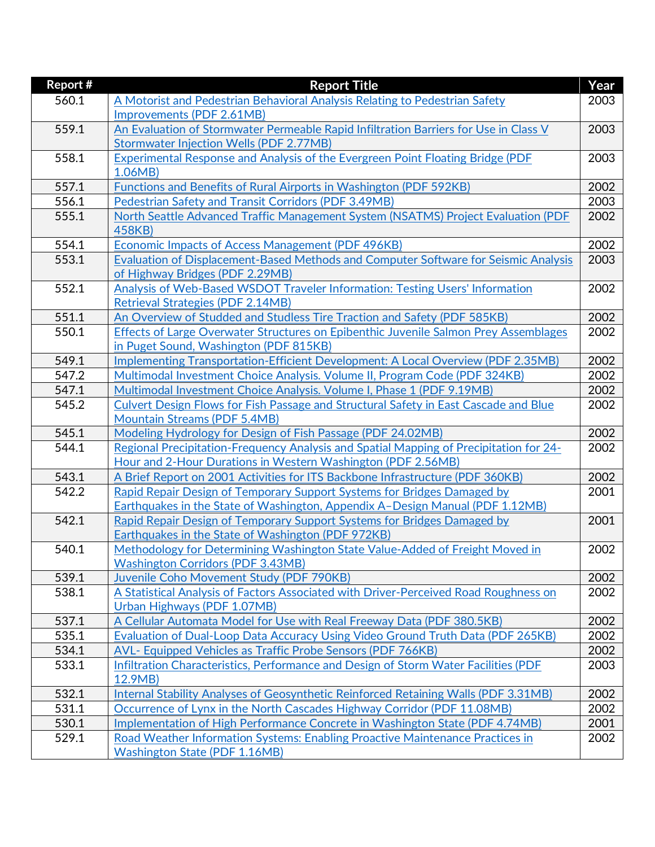| Report # | <b>Report Title</b>                                                                            | Year |
|----------|------------------------------------------------------------------------------------------------|------|
| 560.1    | A Motorist and Pedestrian Behavioral Analysis Relating to Pedestrian Safety                    | 2003 |
|          | Improvements (PDF 2.61MB)                                                                      |      |
| 559.1    | An Evaluation of Stormwater Permeable Rapid Infiltration Barriers for Use in Class V           | 2003 |
|          | <b>Stormwater Injection Wells (PDF 2.77MB)</b>                                                 |      |
| 558.1    | <b>Experimental Response and Analysis of the Evergreen Point Floating Bridge (PDF</b>          | 2003 |
|          | 1.06MB)                                                                                        |      |
| 557.1    | Functions and Benefits of Rural Airports in Washington (PDF 592KB)                             | 2002 |
| 556.1    | Pedestrian Safety and Transit Corridors (PDF 3.49MB)                                           | 2003 |
| 555.1    | North Seattle Advanced Traffic Management System (NSATMS) Project Evaluation (PDF              | 2002 |
|          | 458KB)                                                                                         |      |
| 554.1    | Economic Impacts of Access Management (PDF 496KB)                                              | 2002 |
| 553.1    | Evaluation of Displacement-Based Methods and Computer Software for Seismic Analysis            | 2003 |
|          | of Highway Bridges (PDF 2.29MB)                                                                |      |
| 552.1    | Analysis of Web-Based WSDOT Traveler Information: Testing Users' Information                   | 2002 |
|          | <b>Retrieval Strategies (PDF 2.14MB)</b>                                                       |      |
| 551.1    | An Overview of Studded and Studless Tire Traction and Safety (PDF 585KB)                       | 2002 |
| 550.1    | Effects of Large Overwater Structures on Epibenthic Juvenile Salmon Prey Assemblages           | 2002 |
|          | in Puget Sound, Washington (PDF 815KB)                                                         |      |
| 549.1    | Implementing Transportation-Efficient Development: A Local Overview (PDF 2.35MB)               | 2002 |
| 547.2    | Multimodal Investment Choice Analysis. Volume II, Program Code (PDF 324KB)                     | 2002 |
| 547.1    | Multimodal Investment Choice Analysis. Volume I, Phase 1 (PDF 9.19MB)                          | 2002 |
| 545.2    | <b>Culvert Design Flows for Fish Passage and Structural Safety in East Cascade and Blue</b>    | 2002 |
|          | <b>Mountain Streams (PDF 5.4MB)</b>                                                            |      |
| 545.1    | Modeling Hydrology for Design of Fish Passage (PDF 24.02MB)                                    | 2002 |
| 544.1    | Regional Precipitation-Frequency Analysis and Spatial Mapping of Precipitation for 24-         | 2002 |
|          | Hour and 2-Hour Durations in Western Washington (PDF 2.56MB)                                   |      |
| 543.1    | A Brief Report on 2001 Activities for ITS Backbone Infrastructure (PDF 360KB)                  | 2002 |
| 542.2    | Rapid Repair Design of Temporary Support Systems for Bridges Damaged by                        | 2001 |
|          | Earthquakes in the State of Washington, Appendix A-Design Manual (PDF 1.12MB)                  |      |
| 542.1    | Rapid Repair Design of Temporary Support Systems for Bridges Damaged by                        | 2001 |
|          | Earthquakes in the State of Washington (PDF 972KB)                                             |      |
| 540.1    | Methodology for Determining Washington State Value-Added of Freight Moved in                   | 2002 |
|          | <b>Washington Corridors (PDF 3.43MB)</b>                                                       |      |
| 539.1    | Juvenile Coho Movement Study (PDF 790KB)                                                       | 2002 |
| 538.1    | A Statistical Analysis of Factors Associated with Driver-Perceived Road Roughness on           | 2002 |
|          | Urban Highways (PDF 1.07MB)                                                                    |      |
| 537.1    | A Cellular Automata Model for Use with Real Freeway Data (PDF 380.5KB)                         | 2002 |
| 535.1    | Evaluation of Dual-Loop Data Accuracy Using Video Ground Truth Data (PDF 265KB)                | 2002 |
| 534.1    | <b>AVL- Equipped Vehicles as Traffic Probe Sensors (PDF 766KB)</b>                             | 2002 |
| 533.1    | Infiltration Characteristics, Performance and Design of Storm Water Facilities (PDF<br>12.9MB) | 2003 |
|          |                                                                                                |      |
| 532.1    | Internal Stability Analyses of Geosynthetic Reinforced Retaining Walls (PDF 3.31MB)            | 2002 |
| 531.1    | Occurrence of Lynx in the North Cascades Highway Corridor (PDF 11.08MB)                        | 2002 |
| 530.1    | Implementation of High Performance Concrete in Washington State (PDF 4.74MB)                   | 2001 |
| 529.1    | Road Weather Information Systems: Enabling Proactive Maintenance Practices in                  | 2002 |
|          | <b>Washington State (PDF 1.16MB)</b>                                                           |      |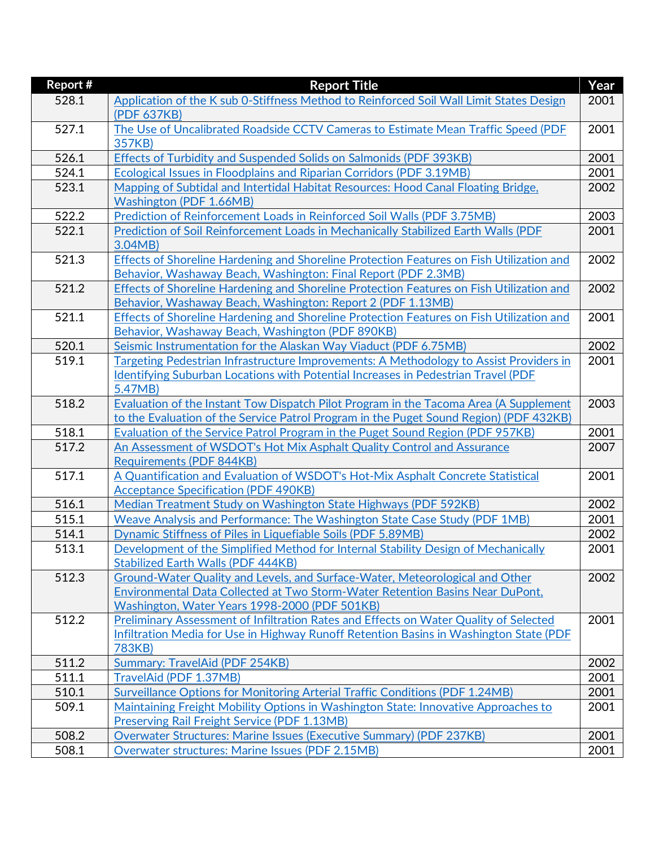| Report # | <b>Report Title</b>                                                                                 | Year |
|----------|-----------------------------------------------------------------------------------------------------|------|
| 528.1    | Application of the K sub 0-Stiffness Method to Reinforced Soil Wall Limit States Design             | 2001 |
|          | (PDF 637KB)                                                                                         |      |
| 527.1    | The Use of Uncalibrated Roadside CCTV Cameras to Estimate Mean Traffic Speed (PDF                   | 2001 |
|          | 357KB)                                                                                              |      |
| 526.1    | Effects of Turbidity and Suspended Solids on Salmonids (PDF 393KB)                                  | 2001 |
| 524.1    | Ecological Issues in Floodplains and Riparian Corridors (PDF 3.19MB)                                | 2001 |
| 523.1    | Mapping of Subtidal and Intertidal Habitat Resources: Hood Canal Floating Bridge,                   | 2002 |
|          | Washington (PDF 1.66MB)                                                                             |      |
| 522.2    | Prediction of Reinforcement Loads in Reinforced Soil Walls (PDF 3.75MB)                             | 2003 |
| 522.1    | Prediction of Soil Reinforcement Loads in Mechanically Stabilized Earth Walls (PDF                  | 2001 |
|          | 3.04MB                                                                                              |      |
| 521.3    | <b>Effects of Shoreline Hardening and Shoreline Protection Features on Fish Utilization and</b>     | 2002 |
|          | Behavior, Washaway Beach, Washington: Final Report (PDF 2.3MB)                                      |      |
| 521.2    | Effects of Shoreline Hardening and Shoreline Protection Features on Fish Utilization and            | 2002 |
|          | Behavior, Washaway Beach, Washington: Report 2 (PDF 1.13MB)                                         |      |
| 521.1    | Effects of Shoreline Hardening and Shoreline Protection Features on Fish Utilization and            | 2001 |
|          | Behavior, Washaway Beach, Washington (PDF 890KB)                                                    |      |
| 520.1    | Seismic Instrumentation for the Alaskan Way Viaduct (PDF 6.75MB)                                    | 2002 |
| 519.1    | Targeting Pedestrian Infrastructure Improvements: A Methodology to Assist Providers in              | 2001 |
|          | <b>Identifying Suburban Locations with Potential Increases in Pedestrian Travel (PDF</b><br>5.47MB) |      |
| 518.2    | Evaluation of the Instant Tow Dispatch Pilot Program in the Tacoma Area (A Supplement               | 2003 |
|          | to the Evaluation of the Service Patrol Program in the Puget Sound Region) (PDF 432KB)              |      |
| 518.1    | Evaluation of the Service Patrol Program in the Puget Sound Region (PDF 957KB)                      | 2001 |
| 517.2    | An Assessment of WSDOT's Hot Mix Asphalt Quality Control and Assurance                              | 2007 |
|          | <b>Requirements (PDF 844KB)</b>                                                                     |      |
| 517.1    | A Quantification and Evaluation of WSDOT's Hot-Mix Asphalt Concrete Statistical                     | 2001 |
|          | <b>Acceptance Specification (PDF 490KB)</b>                                                         |      |
| 516.1    | Median Treatment Study on Washington State Highways (PDF 592KB)                                     | 2002 |
| 515.1    | Weave Analysis and Performance: The Washington State Case Study (PDF 1MB)                           | 2001 |
| 514.1    | Dynamic Stiffness of Piles in Liquefiable Soils (PDF 5.89MB)                                        | 2002 |
| 513.1    | Development of the Simplified Method for Internal Stability Design of Mechanically                  | 2001 |
|          | <b>Stabilized Earth Walls (PDF 444KB)</b>                                                           |      |
| 512.3    | Ground-Water Quality and Levels, and Surface-Water, Meteorological and Other                        | 2002 |
|          | Environmental Data Collected at Two Storm-Water Retention Basins Near DuPont,                       |      |
|          | Washington, Water Years 1998-2000 (PDF 501KB)                                                       |      |
| 512.2    | Preliminary Assessment of Infiltration Rates and Effects on Water Quality of Selected               | 2001 |
|          | Infiltration Media for Use in Highway Runoff Retention Basins in Washington State (PDF              |      |
|          | 783KB)                                                                                              |      |
| 511.2    | Summary: TravelAid (PDF 254KB)                                                                      | 2002 |
| 511.1    | TravelAid (PDF 1.37MB)                                                                              | 2001 |
| 510.1    | Surveillance Options for Monitoring Arterial Traffic Conditions (PDF 1.24MB)                        | 2001 |
| 509.1    | Maintaining Freight Mobility Options in Washington State: Innovative Approaches to                  | 2001 |
|          | <b>Preserving Rail Freight Service (PDF 1.13MB)</b>                                                 |      |
| 508.2    | Overwater Structures: Marine Issues (Executive Summary) (PDF 237KB)                                 | 2001 |
| 508.1    | Overwater structures: Marine Issues (PDF 2.15MB)                                                    | 2001 |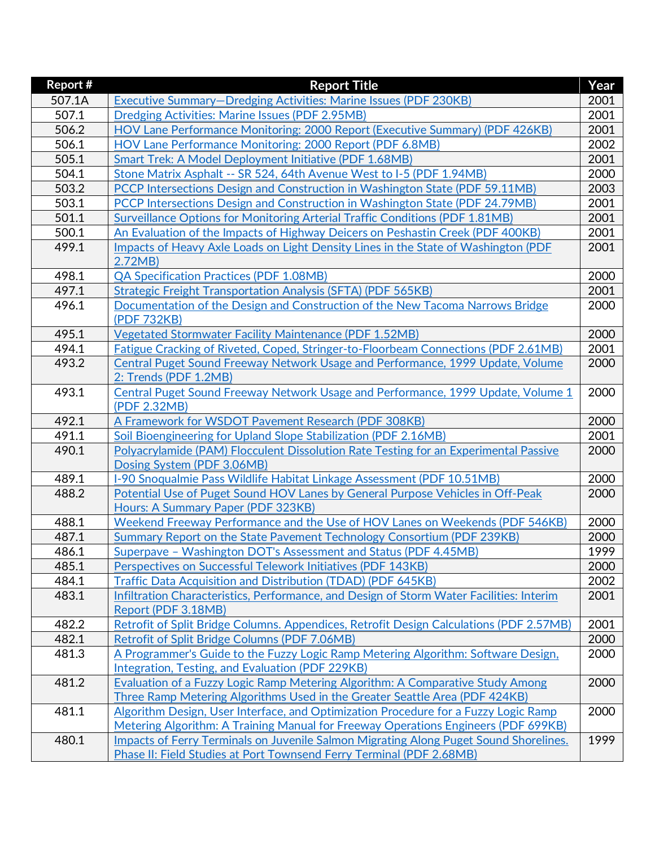| Report # | <b>Report Title</b>                                                                                                  | Year |
|----------|----------------------------------------------------------------------------------------------------------------------|------|
| 507.1A   | Executive Summary-Dredging Activities: Marine Issues (PDF 230KB)                                                     | 2001 |
| 507.1    | Dredging Activities: Marine Issues (PDF 2.95MB)                                                                      | 2001 |
| 506.2    | HOV Lane Performance Monitoring: 2000 Report (Executive Summary) (PDF 426KB)                                         | 2001 |
| 506.1    | HOV Lane Performance Monitoring: 2000 Report (PDF 6.8MB)                                                             | 2002 |
| 505.1    | Smart Trek: A Model Deployment Initiative (PDF 1.68MB)                                                               | 2001 |
| 504.1    | Stone Matrix Asphalt -- SR 524, 64th Avenue West to I-5 (PDF 1.94MB)                                                 | 2000 |
| 503.2    | PCCP Intersections Design and Construction in Washington State (PDF 59.11MB)                                         | 2003 |
| 503.1    | PCCP Intersections Design and Construction in Washington State (PDF 24.79MB)                                         | 2001 |
| 501.1    | Surveillance Options for Monitoring Arterial Traffic Conditions (PDF 1.81MB)                                         | 2001 |
| 500.1    | An Evaluation of the Impacts of Highway Deicers on Peshastin Creek (PDF 400KB)                                       | 2001 |
| 499.1    | Impacts of Heavy Axle Loads on Light Density Lines in the State of Washington (PDF                                   | 2001 |
|          | 2.72MB)                                                                                                              |      |
| 498.1    | <b>QA Specification Practices (PDF 1.08MB)</b>                                                                       | 2000 |
| 497.1    | Strategic Freight Transportation Analysis (SFTA) (PDF 565KB)                                                         | 2001 |
| 496.1    | Documentation of the Design and Construction of the New Tacoma Narrows Bridge                                        | 2000 |
|          | (PDF 732KB)                                                                                                          |      |
| 495.1    | <b>Vegetated Stormwater Facility Maintenance (PDF 1.52MB)</b>                                                        | 2000 |
| 494.1    | Fatigue Cracking of Riveted, Coped, Stringer-to-Floorbeam Connections (PDF 2.61MB)                                   | 2001 |
| 493.2    | Central Puget Sound Freeway Network Usage and Performance, 1999 Update, Volume                                       | 2000 |
|          | 2: Trends (PDF 1.2MB)                                                                                                |      |
| 493.1    | Central Puget Sound Freeway Network Usage and Performance, 1999 Update, Volume 1                                     | 2000 |
|          | (PDF 2.32MB)                                                                                                         |      |
| 492.1    | A Framework for WSDOT Pavement Research (PDF 308KB)                                                                  | 2000 |
| 491.1    | Soil Bioengineering for Upland Slope Stabilization (PDF 2.16MB)                                                      | 2001 |
| 490.1    | Polyacrylamide (PAM) Flocculent Dissolution Rate Testing for an Experimental Passive                                 | 2000 |
|          | Dosing System (PDF 3.06MB)                                                                                           |      |
| 489.1    | I-90 Snoqualmie Pass Wildlife Habitat Linkage Assessment (PDF 10.51MB)                                               | 2000 |
| 488.2    | Potential Use of Puget Sound HOV Lanes by General Purpose Vehicles in Off-Peak<br>Hours: A Summary Paper (PDF 323KB) | 2000 |
| 488.1    | Weekend Freeway Performance and the Use of HOV Lanes on Weekends (PDF 546KB)                                         | 2000 |
| 487.1    | Summary Report on the State Pavement Technology Consortium (PDF 239KB)                                               | 2000 |
| 486.1    | Superpave - Washington DOT's Assessment and Status (PDF 4.45MB)                                                      | 1999 |
| 485.1    | Perspectives on Successful Telework Initiatives (PDF 143KB)                                                          | 2000 |
| 484.1    | Traffic Data Acquisition and Distribution (TDAD) (PDF 645KB)                                                         | 2002 |
| 483.1    | Infiltration Characteristics, Performance, and Design of Storm Water Facilities: Interim                             | 2001 |
|          | Report (PDF 3.18MB)                                                                                                  |      |
| 482.2    | Retrofit of Split Bridge Columns. Appendices, Retrofit Design Calculations (PDF 2.57MB)                              | 2001 |
| 482.1    | Retrofit of Split Bridge Columns (PDF 7.06MB)                                                                        | 2000 |
| 481.3    | A Programmer's Guide to the Fuzzy Logic Ramp Metering Algorithm: Software Design,                                    | 2000 |
|          | <b>Integration, Testing, and Evaluation (PDF 229KB)</b>                                                              |      |
| 481.2    | Evaluation of a Fuzzy Logic Ramp Metering Algorithm: A Comparative Study Among                                       | 2000 |
|          | Three Ramp Metering Algorithms Used in the Greater Seattle Area (PDF 424KB)                                          |      |
| 481.1    | Algorithm Design, User Interface, and Optimization Procedure for a Fuzzy Logic Ramp                                  | 2000 |
|          | Metering Algorithm: A Training Manual for Freeway Operations Engineers (PDF 699KB)                                   |      |
| 480.1    | Impacts of Ferry Terminals on Juvenile Salmon Migrating Along Puget Sound Shorelines.                                | 1999 |
|          | Phase II: Field Studies at Port Townsend Ferry Terminal (PDF 2.68MB)                                                 |      |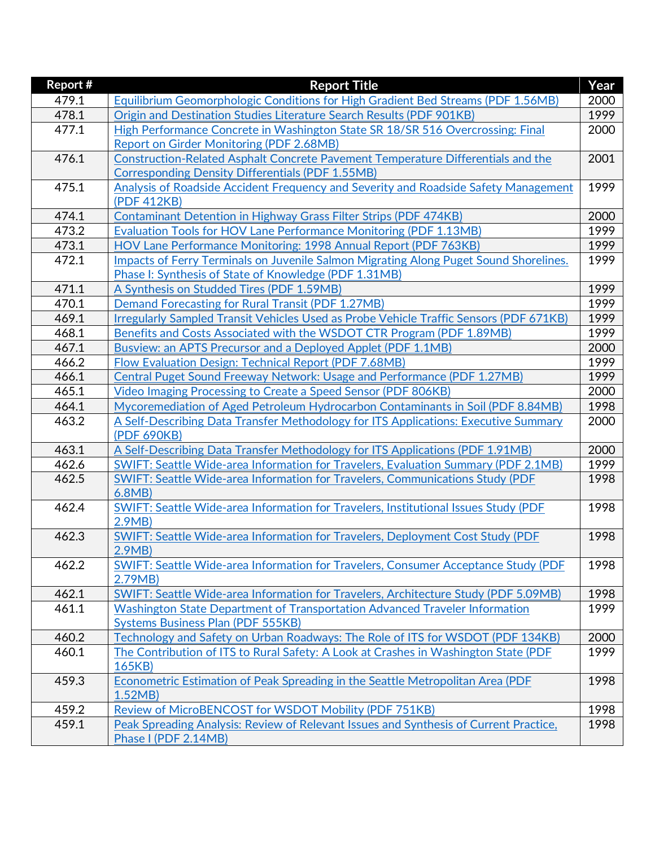| <b>Report #</b> | <b>Report Title</b>                                                                           | Year |
|-----------------|-----------------------------------------------------------------------------------------------|------|
| 479.1           | Equilibrium Geomorphologic Conditions for High Gradient Bed Streams (PDF 1.56MB)              | 2000 |
| 478.1           | Origin and Destination Studies Literature Search Results (PDF 901KB)                          | 1999 |
| 477.1           | High Performance Concrete in Washington State SR 18/SR 516 Overcrossing: Final                | 2000 |
|                 | <b>Report on Girder Monitoring (PDF 2.68MB)</b>                                               |      |
| 476.1           | <b>Construction-Related Asphalt Concrete Pavement Temperature Differentials and the</b>       | 2001 |
|                 | <b>Corresponding Density Differentials (PDF 1.55MB)</b>                                       |      |
| 475.1           | Analysis of Roadside Accident Frequency and Severity and Roadside Safety Management           | 1999 |
|                 | (PDF 412KB)                                                                                   |      |
| 474.1           | <b>Contaminant Detention in Highway Grass Filter Strips (PDF 474KB)</b>                       | 2000 |
| 473.2           | <b>Evaluation Tools for HOV Lane Performance Monitoring (PDF 1.13MB)</b>                      | 1999 |
| 473.1           | HOV Lane Performance Monitoring: 1998 Annual Report (PDF 763KB)                               | 1999 |
| 472.1           | Impacts of Ferry Terminals on Juvenile Salmon Migrating Along Puget Sound Shorelines.         | 1999 |
|                 | Phase I: Synthesis of State of Knowledge (PDF 1.31MB)                                         |      |
| 471.1           | A Synthesis on Studded Tires (PDF 1.59MB)                                                     | 1999 |
| 470.1           | <b>Demand Forecasting for Rural Transit (PDF 1.27MB)</b>                                      | 1999 |
| 469.1           | Irregularly Sampled Transit Vehicles Used as Probe Vehicle Traffic Sensors (PDF 671KB)        | 1999 |
| 468.1           | Benefits and Costs Associated with the WSDOT CTR Program (PDF 1.89MB)                         | 1999 |
| 467.1           | Busview: an APTS Precursor and a Deployed Applet (PDF 1.1MB)                                  | 2000 |
| 466.2           | Flow Evaluation Design: Technical Report (PDF 7.68MB)                                         | 1999 |
| 466.1           | Central Puget Sound Freeway Network: Usage and Performance (PDF 1.27MB)                       | 1999 |
| 465.1           | Video Imaging Processing to Create a Speed Sensor (PDF 806KB)                                 | 2000 |
| 464.1           | Mycoremediation of Aged Petroleum Hydrocarbon Contaminants in Soil (PDF 8.84MB)               | 1998 |
| 463.2           | A Self-Describing Data Transfer Methodology for ITS Applications: Executive Summary           | 2000 |
|                 | (PDF 690KB)                                                                                   |      |
| 463.1           | A Self-Describing Data Transfer Methodology for ITS Applications (PDF 1.91MB)                 | 2000 |
| 462.6           | SWIFT: Seattle Wide-area Information for Travelers, Evaluation Summary (PDF 2.1MB)            | 1999 |
| 462.5           | <b>SWIFT: Seattle Wide-area Information for Travelers, Communications Study (PDF</b>          | 1998 |
|                 | 6.8MB)                                                                                        |      |
| 462.4           | SWIFT: Seattle Wide-area Information for Travelers, Institutional Issues Study (PDF           | 1998 |
|                 | 2.9MB                                                                                         |      |
| 462.3           | SWIFT: Seattle Wide-area Information for Travelers, Deployment Cost Study (PDF                | 1998 |
|                 | 2.9MB                                                                                         |      |
| 462.2           | SWIFT: Seattle Wide-area Information for Travelers, Consumer Acceptance Study (PDF<br>2.79MB) | 1998 |
| 462.1           | SWIFT: Seattle Wide-area Information for Travelers, Architecture Study (PDF 5.09MB)           | 1998 |
| 461.1           | Washington State Department of Transportation Advanced Traveler Information                   | 1999 |
|                 | <b>Systems Business Plan (PDF 555KB)</b>                                                      |      |
| 460.2           | Technology and Safety on Urban Roadways: The Role of ITS for WSDOT (PDF 134KB)                | 2000 |
| 460.1           | The Contribution of ITS to Rural Safety: A Look at Crashes in Washington State (PDF)          | 1999 |
|                 | 165KB)                                                                                        |      |
| 459.3           | <b>Econometric Estimation of Peak Spreading in the Seattle Metropolitan Area (PDF</b>         | 1998 |
|                 | 1.52MB                                                                                        |      |
| 459.2           | Review of MicroBENCOST for WSDOT Mobility (PDF 751KB)                                         | 1998 |
| 459.1           | Peak Spreading Analysis: Review of Relevant Issues and Synthesis of Current Practice,         | 1998 |
|                 | Phase I (PDF 2.14MB)                                                                          |      |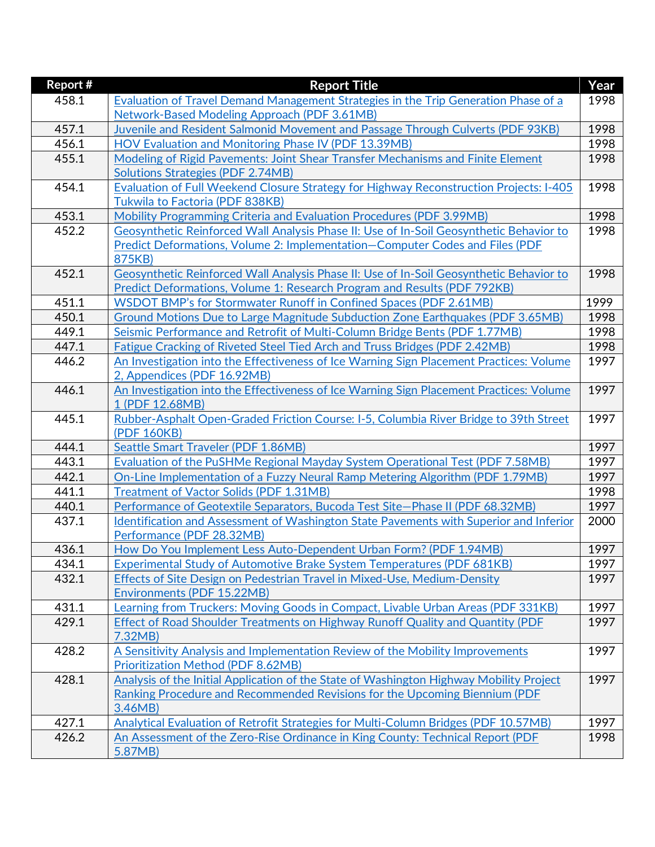| Report # | <b>Report Title</b>                                                                                    | Year |
|----------|--------------------------------------------------------------------------------------------------------|------|
| 458.1    | Evaluation of Travel Demand Management Strategies in the Trip Generation Phase of a                    | 1998 |
|          | Network-Based Modeling Approach (PDF 3.61MB)                                                           |      |
| 457.1    | Juvenile and Resident Salmonid Movement and Passage Through Culverts (PDF 93KB)                        | 1998 |
| 456.1    | <b>HOV Evaluation and Monitoring Phase IV (PDF 13.39MB)</b>                                            | 1998 |
| 455.1    | Modeling of Rigid Pavements: Joint Shear Transfer Mechanisms and Finite Element                        | 1998 |
|          | <b>Solutions Strategies (PDF 2.74MB)</b>                                                               |      |
| 454.1    | Evaluation of Full Weekend Closure Strategy for Highway Reconstruction Projects: I-405                 | 1998 |
|          | <b>Tukwila to Factoria (PDF 838KB)</b>                                                                 |      |
| 453.1    | Mobility Programming Criteria and Evaluation Procedures (PDF 3.99MB)                                   | 1998 |
| 452.2    | Geosynthetic Reinforced Wall Analysis Phase II: Use of In-Soil Geosynthetic Behavior to                | 1998 |
|          | Predict Deformations, Volume 2: Implementation–Computer Codes and Files (PDF                           |      |
|          | 875KB)                                                                                                 |      |
| 452.1    | Geosynthetic Reinforced Wall Analysis Phase II: Use of In-Soil Geosynthetic Behavior to                | 1998 |
|          | Predict Deformations, Volume 1: Research Program and Results (PDF 792KB)                               |      |
| 451.1    | WSDOT BMP's for Stormwater Runoff in Confined Spaces (PDF 2.61MB)                                      | 1999 |
| 450.1    | Ground Motions Due to Large Magnitude Subduction Zone Earthquakes (PDF 3.65MB)                         | 1998 |
| 449.1    | Seismic Performance and Retrofit of Multi-Column Bridge Bents (PDF 1.77MB)                             | 1998 |
| 447.1    | Fatigue Cracking of Riveted Steel Tied Arch and Truss Bridges (PDF 2.42MB)                             | 1998 |
| 446.2    | An Investigation into the Effectiveness of Ice Warning Sign Placement Practices: Volume                | 1997 |
|          | 2, Appendices (PDF 16.92MB)                                                                            |      |
| 446.1    | An Investigation into the Effectiveness of Ice Warning Sign Placement Practices: Volume                | 1997 |
|          | 1 (PDF 12.68MB)                                                                                        |      |
| 445.1    | Rubber-Asphalt Open-Graded Friction Course: I-5, Columbia River Bridge to 39th Street                  | 1997 |
|          | (PDF 160KB)                                                                                            |      |
| 444.1    | <b>Seattle Smart Traveler (PDF 1.86MB)</b>                                                             | 1997 |
| 443.1    | <b>Evaluation of the PuSHMe Regional Mayday System Operational Test (PDF 7.58MB)</b>                   | 1997 |
| 442.1    | On-Line Implementation of a Fuzzy Neural Ramp Metering Algorithm (PDF 1.79MB)                          | 1997 |
| 441.1    | <b>Treatment of Vactor Solids (PDF 1.31MB)</b>                                                         | 1998 |
| 440.1    | Performance of Geotextile Separators, Bucoda Test Site-Phase II (PDF 68.32MB)                          | 1997 |
| 437.1    | <u>Identification and Assessment of Washington State Pavements with Superior and Inferior</u>          | 2000 |
| 436.1    | Performance (PDF 28.32MB)<br>How Do You Implement Less Auto-Dependent Urban Form? (PDF 1.94MB)         | 1997 |
| 434.1    |                                                                                                        | 1997 |
| 432.1    | <b>Experimental Study of Automotive Brake System Temperatures (PDF 681KB)</b>                          | 1997 |
|          | Effects of Site Design on Pedestrian Travel in Mixed-Use, Medium-Density<br>Environments (PDF 15.22MB) |      |
| 431.1    | Learning from Truckers: Moving Goods in Compact, Livable Urban Areas (PDF 331KB)                       | 1997 |
| 429.1    | Effect of Road Shoulder Treatments on Highway Runoff Quality and Quantity (PDF                         | 1997 |
|          | 7.32MB)                                                                                                |      |
| 428.2    | A Sensitivity Analysis and Implementation Review of the Mobility Improvements                          | 1997 |
|          | <b>Prioritization Method (PDF 8.62MB)</b>                                                              |      |
| 428.1    | Analysis of the Initial Application of the State of Washington Highway Mobility Project                | 1997 |
|          | Ranking Procedure and Recommended Revisions for the Upcoming Biennium (PDF                             |      |
|          | 3.46MB                                                                                                 |      |
| 427.1    | Analytical Evaluation of Retrofit Strategies for Multi-Column Bridges (PDF 10.57MB)                    | 1997 |
| 426.2    | An Assessment of the Zero-Rise Ordinance in King County: Technical Report (PDF                         | 1998 |
|          | 5.87MB)                                                                                                |      |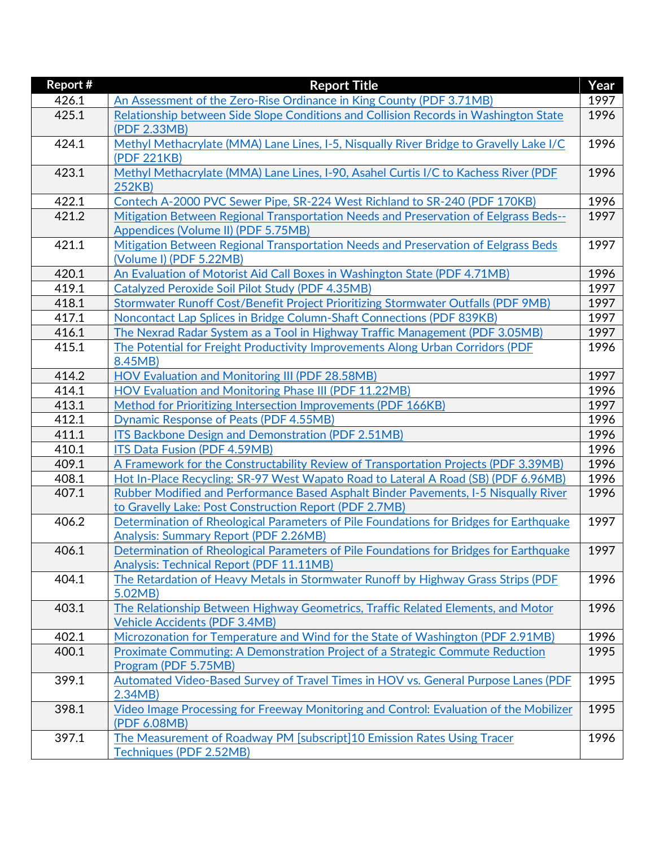| Report # | <b>Report Title</b>                                                                    | Year |
|----------|----------------------------------------------------------------------------------------|------|
| 426.1    | An Assessment of the Zero-Rise Ordinance in King County (PDF 3.71MB)                   | 1997 |
| 425.1    | Relationship between Side Slope Conditions and Collision Records in Washington State   | 1996 |
|          | (PDF 2.33MB)                                                                           |      |
| 424.1    | Methyl Methacrylate (MMA) Lane Lines, I-5, Nisqually River Bridge to Gravelly Lake I/C | 1996 |
|          | (PDF 221KB)                                                                            |      |
| 423.1    | Methyl Methacrylate (MMA) Lane Lines, I-90, Asahel Curtis I/C to Kachess River (PDF    | 1996 |
|          | 252KB)                                                                                 |      |
| 422.1    | Contech A-2000 PVC Sewer Pipe, SR-224 West Richland to SR-240 (PDF 170KB)              | 1996 |
| 421.2    | Mitigation Between Regional Transportation Needs and Preservation of Eelgrass Beds--   | 1997 |
|          | Appendices (Volume II) (PDF 5.75MB)                                                    |      |
| 421.1    | Mitigation Between Regional Transportation Needs and Preservation of Eelgrass Beds     | 1997 |
|          | (Volume I) (PDF 5.22MB)                                                                |      |
| 420.1    | An Evaluation of Motorist Aid Call Boxes in Washington State (PDF 4.71MB)              | 1996 |
| 419.1    | Catalyzed Peroxide Soil Pilot Study (PDF 4.35MB)                                       | 1997 |
| 418.1    | Stormwater Runoff Cost/Benefit Project Prioritizing Stormwater Outfalls (PDF 9MB)      | 1997 |
| 417.1    | Noncontact Lap Splices in Bridge Column-Shaft Connections (PDF 839KB)                  | 1997 |
| 416.1    | The Nexrad Radar System as a Tool in Highway Traffic Management (PDF 3.05MB)           | 1997 |
| 415.1    | The Potential for Freight Productivity Improvements Along Urban Corridors (PDF         | 1996 |
|          | 8.45MB)                                                                                |      |
| 414.2    | HOV Evaluation and Monitoring III (PDF 28.58MB)                                        | 1997 |
| 414.1    | HOV Evaluation and Monitoring Phase III (PDF 11.22MB)                                  | 1996 |
| 413.1    | Method for Prioritizing Intersection Improvements (PDF 166KB)                          | 1997 |
| 412.1    | <b>Dynamic Response of Peats (PDF 4.55MB)</b>                                          | 1996 |
| 411.1    | <b>ITS Backbone Design and Demonstration (PDF 2.51MB)</b>                              | 1996 |
| 410.1    | <b>ITS Data Fusion (PDF 4.59MB)</b>                                                    | 1996 |
| 409.1    | A Framework for the Constructability Review of Transportation Projects (PDF 3.39MB)    | 1996 |
| 408.1    | Hot In-Place Recycling: SR-97 West Wapato Road to Lateral A Road (SB) (PDF 6.96MB)     | 1996 |
| 407.1    | Rubber Modified and Performance Based Asphalt Binder Pavements, I-5 Nisqually River    | 1996 |
|          | to Gravelly Lake: Post Construction Report (PDF 2.7MB)                                 |      |
| 406.2    | Determination of Rheological Parameters of Pile Foundations for Bridges for Earthquake | 1997 |
|          | Analysis: Summary Report (PDF 2.26MB)                                                  |      |
| 406.1    | Determination of Rheological Parameters of Pile Foundations for Bridges for Earthquake | 1997 |
|          | Analysis: Technical Report (PDF 11.11MB)                                               |      |
| 404.1    | The Retardation of Heavy Metals in Stormwater Runoff by Highway Grass Strips (PDF      | 1996 |
|          | 5.02MB)                                                                                |      |
| 403.1    | The Relationship Between Highway Geometrics, Traffic Related Elements, and Motor       | 1996 |
|          | <b>Vehicle Accidents (PDF 3.4MB)</b>                                                   |      |
| 402.1    | Microzonation for Temperature and Wind for the State of Washington (PDF 2.91MB)        | 1996 |
| 400.1    | Proximate Commuting: A Demonstration Project of a Strategic Commute Reduction          | 1995 |
|          | Program (PDF 5.75MB)                                                                   |      |
| 399.1    | Automated Video-Based Survey of Travel Times in HOV vs. General Purpose Lanes (PDF     | 1995 |
|          | 2.34MB                                                                                 |      |
| 398.1    | Video Image Processing for Freeway Monitoring and Control: Evaluation of the Mobilizer | 1995 |
|          | (PDF 6.08MB)                                                                           |      |
| 397.1    | The Measurement of Roadway PM [subscript]10 Emission Rates Using Tracer                | 1996 |
|          | Techniques (PDF 2.52MB)                                                                |      |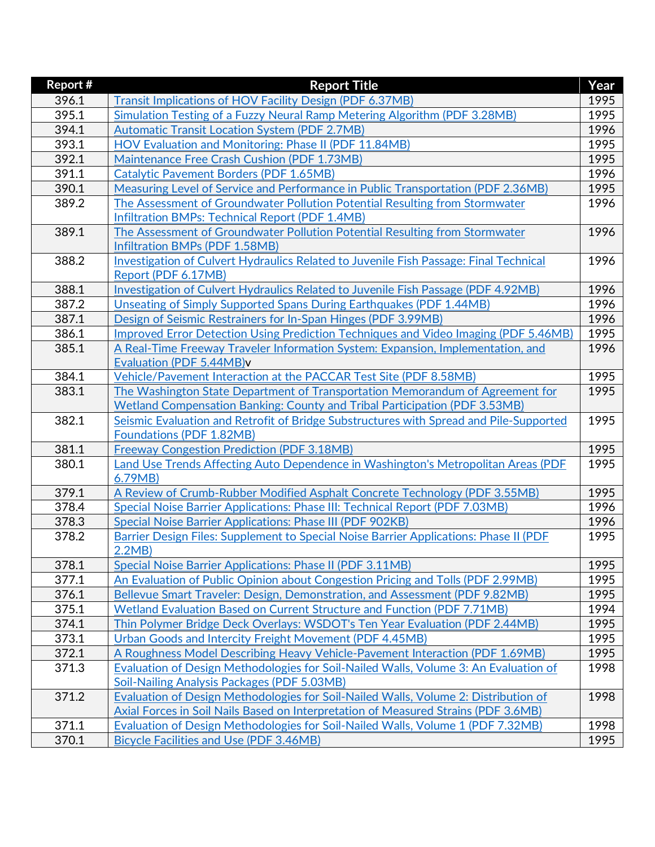| Report # | <b>Report Title</b>                                                                                                                | Year |
|----------|------------------------------------------------------------------------------------------------------------------------------------|------|
| 396.1    | Transit Implications of HOV Facility Design (PDF 6.37MB)                                                                           | 1995 |
| 395.1    | Simulation Testing of a Fuzzy Neural Ramp Metering Algorithm (PDF 3.28MB)                                                          | 1995 |
| 394.1    | <b>Automatic Transit Location System (PDF 2.7MB)</b>                                                                               | 1996 |
| 393.1    | HOV Evaluation and Monitoring: Phase II (PDF 11.84MB)                                                                              | 1995 |
| 392.1    | Maintenance Free Crash Cushion (PDF 1.73MB)                                                                                        | 1995 |
| 391.1    | <b>Catalytic Pavement Borders (PDF 1.65MB)</b>                                                                                     | 1996 |
| 390.1    | Measuring Level of Service and Performance in Public Transportation (PDF 2.36MB)                                                   | 1995 |
| 389.2    | The Assessment of Groundwater Pollution Potential Resulting from Stormwater                                                        | 1996 |
|          | Infiltration BMPs: Technical Report (PDF 1.4MB)                                                                                    |      |
| 389.1    | The Assessment of Groundwater Pollution Potential Resulting from Stormwater                                                        | 1996 |
|          | Infiltration BMPs (PDF 1.58MB)                                                                                                     |      |
| 388.2    | <b>Investigation of Culvert Hydraulics Related to Juvenile Fish Passage: Final Technical</b>                                       | 1996 |
|          | Report (PDF 6.17MB)                                                                                                                |      |
| 388.1    | Investigation of Culvert Hydraulics Related to Juvenile Fish Passage (PDF 4.92MB)                                                  | 1996 |
| 387.2    | Unseating of Simply Supported Spans During Earthquakes (PDF 1.44MB)                                                                | 1996 |
| 387.1    | Design of Seismic Restrainers for In-Span Hinges (PDF 3.99MB)                                                                      | 1996 |
| 386.1    | Improved Error Detection Using Prediction Techniques and Video Imaging (PDF 5.46MB)                                                | 1995 |
| 385.1    | A Real-Time Freeway Traveler Information System: Expansion, Implementation, and                                                    | 1996 |
|          | Evaluation (PDF 5.44MB)v                                                                                                           |      |
| 384.1    | Vehicle/Pavement Interaction at the PACCAR Test Site (PDF 8.58MB)                                                                  | 1995 |
| 383.1    | The Washington State Department of Transportation Memorandum of Agreement for                                                      | 1995 |
|          | Wetland Compensation Banking: County and Tribal Participation (PDF 3.53MB)                                                         |      |
| 382.1    | Seismic Evaluation and Retrofit of Bridge Substructures with Spread and Pile-Supported                                             | 1995 |
|          | <b>Foundations (PDF 1.82MB)</b>                                                                                                    |      |
| 381.1    | <b>Freeway Congestion Prediction (PDF 3.18MB)</b>                                                                                  | 1995 |
| 380.1    | Land Use Trends Affecting Auto Dependence in Washington's Metropolitan Areas (PDF                                                  | 1995 |
|          | 6.79MB)                                                                                                                            |      |
| 379.1    | A Review of Crumb-Rubber Modified Asphalt Concrete Technology (PDF 3.55MB)                                                         | 1995 |
| 378.4    | Special Noise Barrier Applications: Phase III: Technical Report (PDF 7.03MB)                                                       | 1996 |
| 378.3    | <b>Special Noise Barrier Applications: Phase III (PDF 902KB)</b>                                                                   | 1996 |
| 378.2    | Barrier Design Files: Supplement to Special Noise Barrier Applications: Phase II (PDF                                              | 1995 |
|          | 2.2MB                                                                                                                              |      |
| 378.1    | Special Noise Barrier Applications: Phase II (PDF 3.11MB)                                                                          | 1995 |
| 377.1    | An Evaluation of Public Opinion about Congestion Pricing and Tolls (PDF 2.99MB)                                                    | 1995 |
| 376.1    | Bellevue Smart Traveler: Design, Demonstration, and Assessment (PDF 9.82MB)                                                        | 1995 |
| 375.1    | <b>Wetland Evaluation Based on Current Structure and Function (PDF 7.71MB)</b>                                                     | 1994 |
| 374.1    | Thin Polymer Bridge Deck Overlays: WSDOT's Ten Year Evaluation (PDF 2.44MB)                                                        | 1995 |
| 373.1    | Urban Goods and Intercity Freight Movement (PDF 4.45MB)                                                                            | 1995 |
| 372.1    | A Roughness Model Describing Heavy Vehicle-Pavement Interaction (PDF 1.69MB)                                                       | 1995 |
| 371.3    | Evaluation of Design Methodologies for Soil-Nailed Walls, Volume 3: An Evaluation of                                               | 1998 |
| 371.2    | Soil-Nailing Analysis Packages (PDF 5.03MB)<br>Evaluation of Design Methodologies for Soil-Nailed Walls, Volume 2: Distribution of | 1998 |
|          | Axial Forces in Soil Nails Based on Interpretation of Measured Strains (PDF 3.6MB)                                                 |      |
| 371.1    | Evaluation of Design Methodologies for Soil-Nailed Walls, Volume 1 (PDF 7.32MB)                                                    | 1998 |
| 370.1    | Bicycle Facilities and Use (PDF 3.46MB)                                                                                            | 1995 |
|          |                                                                                                                                    |      |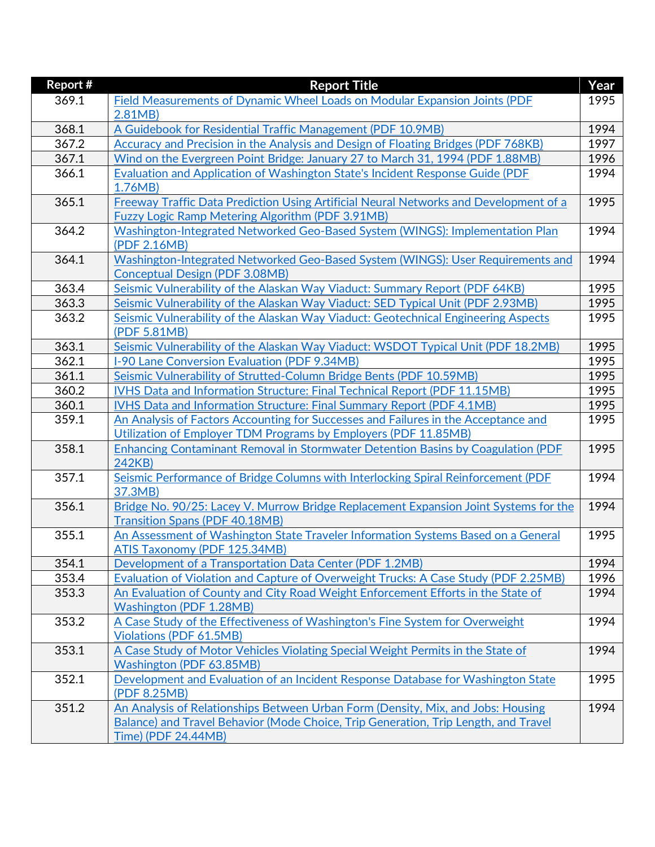| Report # | <b>Report Title</b>                                                                          | Year |
|----------|----------------------------------------------------------------------------------------------|------|
| 369.1    | Field Measurements of Dynamic Wheel Loads on Modular Expansion Joints (PDF                   | 1995 |
|          | 2.81MB                                                                                       |      |
| 368.1    | A Guidebook for Residential Traffic Management (PDF 10.9MB)                                  | 1994 |
| 367.2    | Accuracy and Precision in the Analysis and Design of Floating Bridges (PDF 768KB)            | 1997 |
| 367.1    | Wind on the Evergreen Point Bridge: January 27 to March 31, 1994 (PDF 1.88MB)                | 1996 |
| 366.1    | <b>Evaluation and Application of Washington State's Incident Response Guide (PDF</b>         | 1994 |
|          | 1.76MB)                                                                                      |      |
| 365.1    | Freeway Traffic Data Prediction Using Artificial Neural Networks and Development of a        | 1995 |
|          | <b>Fuzzy Logic Ramp Metering Algorithm (PDF 3.91MB)</b>                                      |      |
| 364.2    | Washington-Integrated Networked Geo-Based System (WINGS): Implementation Plan                | 1994 |
|          | (PDF 2.16MB)                                                                                 |      |
| 364.1    | Washington-Integrated Networked Geo-Based System (WINGS): User Requirements and              | 1994 |
|          | <b>Conceptual Design (PDF 3.08MB)</b>                                                        |      |
| 363.4    | Seismic Vulnerability of the Alaskan Way Viaduct: Summary Report (PDF 64KB)                  | 1995 |
| 363.3    | Seismic Vulnerability of the Alaskan Way Viaduct: SED Typical Unit (PDF 2.93MB)              | 1995 |
| 363.2    | Seismic Vulnerability of the Alaskan Way Viaduct: Geotechnical Engineering Aspects           | 1995 |
|          | (PDF 5.81MB)                                                                                 |      |
| 363.1    | Seismic Vulnerability of the Alaskan Way Viaduct: WSDOT Typical Unit (PDF 18.2MB)            | 1995 |
| 362.1    | I-90 Lane Conversion Evaluation (PDF 9.34MB)                                                 | 1995 |
| 361.1    | Seismic Vulnerability of Strutted-Column Bridge Bents (PDF 10.59MB)                          | 1995 |
| 360.2    | IVHS Data and Information Structure: Final Technical Report (PDF 11.15MB)                    | 1995 |
| 360.1    | IVHS Data and Information Structure: Final Summary Report (PDF 4.1MB)                        | 1995 |
| 359.1    | An Analysis of Factors Accounting for Successes and Failures in the Acceptance and           | 1995 |
|          | Utilization of Employer TDM Programs by Employers (PDF 11.85MB)                              |      |
| 358.1    | <b>Enhancing Contaminant Removal in Stormwater Detention Basins by Coagulation (PDF)</b>     | 1995 |
|          | 242KB)                                                                                       |      |
| 357.1    | Seismic Performance of Bridge Columns with Interlocking Spiral Reinforcement (PDF<br>37.3MB) | 1994 |
| 356.1    | Bridge No. 90/25: Lacey V. Murrow Bridge Replacement Expansion Joint Systems for the         | 1994 |
|          | <b>Transition Spans (PDF 40.18MB)</b>                                                        |      |
| 355.1    | An Assessment of Washington State Traveler Information Systems Based on a General            | 1995 |
|          | <b>ATIS Taxonomy (PDF 125.34MB)</b>                                                          |      |
| 354.1    | Development of a Transportation Data Center (PDF 1.2MB)                                      | 1994 |
| 353.4    | Evaluation of Violation and Capture of Overweight Trucks: A Case Study (PDF 2.25MB)          | 1996 |
| 353.3    | An Evaluation of County and City Road Weight Enforcement Efforts in the State of             | 1994 |
|          | <b>Washington (PDF 1.28MB)</b>                                                               |      |
| 353.2    | A Case Study of the Effectiveness of Washington's Fine System for Overweight                 | 1994 |
|          | <b>Violations (PDF 61.5MB)</b>                                                               |      |
| 353.1    | A Case Study of Motor Vehicles Violating Special Weight Permits in the State of              | 1994 |
|          | Washington (PDF 63.85MB)                                                                     |      |
| 352.1    | Development and Evaluation of an Incident Response Database for Washington State             | 1995 |
|          | (PDF 8.25MB)                                                                                 |      |
| 351.2    | An Analysis of Relationships Between Urban Form (Density, Mix, and Jobs: Housing             | 1994 |
|          | Balance) and Travel Behavior (Mode Choice, Trip Generation, Trip Length, and Travel          |      |
|          | Time) (PDF 24.44MB)                                                                          |      |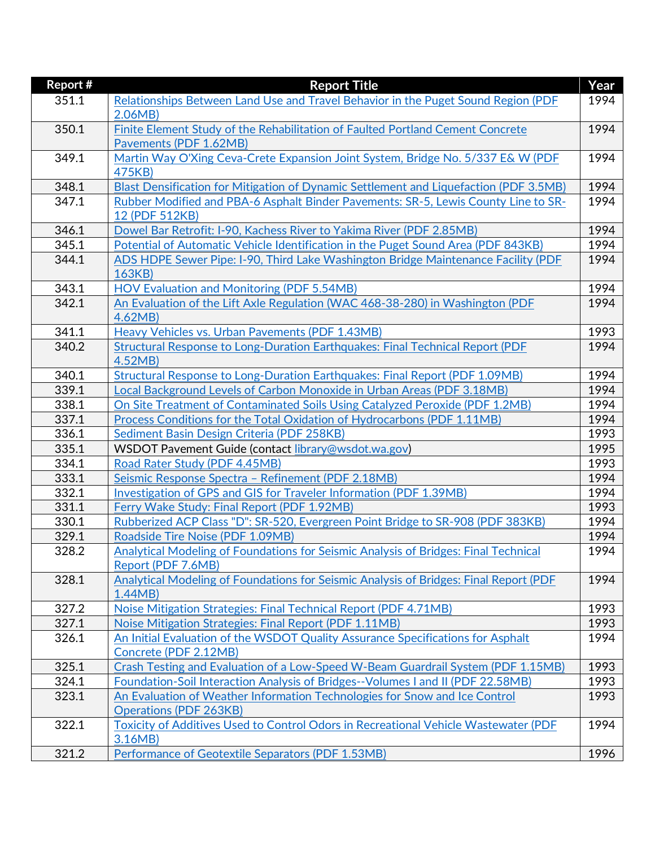| Report #       | <b>Report Title</b>                                                                        | Year         |
|----------------|--------------------------------------------------------------------------------------------|--------------|
| 351.1          | Relationships Between Land Use and Travel Behavior in the Puget Sound Region (PDF          | 1994         |
|                | 2.06MB                                                                                     |              |
| 350.1          | Finite Element Study of the Rehabilitation of Faulted Portland Cement Concrete             | 1994         |
|                | Pavements (PDF 1.62MB)                                                                     |              |
| 349.1          | Martin Way O'Xing Ceva-Crete Expansion Joint System, Bridge No. 5/337 E& W (PDF            | 1994         |
|                | 475KB)                                                                                     |              |
| 348.1          | Blast Densification for Mitigation of Dynamic Settlement and Liquefaction (PDF 3.5MB)      | 1994         |
| 347.1          | Rubber Modified and PBA-6 Asphalt Binder Pavements: SR-5, Lewis County Line to SR-         | 1994         |
|                | 12 (PDF 512KB)                                                                             |              |
| 346.1          | Dowel Bar Retrofit: I-90, Kachess River to Yakima River (PDF 2.85MB)                       | 1994         |
| 345.1          | Potential of Automatic Vehicle Identification in the Puget Sound Area (PDF 843KB)          | 1994         |
| 344.1          | ADS HDPE Sewer Pipe: I-90, Third Lake Washington Bridge Maintenance Facility (PDF          | 1994         |
|                | 163KB)                                                                                     |              |
| 343.1          | <b>HOV Evaluation and Monitoring (PDF 5.54MB)</b>                                          | 1994         |
| 342.1          | An Evaluation of the Lift Axle Regulation (WAC 468-38-280) in Washington (PDF              | 1994         |
|                | 4.62MB                                                                                     |              |
| 341.1          | Heavy Vehicles vs. Urban Pavements (PDF 1.43MB)                                            | 1993         |
| 340.2          | <b>Structural Response to Long-Duration Earthquakes: Final Technical Report (PDF</b>       | 1994         |
|                | 4.52MB)                                                                                    |              |
| 340.1          | Structural Response to Long-Duration Earthquakes: Final Report (PDF 1.09MB)                | 1994         |
| 339.1          | Local Background Levels of Carbon Monoxide in Urban Areas (PDF 3.18MB)                     | 1994         |
| 338.1          | On Site Treatment of Contaminated Soils Using Catalyzed Peroxide (PDF 1.2MB)               | 1994         |
| 337.1          | Process Conditions for the Total Oxidation of Hydrocarbons (PDF 1.11MB)                    | 1994<br>1993 |
| 336.1          | Sediment Basin Design Criteria (PDF 258KB)                                                 |              |
| 335.1<br>334.1 | WSDOT Pavement Guide (contact library@wsdot.wa.gov)<br>Road Rater Study (PDF 4.45MB)       | 1995<br>1993 |
| 333.1          | Seismic Response Spectra - Refinement (PDF 2.18MB)                                         | 1994         |
| 332.1          | Investigation of GPS and GIS for Traveler Information (PDF 1.39MB)                         | 1994         |
| 331.1          | Ferry Wake Study: Final Report (PDF 1.92MB)                                                | 1993         |
| 330.1          | Rubberized ACP Class "D": SR-520, Evergreen Point Bridge to SR-908 (PDF 383KB)             | 1994         |
| 329.1          | Roadside Tire Noise (PDF 1.09MB)                                                           | 1994         |
| 328.2          | <b>Analytical Modeling of Foundations for Seismic Analysis of Bridges: Final Technical</b> | 1994         |
|                | Report (PDF 7.6MB)                                                                         |              |
| 328.1          | Analytical Modeling of Foundations for Seismic Analysis of Bridges: Final Report (PDF      | 1994         |
|                | 1.44MB                                                                                     |              |
| 327.2          | Noise Mitigation Strategies: Final Technical Report (PDF 4.71MB)                           | 1993         |
| 327.1          | Noise Mitigation Strategies: Final Report (PDF 1.11MB)                                     | 1993         |
| 326.1          | An Initial Evaluation of the WSDOT Quality Assurance Specifications for Asphalt            | 1994         |
|                | Concrete (PDF 2.12MB)                                                                      |              |
| 325.1          | Crash Testing and Evaluation of a Low-Speed W-Beam Guardrail System (PDF 1.15MB)           | 1993         |
| 324.1          | Foundation-Soil Interaction Analysis of Bridges--Volumes I and II (PDF 22.58MB)            | 1993         |
| 323.1          | An Evaluation of Weather Information Technologies for Snow and Ice Control                 | 1993         |
|                | <b>Operations (PDF 263KB)</b>                                                              |              |
| 322.1          | Toxicity of Additives Used to Control Odors in Recreational Vehicle Wastewater (PDF        | 1994         |
|                | 3.16MB)                                                                                    |              |
| 321.2          | Performance of Geotextile Separators (PDF 1.53MB)                                          | 1996         |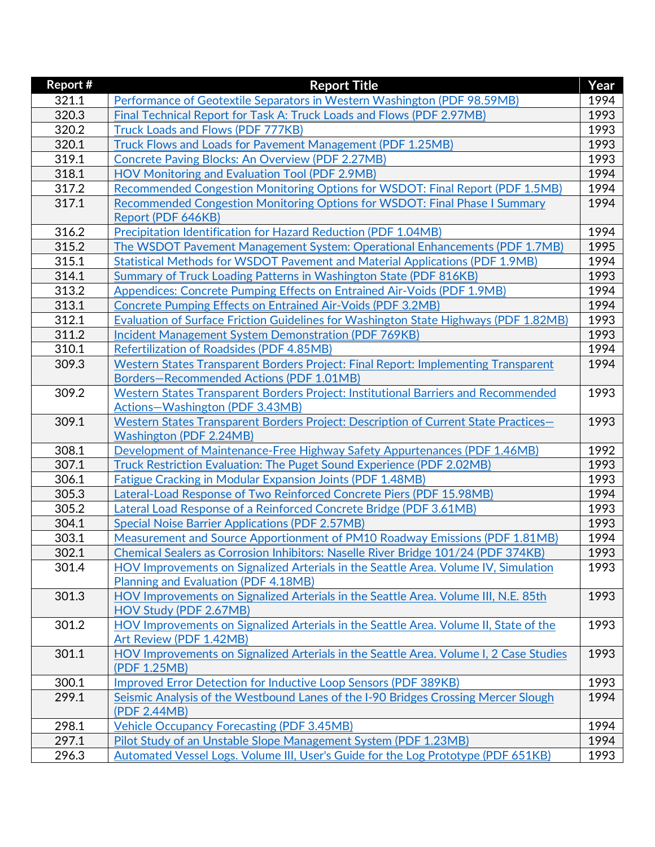| Report # | <b>Report Title</b>                                                                                                         | Year |
|----------|-----------------------------------------------------------------------------------------------------------------------------|------|
| 321.1    | Performance of Geotextile Separators in Western Washington (PDF 98.59MB)                                                    | 1994 |
| 320.3    | Final Technical Report for Task A: Truck Loads and Flows (PDF 2.97MB)                                                       | 1993 |
| 320.2    | Truck Loads and Flows (PDF 777KB)                                                                                           | 1993 |
| 320.1    | Truck Flows and Loads for Pavement Management (PDF 1.25MB)                                                                  | 1993 |
| 319.1    | <b>Concrete Paving Blocks: An Overview (PDF 2.27MB)</b>                                                                     | 1993 |
| 318.1    | <b>HOV Monitoring and Evaluation Tool (PDF 2.9MB)</b>                                                                       | 1994 |
| 317.2    | Recommended Congestion Monitoring Options for WSDOT: Final Report (PDF 1.5MB)                                               | 1994 |
| 317.1    | Recommended Congestion Monitoring Options for WSDOT: Final Phase I Summary                                                  | 1994 |
|          | Report (PDF 646KB)                                                                                                          |      |
| 316.2    | Precipitation Identification for Hazard Reduction (PDF 1.04MB)                                                              | 1994 |
| 315.2    | The WSDOT Pavement Management System: Operational Enhancements (PDF 1.7MB)                                                  | 1995 |
| 315.1    | Statistical Methods for WSDOT Pavement and Material Applications (PDF 1.9MB)                                                | 1994 |
| 314.1    | Summary of Truck Loading Patterns in Washington State (PDF 816KB)                                                           | 1993 |
| 313.2    | Appendices: Concrete Pumping Effects on Entrained Air-Voids (PDF 1.9MB)                                                     | 1994 |
| 313.1    | <b>Concrete Pumping Effects on Entrained Air-Voids (PDF 3.2MB)</b>                                                          | 1994 |
| 312.1    | <b>Evaluation of Surface Friction Guidelines for Washington State Highways (PDF 1.82MB)</b>                                 | 1993 |
| 311.2    | Incident Management System Demonstration (PDF 769KB)                                                                        | 1993 |
| 310.1    | <b>Refertilization of Roadsides (PDF 4.85MB)</b>                                                                            | 1994 |
| 309.3    | Western States Transparent Borders Project: Final Report: Implementing Transparent                                          | 1994 |
|          | Borders-Recommended Actions (PDF 1.01MB)                                                                                    |      |
| 309.2    | Western States Transparent Borders Project: Institutional Barriers and Recommended                                          | 1993 |
|          | Actions-Washington (PDF 3.43MB)                                                                                             |      |
| 309.1    | Western States Transparent Borders Project: Description of Current State Practices-                                         | 1993 |
|          | <b>Washington (PDF 2.24MB)</b>                                                                                              |      |
| 308.1    | Development of Maintenance-Free Highway Safety Appurtenances (PDF 1.46MB)                                                   | 1992 |
| 307.1    | Truck Restriction Evaluation: The Puget Sound Experience (PDF 2.02MB)                                                       | 1993 |
| 306.1    | <b>Fatigue Cracking in Modular Expansion Joints (PDF 1.48MB)</b>                                                            | 1993 |
| 305.3    | Lateral-Load Response of Two Reinforced Concrete Piers (PDF 15.98MB)                                                        | 1994 |
| 305.2    | Lateral Load Response of a Reinforced Concrete Bridge (PDF 3.61MB)                                                          | 1993 |
| 304.1    | <b>Special Noise Barrier Applications (PDF 2.57MB)</b>                                                                      | 1993 |
| 303.1    | Measurement and Source Apportionment of PM10 Roadway Emissions (PDF 1.81MB)                                                 | 1994 |
| 302.1    | Chemical Sealers as Corrosion Inhibitors: Naselle River Bridge 101/24 (PDF 374KB)                                           | 1993 |
| 301.4    | HOV Improvements on Signalized Arterials in the Seattle Area. Volume IV, Simulation<br>Planning and Evaluation (PDF 4.18MB) | 1993 |
| 301.3    | HOV Improvements on Signalized Arterials in the Seattle Area. Volume III, N.E. 85th                                         | 1993 |
|          | HOV Study (PDF 2.67MB)                                                                                                      |      |
| 301.2    | HOV Improvements on Signalized Arterials in the Seattle Area. Volume II, State of the                                       | 1993 |
|          | Art Review (PDF 1.42MB)                                                                                                     |      |
| 301.1    | HOV Improvements on Signalized Arterials in the Seattle Area. Volume I, 2 Case Studies                                      | 1993 |
|          | (PDF 1.25MB)                                                                                                                |      |
| 300.1    | Improved Error Detection for Inductive Loop Sensors (PDF 389KB)                                                             | 1993 |
| 299.1    | Seismic Analysis of the Westbound Lanes of the I-90 Bridges Crossing Mercer Slough                                          | 1994 |
|          | (PDF 2.44MB)                                                                                                                |      |
| 298.1    | <b>Vehicle Occupancy Forecasting (PDF 3.45MB)</b>                                                                           | 1994 |
| 297.1    | Pilot Study of an Unstable Slope Management System (PDF 1.23MB)                                                             | 1994 |
| 296.3    | Automated Vessel Logs. Volume III, User's Guide for the Log Prototype (PDF 651KB)                                           | 1993 |
|          |                                                                                                                             |      |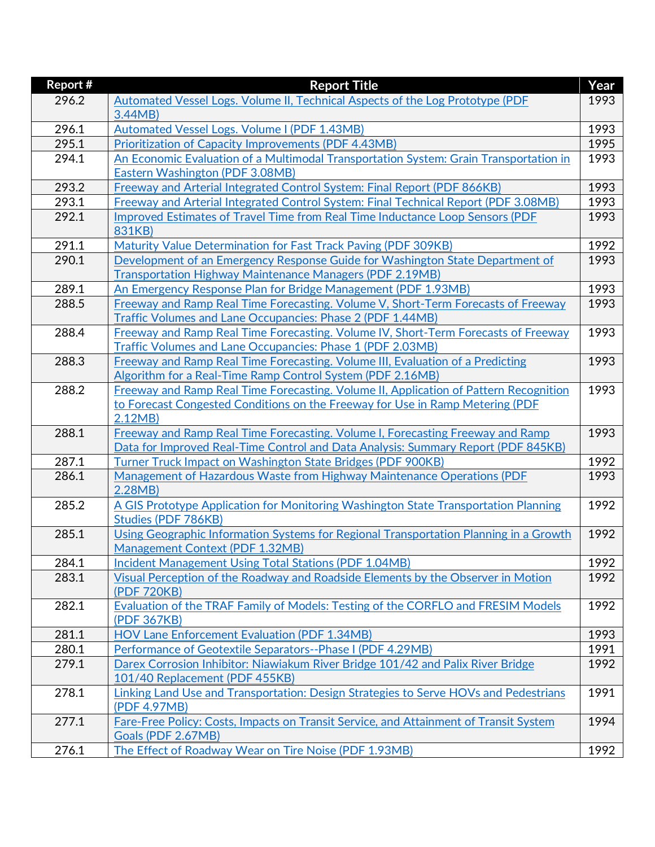| Report # | <b>Report Title</b>                                                                                                      | Year |
|----------|--------------------------------------------------------------------------------------------------------------------------|------|
| 296.2    | Automated Vessel Logs. Volume II, Technical Aspects of the Log Prototype (PDF                                            | 1993 |
|          | 3.44MB                                                                                                                   |      |
| 296.1    | <b>Automated Vessel Logs. Volume I (PDF 1.43MB)</b>                                                                      | 1993 |
| 295.1    | Prioritization of Capacity Improvements (PDF 4.43MB)                                                                     | 1995 |
| 294.1    | An Economic Evaluation of a Multimodal Transportation System: Grain Transportation in                                    | 1993 |
|          | <b>Eastern Washington (PDF 3.08MB)</b>                                                                                   |      |
| 293.2    | Freeway and Arterial Integrated Control System: Final Report (PDF 866KB)                                                 | 1993 |
| 293.1    | Freeway and Arterial Integrated Control System: Final Technical Report (PDF 3.08MB)                                      | 1993 |
| 292.1    | Improved Estimates of Travel Time from Real Time Inductance Loop Sensors (PDF                                            | 1993 |
|          | 831KB)                                                                                                                   |      |
| 291.1    | Maturity Value Determination for Fast Track Paving (PDF 309KB)                                                           | 1992 |
| 290.1    | Development of an Emergency Response Guide for Washington State Department of                                            | 1993 |
|          | <b>Transportation Highway Maintenance Managers (PDF 2.19MB)</b>                                                          |      |
| 289.1    | An Emergency Response Plan for Bridge Management (PDF 1.93MB)                                                            | 1993 |
| 288.5    | Freeway and Ramp Real Time Forecasting. Volume V, Short-Term Forecasts of Freeway                                        | 1993 |
|          | Traffic Volumes and Lane Occupancies: Phase 2 (PDF 1.44MB)                                                               |      |
| 288.4    | Freeway and Ramp Real Time Forecasting. Volume IV, Short-Term Forecasts of Freeway                                       | 1993 |
|          | Traffic Volumes and Lane Occupancies: Phase 1 (PDF 2.03MB)                                                               |      |
| 288.3    | Freeway and Ramp Real Time Forecasting. Volume III, Evaluation of a Predicting                                           | 1993 |
|          | Algorithm for a Real-Time Ramp Control System (PDF 2.16MB)                                                               |      |
| 288.2    | Freeway and Ramp Real Time Forecasting. Volume II, Application of Pattern Recognition                                    | 1993 |
|          | to Forecast Congested Conditions on the Freeway for Use in Ramp Metering (PDF                                            |      |
|          | 2.12MB                                                                                                                   |      |
| 288.1    | Freeway and Ramp Real Time Forecasting. Volume I, Forecasting Freeway and Ramp                                           | 1993 |
|          | Data for Improved Real-Time Control and Data Analysis: Summary Report (PDF 845KB)                                        |      |
| 287.1    | <b>Turner Truck Impact on Washington State Bridges (PDF 900KB)</b>                                                       | 1992 |
| 286.1    | Management of Hazardous Waste from Highway Maintenance Operations (PDF                                                   | 1993 |
|          | 2.28MB                                                                                                                   |      |
| 285.2    | A GIS Prototype Application for Monitoring Washington State Transportation Planning                                      | 1992 |
|          | Studies (PDF 786KB)                                                                                                      | 1992 |
| 285.1    | Using Geographic Information Systems for Regional Transportation Planning in a Growth<br>Management Context (PDF 1.32MB) |      |
| 284.1    | <b>Incident Management Using Total Stations (PDF 1.04MB)</b>                                                             | 1992 |
| 283.1    | Visual Perception of the Roadway and Roadside Elements by the Observer in Motion                                         | 1992 |
|          | (PDF 720KB)                                                                                                              |      |
| 282.1    | Evaluation of the TRAF Family of Models: Testing of the CORFLO and FRESIM Models                                         | 1992 |
|          | (PDF 367KB)                                                                                                              |      |
| 281.1    | <b>HOV Lane Enforcement Evaluation (PDF 1.34MB)</b>                                                                      | 1993 |
| 280.1    | Performance of Geotextile Separators--Phase I (PDF 4.29MB)                                                               | 1991 |
| 279.1    | Darex Corrosion Inhibitor: Niawiakum River Bridge 101/42 and Palix River Bridge                                          | 1992 |
|          | 101/40 Replacement (PDF 455KB)                                                                                           |      |
| 278.1    | Linking Land Use and Transportation: Design Strategies to Serve HOVs and Pedestrians                                     | 1991 |
|          | (PDF 4.97MB)                                                                                                             |      |
| 277.1    | Fare-Free Policy: Costs, Impacts on Transit Service, and Attainment of Transit System                                    | 1994 |
|          | Goals (PDF 2.67MB)                                                                                                       |      |
| 276.1    | The Effect of Roadway Wear on Tire Noise (PDF 1.93MB)                                                                    | 1992 |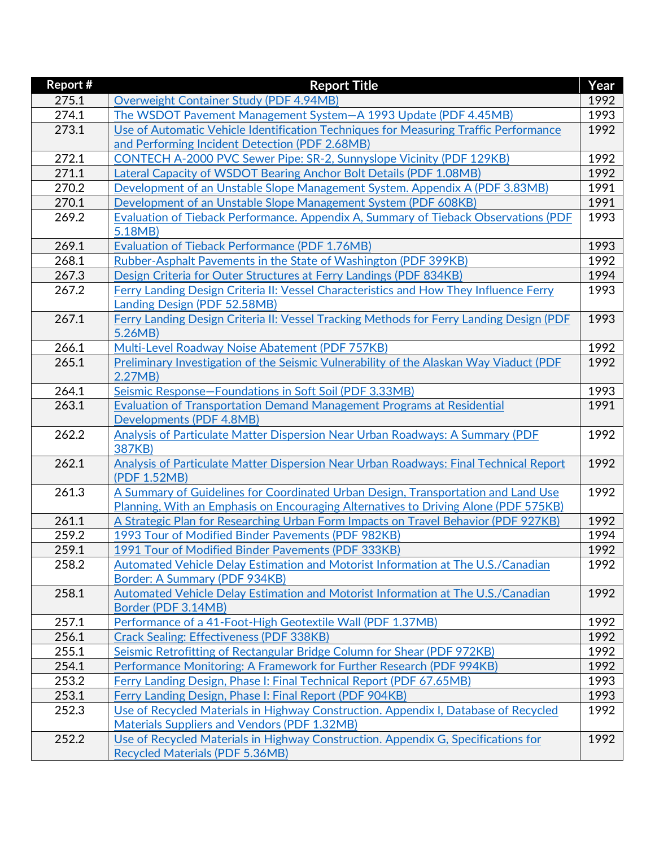| Report# | <b>Report Title</b>                                                                     | Year |
|---------|-----------------------------------------------------------------------------------------|------|
| 275.1   | <b>Overweight Container Study (PDF 4.94MB)</b>                                          | 1992 |
| 274.1   | The WSDOT Pavement Management System-A 1993 Update (PDF 4.45MB)                         | 1993 |
| 273.1   | Use of Automatic Vehicle Identification Techniques for Measuring Traffic Performance    | 1992 |
|         | and Performing Incident Detection (PDF 2.68MB)                                          |      |
| 272.1   | CONTECH A-2000 PVC Sewer Pipe: SR-2, Sunnyslope Vicinity (PDF 129KB)                    | 1992 |
| 271.1   | Lateral Capacity of WSDOT Bearing Anchor Bolt Details (PDF 1.08MB)                      | 1992 |
| 270.2   | Development of an Unstable Slope Management System. Appendix A (PDF 3.83MB)             | 1991 |
| 270.1   | Development of an Unstable Slope Management System (PDF 608KB)                          | 1991 |
| 269.2   | Evaluation of Tieback Performance. Appendix A, Summary of Tieback Observations (PDF     | 1993 |
|         | 5.18MB)                                                                                 |      |
| 269.1   | <b>Evaluation of Tieback Performance (PDF 1.76MB)</b>                                   | 1993 |
| 268.1   | Rubber-Asphalt Pavements in the State of Washington (PDF 399KB)                         | 1992 |
| 267.3   | Design Criteria for Outer Structures at Ferry Landings (PDF 834KB)                      | 1994 |
| 267.2   | Ferry Landing Design Criteria II: Vessel Characteristics and How They Influence Ferry   | 1993 |
|         | Landing Design (PDF 52.58MB)                                                            |      |
| 267.1   | Ferry Landing Design Criteria II: Vessel Tracking Methods for Ferry Landing Design (PDF | 1993 |
|         | 5.26MB)                                                                                 |      |
| 266.1   | Multi-Level Roadway Noise Abatement (PDF 757KB)                                         | 1992 |
| 265.1   | Preliminary Investigation of the Seismic Vulnerability of the Alaskan Way Viaduct (PDF) | 1992 |
|         | 2.27MB                                                                                  |      |
| 264.1   | Seismic Response-Foundations in Soft Soil (PDF 3.33MB)                                  | 1993 |
| 263.1   | Evaluation of Transportation Demand Management Programs at Residential                  | 1991 |
|         | Developments (PDF 4.8MB)                                                                |      |
| 262.2   | Analysis of Particulate Matter Dispersion Near Urban Roadways: A Summary (PDF<br>387KB) | 1992 |
| 262.1   | Analysis of Particulate Matter Dispersion Near Urban Roadways: Final Technical Report   | 1992 |
|         | (PDF 1.52MB)                                                                            |      |
| 261.3   | A Summary of Guidelines for Coordinated Urban Design, Transportation and Land Use       | 1992 |
|         | Planning, With an Emphasis on Encouraging Alternatives to Driving Alone (PDF 575KB)     |      |
| 261.1   | A Strategic Plan for Researching Urban Form Impacts on Travel Behavior (PDF 927KB)      | 1992 |
| 259.2   | 1993 Tour of Modified Binder Pavements (PDF 982KB)                                      | 1994 |
| 259.1   | 1991 Tour of Modified Binder Pavements (PDF 333KB)                                      | 1992 |
| 258.2   | Automated Vehicle Delay Estimation and Motorist Information at The U.S./Canadian        | 1992 |
|         | Border: A Summary (PDF 934KB)                                                           |      |
| 258.1   | Automated Vehicle Delay Estimation and Motorist Information at The U.S./Canadian        | 1992 |
|         | Border (PDF 3.14MB)                                                                     |      |
| 257.1   | Performance of a 41-Foot-High Geotextile Wall (PDF 1.37MB)                              | 1992 |
| 256.1   | <b>Crack Sealing: Effectiveness (PDF 338KB)</b>                                         | 1992 |
| 255.1   | Seismic Retrofitting of Rectangular Bridge Column for Shear (PDF 972KB)                 | 1992 |
| 254.1   | Performance Monitoring: A Framework for Further Research (PDF 994KB)                    | 1992 |
| 253.2   | Ferry Landing Design, Phase I: Final Technical Report (PDF 67.65MB)                     | 1993 |
| 253.1   | Ferry Landing Design, Phase I: Final Report (PDF 904KB)                                 | 1993 |
| 252.3   | Use of Recycled Materials in Highway Construction. Appendix I, Database of Recycled     | 1992 |
|         | <b>Materials Suppliers and Vendors (PDF 1.32MB)</b>                                     |      |
| 252.2   | Use of Recycled Materials in Highway Construction. Appendix G, Specifications for       | 1992 |
|         | <b>Recycled Materials (PDF 5.36MB)</b>                                                  |      |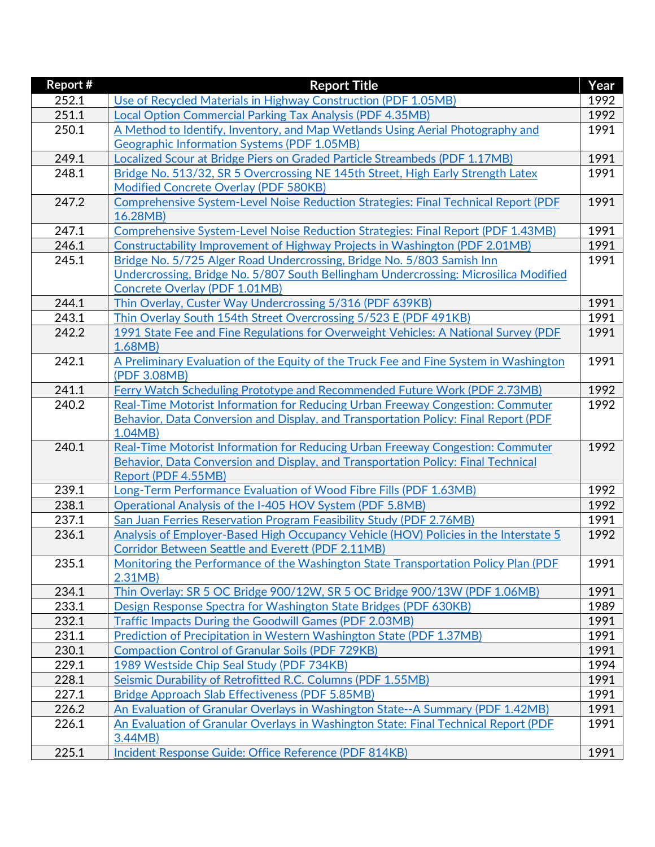| <b>Report #</b> | <b>Report Title</b>                                                                                      | Year |
|-----------------|----------------------------------------------------------------------------------------------------------|------|
| 252.1           | Use of Recycled Materials in Highway Construction (PDF 1.05MB)                                           | 1992 |
| 251.1           | <b>Local Option Commercial Parking Tax Analysis (PDF 4.35MB)</b>                                         | 1992 |
| 250.1           | A Method to Identify, Inventory, and Map Wetlands Using Aerial Photography and                           | 1991 |
|                 | <b>Geographic Information Systems (PDF 1.05MB)</b>                                                       |      |
| 249.1           | Localized Scour at Bridge Piers on Graded Particle Streambeds (PDF 1.17MB)                               | 1991 |
| 248.1           | Bridge No. 513/32, SR 5 Overcrossing NE 145th Street, High Early Strength Latex                          | 1991 |
|                 | <b>Modified Concrete Overlay (PDF 580KB)</b>                                                             |      |
| 247.2           | Comprehensive System-Level Noise Reduction Strategies: Final Technical Report (PDF                       | 1991 |
|                 | 16.28MB)                                                                                                 |      |
| 247.1           | Comprehensive System-Level Noise Reduction Strategies: Final Report (PDF 1.43MB)                         | 1991 |
| 246.1           | Constructability Improvement of Highway Projects in Washington (PDF 2.01MB)                              | 1991 |
| 245.1           | Bridge No. 5/725 Alger Road Undercrossing, Bridge No. 5/803 Samish Inn                                   | 1991 |
|                 | Undercrossing, Bridge No. 5/807 South Bellingham Undercrossing: Microsilica Modified                     |      |
|                 | <b>Concrete Overlay (PDF 1.01MB)</b>                                                                     |      |
| 244.1           | Thin Overlay, Custer Way Undercrossing 5/316 (PDF 639KB)                                                 | 1991 |
| 243.1           | Thin Overlay South 154th Street Overcrossing 5/523 E (PDF 491KB)                                         | 1991 |
| 242.2           | 1991 State Fee and Fine Regulations for Overweight Vehicles: A National Survey (PDF                      | 1991 |
|                 | 1.68MB                                                                                                   |      |
| 242.1           | A Preliminary Evaluation of the Equity of the Truck Fee and Fine System in Washington                    | 1991 |
|                 | (PDF 3.08MB)                                                                                             |      |
| 241.1           | Ferry Watch Scheduling Prototype and Recommended Future Work (PDF 2.73MB)                                | 1992 |
| 240.2           | Real-Time Motorist Information for Reducing Urban Freeway Congestion: Commuter                           | 1992 |
|                 | Behavior, Data Conversion and Display, and Transportation Policy: Final Report (PDF                      |      |
|                 | 1.04MB                                                                                                   |      |
| 240.1           | Real-Time Motorist Information for Reducing Urban Freeway Congestion: Commuter                           | 1992 |
|                 | Behavior, Data Conversion and Display, and Transportation Policy: Final Technical<br>Report (PDF 4.55MB) |      |
| 239.1           | Long-Term Performance Evaluation of Wood Fibre Fills (PDF 1.63MB)                                        | 1992 |
| 238.1           | Operational Analysis of the I-405 HOV System (PDF 5.8MB)                                                 | 1992 |
| 237.1           | San Juan Ferries Reservation Program Feasibility Study (PDF 2.76MB)                                      | 1991 |
| 236.1           | Analysis of Employer-Based High Occupancy Vehicle (HOV) Policies in the Interstate 5                     | 1992 |
|                 | <b>Corridor Between Seattle and Everett (PDF 2.11MB)</b>                                                 |      |
| 235.1           | Monitoring the Performance of the Washington State Transportation Policy Plan (PDF)                      | 1991 |
|                 | 2.31MB                                                                                                   |      |
| 234.1           | Thin Overlay: SR 5 OC Bridge 900/12W, SR 5 OC Bridge 900/13W (PDF 1.06MB)                                | 1991 |
| 233.1           | Design Response Spectra for Washington State Bridges (PDF 630KB)                                         | 1989 |
| 232.1           | <b>Traffic Impacts During the Goodwill Games (PDF 2.03MB)</b>                                            | 1991 |
| 231.1           | Prediction of Precipitation in Western Washington State (PDF 1.37MB)                                     | 1991 |
| 230.1           | <b>Compaction Control of Granular Soils (PDF 729KB)</b>                                                  | 1991 |
| 229.1           | 1989 Westside Chip Seal Study (PDF 734KB)                                                                | 1994 |
| 228.1           | Seismic Durability of Retrofitted R.C. Columns (PDF 1.55MB)                                              | 1991 |
| 227.1           | Bridge Approach Slab Effectiveness (PDF 5.85MB)                                                          | 1991 |
| 226.2           | An Evaluation of Granular Overlays in Washington State--A Summary (PDF 1.42MB)                           | 1991 |
| 226.1           | An Evaluation of Granular Overlays in Washington State: Final Technical Report (PDF                      | 1991 |
|                 | 3.44MB)                                                                                                  |      |
| 225.1           | Incident Response Guide: Office Reference (PDF 814KB)                                                    | 1991 |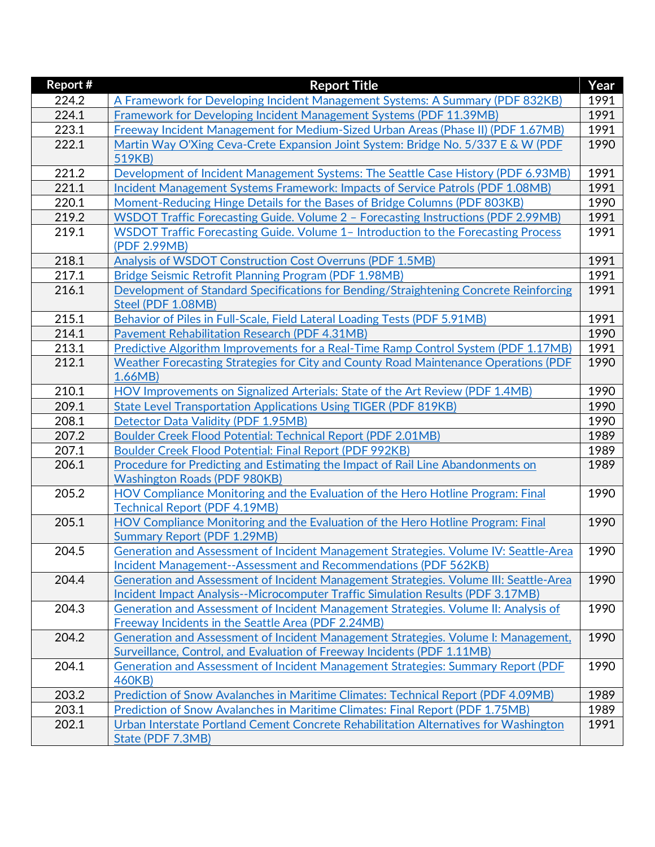| Report # | <b>Report Title</b>                                                                        | Year |
|----------|--------------------------------------------------------------------------------------------|------|
| 224.2    | A Framework for Developing Incident Management Systems: A Summary (PDF 832KB)              | 1991 |
| 224.1    | Framework for Developing Incident Management Systems (PDF 11.39MB)                         | 1991 |
| 223.1    | <b>Freeway Incident Management for Medium-Sized Urban Areas (Phase II) (PDF 1.67MB)</b>    | 1991 |
| 222.1    | Martin Way O'Xing Ceva-Crete Expansion Joint System: Bridge No. 5/337 E & W (PDF           | 1990 |
|          | 519KB)                                                                                     |      |
| 221.2    | Development of Incident Management Systems: The Seattle Case History (PDF 6.93MB)          | 1991 |
| 221.1    | Incident Management Systems Framework: Impacts of Service Patrols (PDF 1.08MB)             | 1991 |
| 220.1    | Moment-Reducing Hinge Details for the Bases of Bridge Columns (PDF 803KB)                  | 1990 |
| 219.2    | WSDOT Traffic Forecasting Guide. Volume 2 - Forecasting Instructions (PDF 2.99MB)          | 1991 |
| 219.1    | WSDOT Traffic Forecasting Guide. Volume 1- Introduction to the Forecasting Process         | 1991 |
|          | (PDF 2.99MB)                                                                               |      |
| 218.1    | Analysis of WSDOT Construction Cost Overruns (PDF 1.5MB)                                   | 1991 |
| 217.1    | Bridge Seismic Retrofit Planning Program (PDF 1.98MB)                                      | 1991 |
| 216.1    | Development of Standard Specifications for Bending/Straightening Concrete Reinforcing      | 1991 |
|          | Steel (PDF 1.08MB)                                                                         |      |
| 215.1    | Behavior of Piles in Full-Scale, Field Lateral Loading Tests (PDF 5.91MB)                  | 1991 |
| 214.1    | <b>Pavement Rehabilitation Research (PDF 4.31MB)</b>                                       | 1990 |
| 213.1    | Predictive Algorithm Improvements for a Real-Time Ramp Control System (PDF 1.17MB)         | 1991 |
| 212.1    | Weather Forecasting Strategies for City and County Road Maintenance Operations (PDF        | 1990 |
|          | 1.66MB                                                                                     |      |
| 210.1    | HOV Improvements on Signalized Arterials: State of the Art Review (PDF 1.4MB)              | 1990 |
| 209.1    | <b>State Level Transportation Applications Using TIGER (PDF 819KB)</b>                     | 1990 |
| 208.1    | <b>Detector Data Validity (PDF 1.95MB)</b>                                                 | 1990 |
| 207.2    | Boulder Creek Flood Potential: Technical Report (PDF 2.01MB)                               | 1989 |
| 207.1    | Boulder Creek Flood Potential: Final Report (PDF 992KB)                                    | 1989 |
| 206.1    | Procedure for Predicting and Estimating the Impact of Rail Line Abandonments on            | 1989 |
|          | <b>Washington Roads (PDF 980KB)</b>                                                        |      |
| 205.2    | <b>HOV Compliance Monitoring and the Evaluation of the Hero Hotline Program: Final</b>     | 1990 |
|          | <b>Technical Report (PDF 4.19MB)</b>                                                       |      |
| 205.1    | HOV Compliance Monitoring and the Evaluation of the Hero Hotline Program: Final            | 1990 |
|          | <b>Summary Report (PDF 1.29MB)</b>                                                         |      |
| 204.5    | Generation and Assessment of Incident Management Strategies. Volume IV: Seattle-Area       | 1990 |
|          | Incident Management--Assessment and Recommendations (PDF 562KB)                            |      |
| 204.4    | Generation and Assessment of Incident Management Strategies. Volume III: Seattle-Area      | 1990 |
|          | Incident Impact Analysis--Microcomputer Traffic Simulation Results (PDF 3.17MB)            |      |
| 204.3    | Generation and Assessment of Incident Management Strategies. Volume II: Analysis of        | 1990 |
|          | <b>Freeway Incidents in the Seattle Area (PDF 2.24MB)</b>                                  |      |
| 204.2    | Generation and Assessment of Incident Management Strategies. Volume I: Management,         | 1990 |
|          | Surveillance, Control, and Evaluation of Freeway Incidents (PDF 1.11MB)                    |      |
| 204.1    | Generation and Assessment of Incident Management Strategies: Summary Report (PDF<br>460KB) | 1990 |
| 203.2    | Prediction of Snow Avalanches in Maritime Climates: Technical Report (PDF 4.09MB)          | 1989 |
| 203.1    | Prediction of Snow Avalanches in Maritime Climates: Final Report (PDF 1.75MB)              | 1989 |
|          |                                                                                            |      |
| 202.1    | Urban Interstate Portland Cement Concrete Rehabilitation Alternatives for Washington       | 1991 |
|          | State (PDF 7.3MB)                                                                          |      |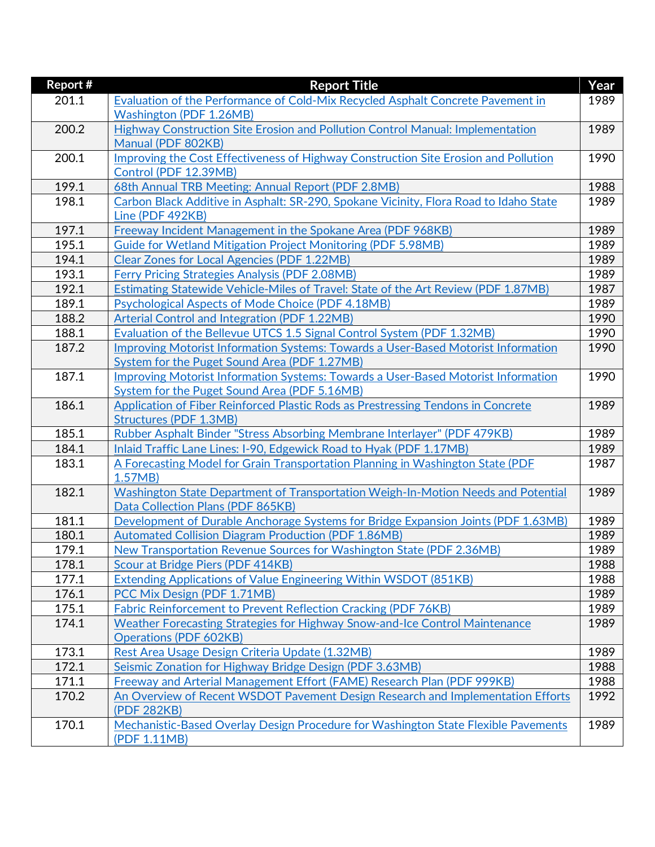| Report # | <b>Report Title</b>                                                                      | Year |
|----------|------------------------------------------------------------------------------------------|------|
| 201.1    | Evaluation of the Performance of Cold-Mix Recycled Asphalt Concrete Pavement in          | 1989 |
|          | <b>Washington (PDF 1.26MB)</b>                                                           |      |
| 200.2    | Highway Construction Site Erosion and Pollution Control Manual: Implementation           | 1989 |
|          | Manual (PDF 802KB)                                                                       |      |
| 200.1    | Improving the Cost Effectiveness of Highway Construction Site Erosion and Pollution      | 1990 |
|          | Control (PDF 12.39MB)                                                                    |      |
| 199.1    | 68th Annual TRB Meeting: Annual Report (PDF 2.8MB)                                       | 1988 |
| 198.1    | Carbon Black Additive in Asphalt: SR-290, Spokane Vicinity, Flora Road to Idaho State    | 1989 |
|          | Line (PDF 492KB)                                                                         |      |
| 197.1    | <b>Freeway Incident Management in the Spokane Area (PDF 968KB)</b>                       | 1989 |
| 195.1    | <b>Guide for Wetland Mitigation Project Monitoring (PDF 5.98MB)</b>                      | 1989 |
| 194.1    | <b>Clear Zones for Local Agencies (PDF 1.22MB)</b>                                       | 1989 |
| 193.1    | <b>Ferry Pricing Strategies Analysis (PDF 2.08MB)</b>                                    | 1989 |
| 192.1    | Estimating Statewide Vehicle-Miles of Travel: State of the Art Review (PDF 1.87MB)       | 1987 |
| 189.1    | Psychological Aspects of Mode Choice (PDF 4.18MB)                                        | 1989 |
| 188.2    | Arterial Control and Integration (PDF 1.22MB)                                            | 1990 |
| 188.1    | Evaluation of the Bellevue UTCS 1.5 Signal Control System (PDF 1.32MB)                   | 1990 |
| 187.2    | <b>Improving Motorist Information Systems: Towards a User-Based Motorist Information</b> | 1990 |
|          | System for the Puget Sound Area (PDF 1.27MB)                                             |      |
| 187.1    | Improving Motorist Information Systems: Towards a User-Based Motorist Information        | 1990 |
|          | System for the Puget Sound Area (PDF 5.16MB)                                             |      |
| 186.1    | <b>Application of Fiber Reinforced Plastic Rods as Prestressing Tendons in Concrete</b>  | 1989 |
|          | <b>Structures (PDF 1.3MB)</b>                                                            |      |
| 185.1    | Rubber Asphalt Binder "Stress Absorbing Membrane Interlayer" (PDF 479KB)                 | 1989 |
| 184.1    | Inlaid Traffic Lane Lines: I-90, Edgewick Road to Hyak (PDF 1.17MB)                      | 1989 |
| 183.1    | A Forecasting Model for Grain Transportation Planning in Washington State (PDF           | 1987 |
|          | 1.57MB                                                                                   |      |
| 182.1    | Washington State Department of Transportation Weigh-In-Motion Needs and Potential        | 1989 |
|          | Data Collection Plans (PDF 865KB)                                                        |      |
| 181.1    | Development of Durable Anchorage Systems for Bridge Expansion Joints (PDF 1.63MB)        | 1989 |
| 180.1    | <b>Automated Collision Diagram Production (PDF 1.86MB)</b>                               | 1989 |
| 179.1    | New Transportation Revenue Sources for Washington State (PDF 2.36MB)                     | 1989 |
| 178.1    | Scour at Bridge Piers (PDF 414KB)                                                        | 1988 |
| 177.1    | Extending Applications of Value Engineering Within WSDOT (851KB)                         | 1988 |
| 176.1    | PCC Mix Design (PDF 1.71MB)                                                              | 1989 |
| 175.1    | Fabric Reinforcement to Prevent Reflection Cracking (PDF 76KB)                           | 1989 |
| 174.1    | Weather Forecasting Strategies for Highway Snow-and-Ice Control Maintenance              | 1989 |
|          | <b>Operations (PDF 602KB)</b>                                                            |      |
| 173.1    | Rest Area Usage Design Criteria Update (1.32MB)                                          | 1989 |
| 172.1    | Seismic Zonation for Highway Bridge Design (PDF 3.63MB)                                  | 1988 |
| 171.1    | Freeway and Arterial Management Effort (FAME) Research Plan (PDF 999KB)                  | 1988 |
| 170.2    | An Overview of Recent WSDOT Pavement Design Research and Implementation Efforts          | 1992 |
|          | (PDF 282KB)                                                                              |      |
| 170.1    | Mechanistic-Based Overlay Design Procedure for Washington State Flexible Pavements       | 1989 |
|          | (PDF 1.11MB)                                                                             |      |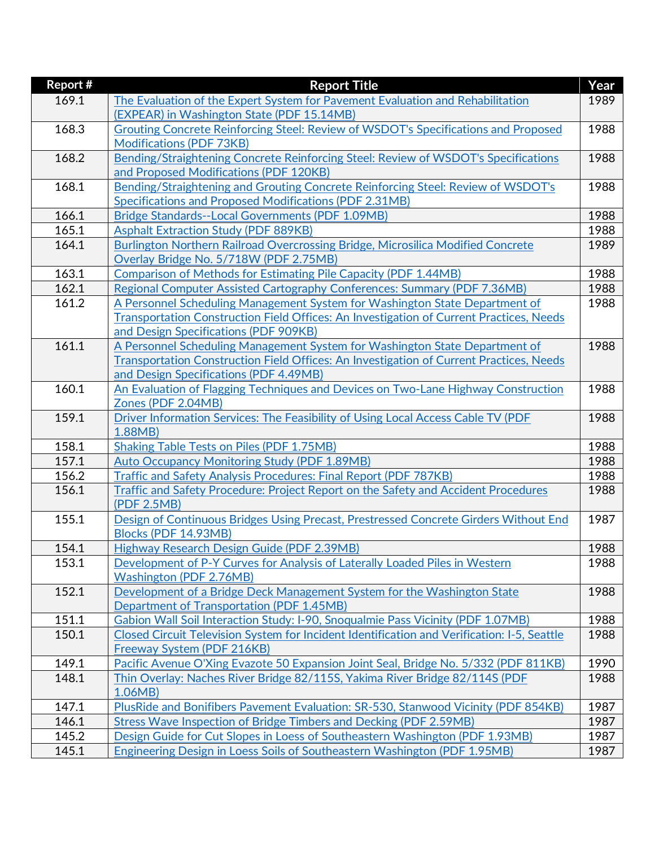| <b>Report #</b> | <b>Report Title</b>                                                                               | Year |
|-----------------|---------------------------------------------------------------------------------------------------|------|
| 169.1           | The Evaluation of the Expert System for Pavement Evaluation and Rehabilitation                    | 1989 |
|                 | (EXPEAR) in Washington State (PDF 15.14MB)                                                        |      |
| 168.3           | Grouting Concrete Reinforcing Steel: Review of WSDOT's Specifications and Proposed                | 1988 |
|                 | <b>Modifications (PDF 73KB)</b>                                                                   |      |
| 168.2           | Bending/Straightening Concrete Reinforcing Steel: Review of WSDOT's Specifications                | 1988 |
|                 | and Proposed Modifications (PDF 120KB)                                                            |      |
| 168.1           | Bending/Straightening and Grouting Concrete Reinforcing Steel: Review of WSDOT's                  | 1988 |
|                 | Specifications and Proposed Modifications (PDF 2.31MB)                                            |      |
| 166.1           | Bridge Standards--Local Governments (PDF 1.09MB)                                                  | 1988 |
| 165.1           | <b>Asphalt Extraction Study (PDF 889KB)</b>                                                       | 1988 |
| 164.1           | Burlington Northern Railroad Overcrossing Bridge, Microsilica Modified Concrete                   | 1989 |
|                 | Overlay Bridge No. 5/718W (PDF 2.75MB)                                                            |      |
| 163.1           | <b>Comparison of Methods for Estimating Pile Capacity (PDF 1.44MB)</b>                            | 1988 |
| 162.1           | Regional Computer Assisted Cartography Conferences: Summary (PDF 7.36MB)                          | 1988 |
| 161.2           | A Personnel Scheduling Management System for Washington State Department of                       | 1988 |
|                 | Transportation Construction Field Offices: An Investigation of Current Practices, Needs           |      |
|                 | and Design Specifications (PDF 909KB)                                                             |      |
| 161.1           | A Personnel Scheduling Management System for Washington State Department of                       | 1988 |
|                 | Transportation Construction Field Offices: An Investigation of Current Practices, Needs           |      |
|                 | and Design Specifications (PDF 4.49MB)                                                            |      |
| 160.1           | An Evaluation of Flagging Techniques and Devices on Two-Lane Highway Construction                 | 1988 |
|                 | Zones (PDF 2.04MB)                                                                                |      |
| 159.1           | Driver Information Services: The Feasibility of Using Local Access Cable TV (PDF                  | 1988 |
|                 | 1.88MB)                                                                                           |      |
| 158.1           | <b>Shaking Table Tests on Piles (PDF 1.75MB)</b>                                                  | 1988 |
| 157.1           | <b>Auto Occupancy Monitoring Study (PDF 1.89MB)</b>                                               | 1988 |
| 156.2           | <b>Traffic and Safety Analysis Procedures: Final Report (PDF 787KB)</b>                           | 1988 |
| 156.1           | Traffic and Safety Procedure: Project Report on the Safety and Accident Procedures<br>(PDF 2.5MB) | 1988 |
| 155.1           | Design of Continuous Bridges Using Precast, Prestressed Concrete Girders Without End              | 1987 |
|                 | Blocks (PDF 14.93MB)                                                                              |      |
| 154.1           | Highway Research Design Guide (PDF 2.39MB)                                                        | 1988 |
| 153.1           | Development of P-Y Curves for Analysis of Laterally Loaded Piles in Western                       | 1988 |
|                 | <b>Washington (PDF 2.76MB)</b>                                                                    |      |
| 152.1           | Development of a Bridge Deck Management System for the Washington State                           | 1988 |
|                 | <b>Department of Transportation (PDF 1.45MB)</b>                                                  |      |
| 151.1           | Gabion Wall Soil Interaction Study: I-90, Snoqualmie Pass Vicinity (PDF 1.07MB)                   | 1988 |
| 150.1           | Closed Circuit Television System for Incident Identification and Verification: I-5, Seattle       | 1988 |
|                 | Freeway System (PDF 216KB)                                                                        |      |
| 149.1           | Pacific Avenue O'Xing Evazote 50 Expansion Joint Seal, Bridge No. 5/332 (PDF 811KB)               | 1990 |
| 148.1           | Thin Overlay: Naches River Bridge 82/115S, Yakima River Bridge 82/114S (PDF                       | 1988 |
|                 | 1.06MB)                                                                                           |      |
| 147.1           | PlusRide and Bonifibers Pavement Evaluation: SR-530, Stanwood Vicinity (PDF 854KB)                | 1987 |
| 146.1           | Stress Wave Inspection of Bridge Timbers and Decking (PDF 2.59MB)                                 | 1987 |
| 145.2           | Design Guide for Cut Slopes in Loess of Southeastern Washington (PDF 1.93MB)                      | 1987 |
| 145.1           | Engineering Design in Loess Soils of Southeastern Washington (PDF 1.95MB)                         | 1987 |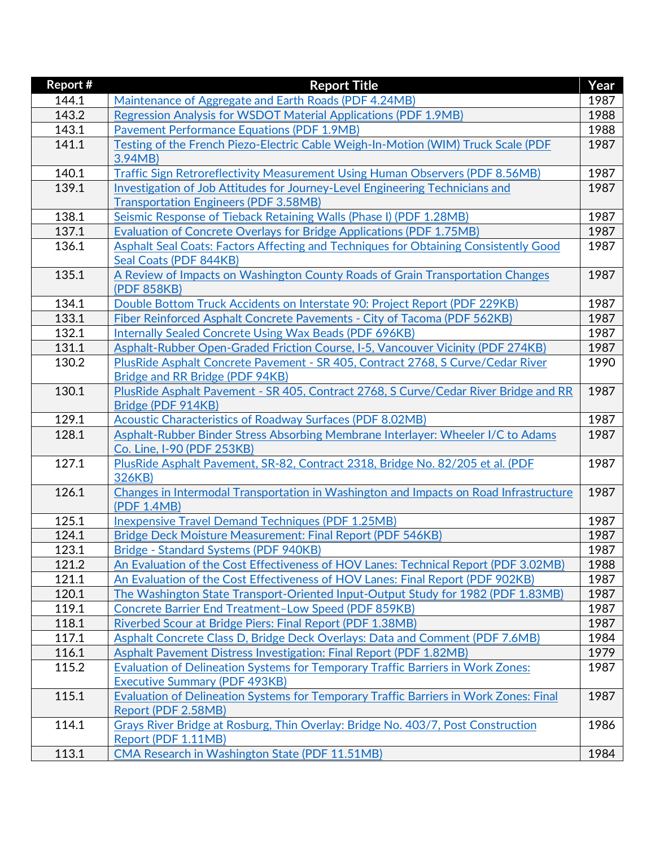| Report # | <b>Report Title</b>                                                                                            | Year |
|----------|----------------------------------------------------------------------------------------------------------------|------|
| 144.1    | Maintenance of Aggregate and Earth Roads (PDF 4.24MB)                                                          | 1987 |
| 143.2    | Regression Analysis for WSDOT Material Applications (PDF 1.9MB)                                                | 1988 |
| 143.1    | <b>Pavement Performance Equations (PDF 1.9MB)</b>                                                              | 1988 |
| 141.1    | Testing of the French Piezo-Electric Cable Weigh-In-Motion (WIM) Truck Scale (PDF                              | 1987 |
|          | 3.94MB)                                                                                                        |      |
| 140.1    | Traffic Sign Retroreflectivity Measurement Using Human Observers (PDF 8.56MB)                                  | 1987 |
| 139.1    | Investigation of Job Attitudes for Journey-Level Engineering Technicians and                                   | 1987 |
|          | <b>Transportation Engineers (PDF 3.58MB)</b>                                                                   |      |
| 138.1    | Seismic Response of Tieback Retaining Walls (Phase I) (PDF 1.28MB)                                             | 1987 |
| 137.1    | Evaluation of Concrete Overlays for Bridge Applications (PDF 1.75MB)                                           | 1987 |
| 136.1    | Asphalt Seal Coats: Factors Affecting and Techniques for Obtaining Consistently Good                           | 1987 |
|          | Seal Coats (PDF 844KB)                                                                                         |      |
| 135.1    | A Review of Impacts on Washington County Roads of Grain Transportation Changes                                 | 1987 |
|          | (PDF 858KB)                                                                                                    |      |
| 134.1    | Double Bottom Truck Accidents on Interstate 90: Project Report (PDF 229KB)                                     | 1987 |
| 133.1    | Fiber Reinforced Asphalt Concrete Pavements - City of Tacoma (PDF 562KB)                                       | 1987 |
| 132.1    | <b>Internally Sealed Concrete Using Wax Beads (PDF 696KB)</b>                                                  | 1987 |
| 131.1    | Asphalt-Rubber Open-Graded Friction Course, I-5, Vancouver Vicinity (PDF 274KB)                                | 1987 |
| 130.2    | PlusRide Asphalt Concrete Pavement - SR 405, Contract 2768, S Curve/Cedar River                                | 1990 |
|          | Bridge and RR Bridge (PDF 94KB)                                                                                |      |
| 130.1    | PlusRide Asphalt Pavement - SR 405, Contract 2768, S Curve/Cedar River Bridge and RR                           | 1987 |
|          | Bridge (PDF 914KB)                                                                                             |      |
| 129.1    | Acoustic Characteristics of Roadway Surfaces (PDF 8.02MB)                                                      | 1987 |
| 128.1    | Asphalt-Rubber Binder Stress Absorbing Membrane Interlayer: Wheeler I/C to Adams<br>Co. Line, I-90 (PDF 253KB) | 1987 |
| 127.1    | PlusRide Asphalt Pavement, SR-82, Contract 2318, Bridge No. 82/205 et al. (PDF                                 | 1987 |
|          | 326KB)                                                                                                         |      |
| 126.1    | Changes in Intermodal Transportation in Washington and Impacts on Road Infrastructure                          | 1987 |
|          | (PDF 1.4MB)                                                                                                    |      |
| 125.1    | <b>Inexpensive Travel Demand Techniques (PDF 1.25MB)</b>                                                       | 1987 |
| 124.1    | Bridge Deck Moisture Measurement: Final Report (PDF 546KB)                                                     | 1987 |
| 123.1    | Bridge - Standard Systems (PDF 940KB)                                                                          | 1987 |
| 121.2    | An Evaluation of the Cost Effectiveness of HOV Lanes: Technical Report (PDF 3.02MB)                            | 1988 |
| 121.1    | An Evaluation of the Cost Effectiveness of HOV Lanes: Final Report (PDF 902KB)                                 | 1987 |
| 120.1    | The Washington State Transport-Oriented Input-Output Study for 1982 (PDF 1.83MB)                               | 1987 |
| 119.1    | Concrete Barrier End Treatment-Low Speed (PDF 859KB)                                                           | 1987 |
| 118.1    | Riverbed Scour at Bridge Piers: Final Report (PDF 1.38MB)                                                      | 1987 |
| 117.1    | Asphalt Concrete Class D, Bridge Deck Overlays: Data and Comment (PDF 7.6MB)                                   | 1984 |
| 116.1    | Asphalt Pavement Distress Investigation: Final Report (PDF 1.82MB)                                             | 1979 |
| 115.2    | Evaluation of Delineation Systems for Temporary Traffic Barriers in Work Zones:                                | 1987 |
|          | <b>Executive Summary (PDF 493KB)</b>                                                                           |      |
| 115.1    | <b>Evaluation of Delineation Systems for Temporary Traffic Barriers in Work Zones: Final</b>                   | 1987 |
|          | Report (PDF 2.58MB)                                                                                            |      |
| 114.1    | Grays River Bridge at Rosburg, Thin Overlay: Bridge No. 403/7, Post Construction                               | 1986 |
|          | Report (PDF 1.11MB)                                                                                            |      |
| 113.1    | CMA Research in Washington State (PDF 11.51MB)                                                                 | 1984 |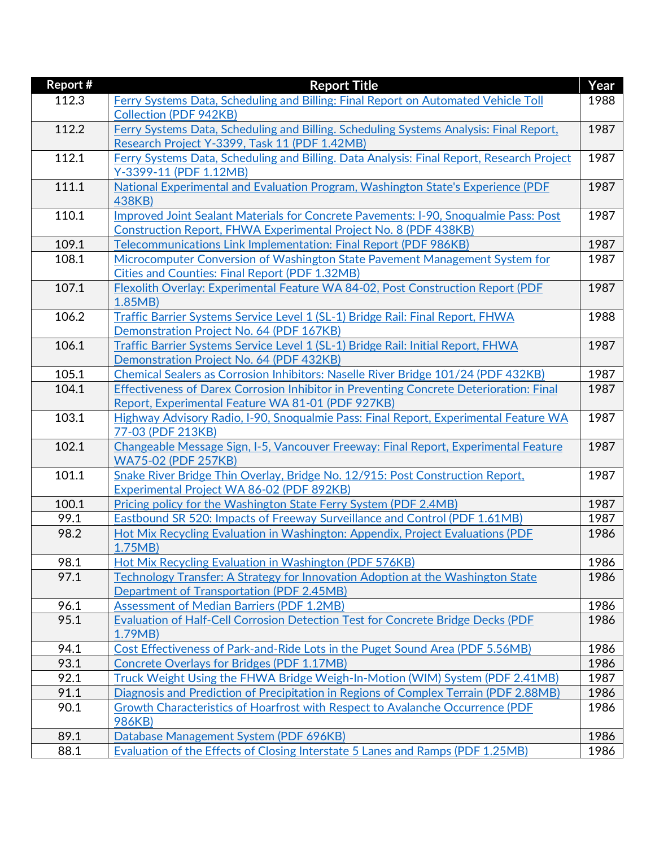| <b>Report #</b> | <b>Report Title</b>                                                                                           | Year |
|-----------------|---------------------------------------------------------------------------------------------------------------|------|
| 112.3           | Ferry Systems Data, Scheduling and Billing: Final Report on Automated Vehicle Toll                            | 1988 |
|                 | <b>Collection (PDF 942KB)</b>                                                                                 |      |
| 112.2           | Ferry Systems Data, Scheduling and Billing. Scheduling Systems Analysis: Final Report,                        | 1987 |
|                 | Research Project Y-3399, Task 11 (PDF 1.42MB)                                                                 |      |
| 112.1           | Ferry Systems Data, Scheduling and Billing. Data Analysis: Final Report, Research Project                     | 1987 |
|                 | Y-3399-11 (PDF 1.12MB)                                                                                        |      |
| 111.1           | National Experimental and Evaluation Program, Washington State's Experience (PDF                              | 1987 |
|                 | 438KB)                                                                                                        |      |
| 110.1           | Improved Joint Sealant Materials for Concrete Pavements: I-90, Snoqualmie Pass: Post                          | 1987 |
|                 | Construction Report, FHWA Experimental Project No. 8 (PDF 438KB)                                              |      |
| 109.1           | Telecommunications Link Implementation: Final Report (PDF 986KB)                                              | 1987 |
| 108.1           | Microcomputer Conversion of Washington State Pavement Management System for                                   | 1987 |
|                 | <b>Cities and Counties: Final Report (PDF 1.32MB)</b>                                                         |      |
| 107.1           | Flexolith Overlay: Experimental Feature WA 84-02, Post Construction Report (PDF                               | 1987 |
|                 | 1.85MB                                                                                                        |      |
| 106.2           | Traffic Barrier Systems Service Level 1 (SL-1) Bridge Rail: Final Report, FHWA                                | 1988 |
|                 | Demonstration Project No. 64 (PDF 167KB)                                                                      |      |
| 106.1           | Traffic Barrier Systems Service Level 1 (SL-1) Bridge Rail: Initial Report, FHWA                              | 1987 |
|                 | Demonstration Project No. 64 (PDF 432KB)                                                                      |      |
| 105.1           | Chemical Sealers as Corrosion Inhibitors: Naselle River Bridge 101/24 (PDF 432KB)                             | 1987 |
| 104.1           | Effectiveness of Darex Corrosion Inhibitor in Preventing Concrete Deterioration: Final                        | 1987 |
|                 | Report, Experimental Feature WA 81-01 (PDF 927KB)                                                             |      |
| 103.1           | Highway Advisory Radio, I-90, Snoqualmie Pass: Final Report, Experimental Feature WA                          | 1987 |
|                 | 77-03 (PDF 213KB)                                                                                             |      |
| 102.1           | Changeable Message Sign, I-5, Vancouver Freeway: Final Report, Experimental Feature                           | 1987 |
|                 | <b>WA75-02 (PDF 257KB)</b>                                                                                    |      |
| 101.1           | Snake River Bridge Thin Overlay, Bridge No. 12/915: Post Construction Report,                                 | 1987 |
| 100.1           | Experimental Project WA 86-02 (PDF 892KB)<br>Pricing policy for the Washington State Ferry System (PDF 2.4MB) | 1987 |
| 99.1            | Eastbound SR 520: Impacts of Freeway Surveillance and Control (PDF 1.61MB)                                    | 1987 |
| 98.2            | Hot Mix Recycling Evaluation in Washington: Appendix, Project Evaluations (PDF                                |      |
|                 | 1.75MB                                                                                                        | 1986 |
| 98.1            | Hot Mix Recycling Evaluation in Washington (PDF 576KB)                                                        | 1986 |
| 97.1            | Technology Transfer: A Strategy for Innovation Adoption at the Washington State                               | 1986 |
|                 | <b>Department of Transportation (PDF 2.45MB)</b>                                                              |      |
| 96.1            | <b>Assessment of Median Barriers (PDF 1.2MB)</b>                                                              | 1986 |
| 95.1            | Evaluation of Half-Cell Corrosion Detection Test for Concrete Bridge Decks (PDF                               | 1986 |
|                 | 1.79MB)                                                                                                       |      |
| 94.1            | Cost Effectiveness of Park-and-Ride Lots in the Puget Sound Area (PDF 5.56MB)                                 | 1986 |
| 93.1            | <b>Concrete Overlays for Bridges (PDF 1.17MB)</b>                                                             | 1986 |
| 92.1            | Truck Weight Using the FHWA Bridge Weigh-In-Motion (WIM) System (PDF 2.41MB)                                  | 1987 |
| 91.1            | Diagnosis and Prediction of Precipitation in Regions of Complex Terrain (PDF 2.88MB)                          | 1986 |
| 90.1            | Growth Characteristics of Hoarfrost with Respect to Avalanche Occurrence (PDF                                 | 1986 |
|                 | 986KB)                                                                                                        |      |
| 89.1            | Database Management System (PDF 696KB)                                                                        | 1986 |
| 88.1            | Evaluation of the Effects of Closing Interstate 5 Lanes and Ramps (PDF 1.25MB)                                | 1986 |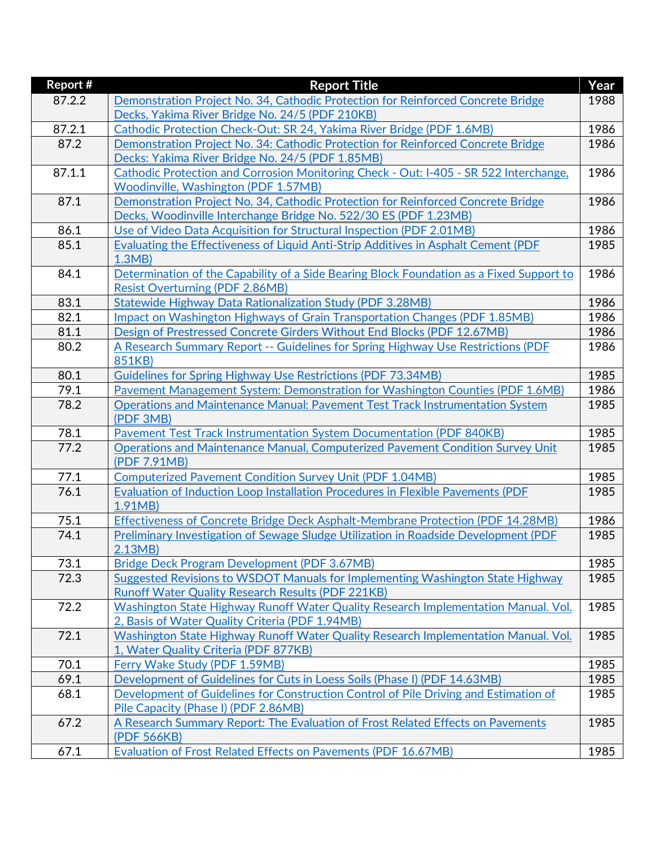| Report # | <b>Report Title</b>                                                                        | Year |
|----------|--------------------------------------------------------------------------------------------|------|
| 87.2.2   | Demonstration Project No. 34, Cathodic Protection for Reinforced Concrete Bridge           | 1988 |
|          | Decks, Yakima River Bridge No. 24/5 (PDF 210KB)                                            |      |
| 87.2.1   | Cathodic Protection Check-Out: SR 24, Yakima River Bridge (PDF 1.6MB)                      | 1986 |
| 87.2     | Demonstration Project No. 34: Cathodic Protection for Reinforced Concrete Bridge           | 1986 |
|          | Decks: Yakima River Bridge No. 24/5 (PDF 1.85MB)                                           |      |
| 87.1.1   | Cathodic Protection and Corrosion Monitoring Check - Out: I-405 - SR 522 Interchange,      | 1986 |
|          | <b>Woodinville, Washington (PDF 1.57MB)</b>                                                |      |
| 87.1     | Demonstration Project No. 34, Cathodic Protection for Reinforced Concrete Bridge           | 1986 |
|          | Decks, Woodinville Interchange Bridge No. 522/30 ES (PDF 1.23MB)                           |      |
| 86.1     | Use of Video Data Acquisition for Structural Inspection (PDF 2.01MB)                       | 1986 |
| 85.1     | Evaluating the Effectiveness of Liquid Anti-Strip Additives in Asphalt Cement (PDF         | 1985 |
|          | 1.3MB                                                                                      |      |
| 84.1     | Determination of the Capability of a Side Bearing Block Foundation as a Fixed Support to   | 1986 |
|          | <b>Resist Overturning (PDF 2.86MB)</b>                                                     |      |
| 83.1     | <b>Statewide Highway Data Rationalization Study (PDF 3.28MB)</b>                           | 1986 |
| 82.1     | Impact on Washington Highways of Grain Transportation Changes (PDF 1.85MB)                 | 1986 |
| 81.1     | Design of Prestressed Concrete Girders Without End Blocks (PDF 12.67MB)                    | 1986 |
| 80.2     | A Research Summary Report -- Guidelines for Spring Highway Use Restrictions (PDF           | 1986 |
|          | 851KB)                                                                                     |      |
| 80.1     | <b>Guidelines for Spring Highway Use Restrictions (PDF 73.34MB)</b>                        | 1985 |
| 79.1     | Pavement Management System: Demonstration for Washington Counties (PDF 1.6MB)              | 1986 |
| 78.2     | <b>Operations and Maintenance Manual: Pavement Test Track Instrumentation System</b>       | 1985 |
|          | (PDF 3MB)                                                                                  |      |
| 78.1     | Pavement Test Track Instrumentation System Documentation (PDF 840KB)                       | 1985 |
| 77.2     | Operations and Maintenance Manual, Computerized Pavement Condition Survey Unit             | 1985 |
|          | (PDF 7.91MB)                                                                               |      |
| 77.1     | <b>Computerized Pavement Condition Survey Unit (PDF 1.04MB)</b>                            | 1985 |
| 76.1     | Evaluation of Induction Loop Installation Procedures in Flexible Pavements (PDF            | 1985 |
| 75.1     | 1.91MB)<br>Effectiveness of Concrete Bridge Deck Asphalt-Membrane Protection (PDF 14.28MB) | 1986 |
| 74.1     | Preliminary Investigation of Sewage Sludge Utilization in Roadside Development (PDF        |      |
|          | 2.13MB                                                                                     | 1985 |
| 73.1     | Bridge Deck Program Development (PDF 3.67MB)                                               | 1985 |
| 72.3     | Suggested Revisions to WSDOT Manuals for Implementing Washington State Highway             | 1985 |
|          | <b>Runoff Water Quality Research Results (PDF 221KB)</b>                                   |      |
| 72.2     | Washington State Highway Runoff Water Quality Research Implementation Manual. Vol.         | 1985 |
|          | 2, Basis of Water Quality Criteria (PDF 1.94MB)                                            |      |
| 72.1     | Washington State Highway Runoff Water Quality Research Implementation Manual. Vol.         | 1985 |
|          | 1, Water Quality Criteria (PDF 877KB)                                                      |      |
| 70.1     | Ferry Wake Study (PDF 1.59MB)                                                              | 1985 |
| 69.1     | Development of Guidelines for Cuts in Loess Soils (Phase I) (PDF 14.63MB)                  | 1985 |
| 68.1     | Development of Guidelines for Construction Control of Pile Driving and Estimation of       | 1985 |
|          | Pile Capacity (Phase I) (PDF 2.86MB)                                                       |      |
| 67.2     | A Research Summary Report: The Evaluation of Frost Related Effects on Pavements            | 1985 |
|          | (PDF 566KB)                                                                                |      |
| 67.1     | Evaluation of Frost Related Effects on Pavements (PDF 16.67MB)                             | 1985 |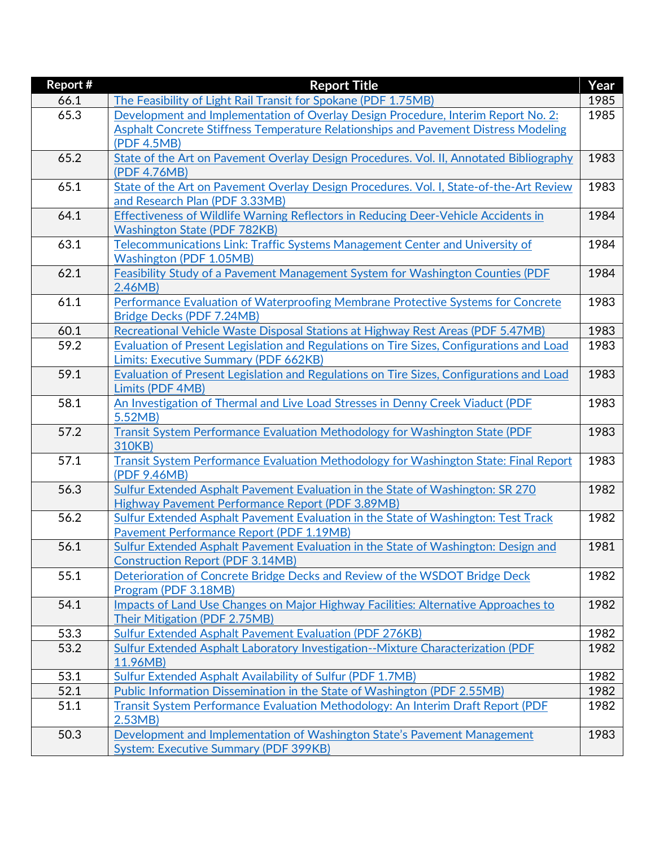| Report # | <b>Report Title</b>                                                                                          | Year |
|----------|--------------------------------------------------------------------------------------------------------------|------|
| 66.1     | The Feasibility of Light Rail Transit for Spokane (PDF 1.75MB)                                               | 1985 |
| 65.3     | Development and Implementation of Overlay Design Procedure, Interim Report No. 2:                            | 1985 |
|          | Asphalt Concrete Stiffness Temperature Relationships and Pavement Distress Modeling                          |      |
|          | (PDF 4.5MB)                                                                                                  |      |
| 65.2     | State of the Art on Pavement Overlay Design Procedures. Vol. II, Annotated Bibliography                      | 1983 |
|          | (PDF 4.76MB)                                                                                                 |      |
| 65.1     | State of the Art on Pavement Overlay Design Procedures. Vol. I, State-of-the-Art Review                      | 1983 |
|          | and Research Plan (PDF 3.33MB)                                                                               |      |
| 64.1     | Effectiveness of Wildlife Warning Reflectors in Reducing Deer-Vehicle Accidents in                           | 1984 |
|          | <b>Washington State (PDF 782KB)</b>                                                                          |      |
| 63.1     | Telecommunications Link: Traffic Systems Management Center and University of                                 | 1984 |
|          | <b>Washington (PDF 1.05MB)</b>                                                                               |      |
| 62.1     | Feasibility Study of a Pavement Management System for Washington Counties (PDF                               | 1984 |
|          | 2.46MB                                                                                                       |      |
| 61.1     | Performance Evaluation of Waterproofing Membrane Protective Systems for Concrete                             | 1983 |
|          | Bridge Decks (PDF 7.24MB)                                                                                    |      |
| 60.1     | Recreational Vehicle Waste Disposal Stations at Highway Rest Areas (PDF 5.47MB)                              | 1983 |
| 59.2     | Evaluation of Present Legislation and Regulations on Tire Sizes, Configurations and Load                     | 1983 |
|          | <b>Limits: Executive Summary (PDF 662KB)</b>                                                                 |      |
| 59.1     | Evaluation of Present Legislation and Regulations on Tire Sizes, Configurations and Load<br>Limits (PDF 4MB) | 1983 |
| 58.1     |                                                                                                              | 1983 |
|          | An Investigation of Thermal and Live Load Stresses in Denny Creek Viaduct (PDF<br>5.52MB)                    |      |
| 57.2     | Transit System Performance Evaluation Methodology for Washington State (PDF                                  | 1983 |
|          | 310KB)                                                                                                       |      |
| 57.1     | Transit System Performance Evaluation Methodology for Washington State: Final Report                         | 1983 |
|          | (PDF 9.46MB)                                                                                                 |      |
| 56.3     | Sulfur Extended Asphalt Pavement Evaluation in the State of Washington: SR 270                               | 1982 |
|          | Highway Pavement Performance Report (PDF 3.89MB)                                                             |      |
| 56.2     | Sulfur Extended Asphalt Pavement Evaluation in the State of Washington: Test Track                           | 1982 |
|          | <b>Pavement Performance Report (PDF 1.19MB)</b>                                                              |      |
| 56.1     | Sulfur Extended Asphalt Pavement Evaluation in the State of Washington: Design and                           | 1981 |
|          | <b>Construction Report (PDF 3.14MB)</b>                                                                      |      |
| 55.1     | Deterioration of Concrete Bridge Decks and Review of the WSDOT Bridge Deck                                   | 1982 |
|          | Program (PDF 3.18MB)                                                                                         |      |
| 54.1     | Impacts of Land Use Changes on Major Highway Facilities: Alternative Approaches to                           | 1982 |
|          | Their Mitigation (PDF 2.75MB)                                                                                |      |
| 53.3     | Sulfur Extended Asphalt Pavement Evaluation (PDF 276KB)                                                      | 1982 |
| 53.2     | Sulfur Extended Asphalt Laboratory Investigation--Mixture Characterization (PDF                              | 1982 |
|          | 11.96MB)                                                                                                     |      |
| 53.1     | Sulfur Extended Asphalt Availability of Sulfur (PDF 1.7MB)                                                   | 1982 |
| 52.1     | Public Information Dissemination in the State of Washington (PDF 2.55MB)                                     | 1982 |
| 51.1     | Transit System Performance Evaluation Methodology: An Interim Draft Report (PDF                              | 1982 |
|          | 2.53MB                                                                                                       |      |
| 50.3     | Development and Implementation of Washington State's Pavement Management                                     | 1983 |
|          | <b>System: Executive Summary (PDF 399KB)</b>                                                                 |      |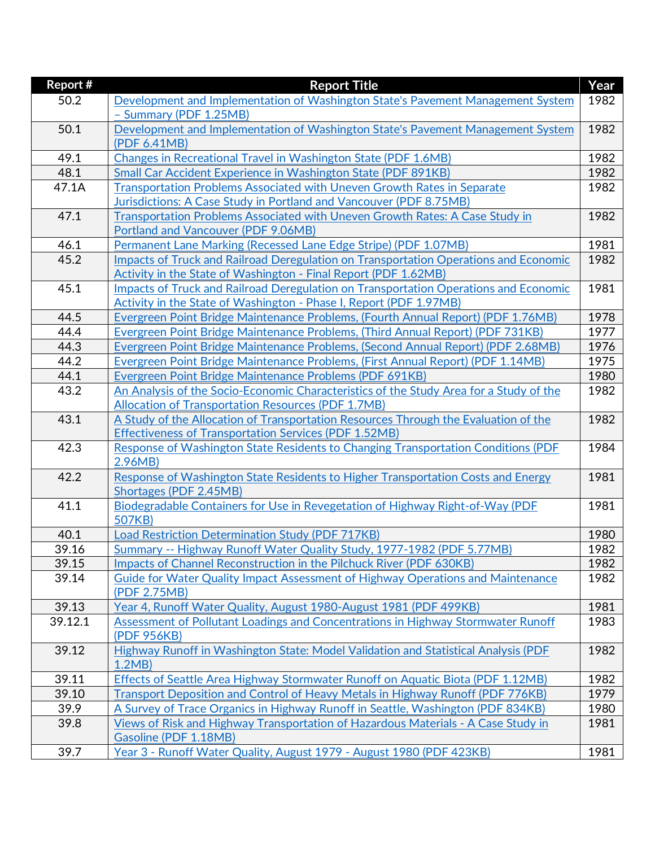| Report # | <b>Report Title</b>                                                                                                                              | Year |
|----------|--------------------------------------------------------------------------------------------------------------------------------------------------|------|
| 50.2     | Development and Implementation of Washington State's Pavement Management System                                                                  | 1982 |
|          | - Summary (PDF 1.25MB)                                                                                                                           |      |
| 50.1     | Development and Implementation of Washington State's Pavement Management System                                                                  | 1982 |
|          | (PDF 6.41MB)                                                                                                                                     |      |
| 49.1     | Changes in Recreational Travel in Washington State (PDF 1.6MB)                                                                                   | 1982 |
| 48.1     | Small Car Accident Experience in Washington State (PDF 891KB)                                                                                    | 1982 |
| 47.1A    | Transportation Problems Associated with Uneven Growth Rates in Separate                                                                          | 1982 |
|          | Jurisdictions: A Case Study in Portland and Vancouver (PDF 8.75MB)                                                                               |      |
| 47.1     | Transportation Problems Associated with Uneven Growth Rates: A Case Study in                                                                     | 1982 |
|          | Portland and Vancouver (PDF 9.06MB)                                                                                                              |      |
| 46.1     | Permanent Lane Marking (Recessed Lane Edge Stripe) (PDF 1.07MB)                                                                                  | 1981 |
| 45.2     | Impacts of Truck and Railroad Deregulation on Transportation Operations and Economic                                                             | 1982 |
|          | Activity in the State of Washington - Final Report (PDF 1.62MB)                                                                                  |      |
| 45.1     | Impacts of Truck and Railroad Deregulation on Transportation Operations and Economic                                                             | 1981 |
|          | Activity in the State of Washington - Phase I, Report (PDF 1.97MB)                                                                               |      |
| 44.5     | Evergreen Point Bridge Maintenance Problems, (Fourth Annual Report) (PDF 1.76MB)                                                                 | 1978 |
| 44.4     | Evergreen Point Bridge Maintenance Problems, (Third Annual Report) (PDF 731KB)                                                                   | 1977 |
| 44.3     | Evergreen Point Bridge Maintenance Problems, (Second Annual Report) (PDF 2.68MB)                                                                 | 1976 |
| 44.2     | Evergreen Point Bridge Maintenance Problems, (First Annual Report) (PDF 1.14MB)                                                                  | 1975 |
| 44.1     | Evergreen Point Bridge Maintenance Problems (PDF 691KB)                                                                                          | 1980 |
| 43.2     | An Analysis of the Socio-Economic Characteristics of the Study Area for a Study of the                                                           | 1982 |
| 43.1     | <b>Allocation of Transportation Resources (PDF 1.7MB)</b><br>A Study of the Allocation of Transportation Resources Through the Evaluation of the | 1982 |
|          | <b>Effectiveness of Transportation Services (PDF 1.52MB)</b>                                                                                     |      |
| 42.3     | Response of Washington State Residents to Changing Transportation Conditions (PDF                                                                | 1984 |
|          | 2.96MB)                                                                                                                                          |      |
| 42.2     | Response of Washington State Residents to Higher Transportation Costs and Energy                                                                 | 1981 |
|          | Shortages (PDF 2.45MB)                                                                                                                           |      |
| 41.1     | Biodegradable Containers for Use in Revegetation of Highway Right-of-Way (PDF                                                                    | 1981 |
|          | 507KB)                                                                                                                                           |      |
| 40.1     | Load Restriction Determination Study (PDF 717KB)                                                                                                 | 1980 |
| 39.16    | Summary -- Highway Runoff Water Quality Study, 1977-1982 (PDF 5.77MB)                                                                            | 1982 |
| 39.15    | Impacts of Channel Reconstruction in the Pilchuck River (PDF 630KB)                                                                              | 1982 |
| 39.14    | Guide for Water Quality Impact Assessment of Highway Operations and Maintenance                                                                  | 1982 |
|          | (PDF 2.75MB)                                                                                                                                     |      |
| 39.13    | Year 4, Runoff Water Quality, August 1980-August 1981 (PDF 499KB)                                                                                | 1981 |
| 39.12.1  | Assessment of Pollutant Loadings and Concentrations in Highway Stormwater Runoff                                                                 | 1983 |
|          | (PDF 956KB)                                                                                                                                      |      |
| 39.12    | Highway Runoff in Washington State: Model Validation and Statistical Analysis (PDF                                                               | 1982 |
|          | 1.2MB                                                                                                                                            |      |
| 39.11    | Effects of Seattle Area Highway Stormwater Runoff on Aquatic Biota (PDF 1.12MB)                                                                  | 1982 |
| 39.10    | Transport Deposition and Control of Heavy Metals in Highway Runoff (PDF 776KB)                                                                   | 1979 |
| 39.9     | A Survey of Trace Organics in Highway Runoff in Seattle, Washington (PDF 834KB)                                                                  | 1980 |
| 39.8     | Views of Risk and Highway Transportation of Hazardous Materials - A Case Study in                                                                | 1981 |
|          | Gasoline (PDF 1.18MB)                                                                                                                            |      |
| 39.7     | Year 3 - Runoff Water Quality, August 1979 - August 1980 (PDF 423KB)                                                                             | 1981 |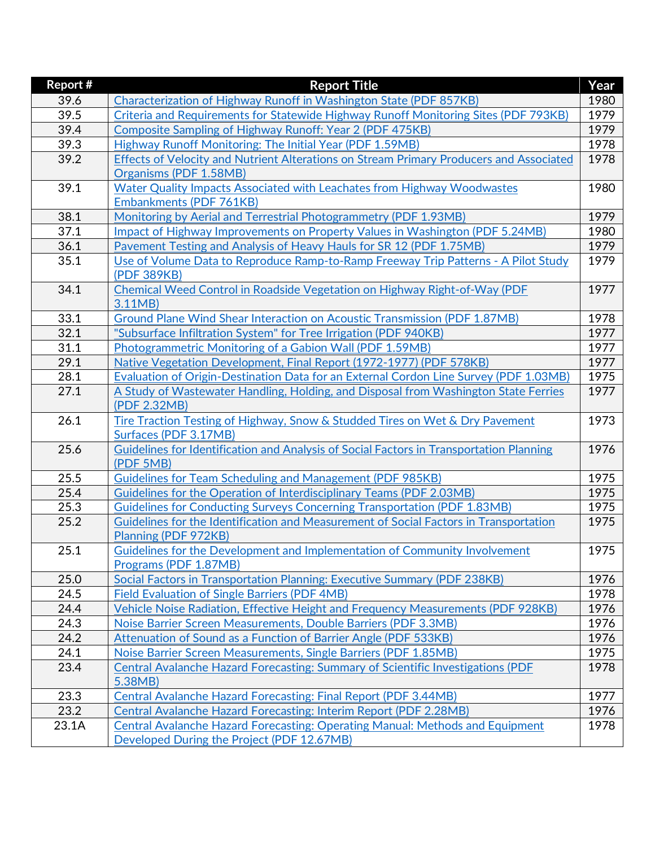| <b>Report #</b> | <b>Report Title</b>                                                                     | Year |
|-----------------|-----------------------------------------------------------------------------------------|------|
| 39.6            | Characterization of Highway Runoff in Washington State (PDF 857KB)                      | 1980 |
| 39.5            | Criteria and Requirements for Statewide Highway Runoff Monitoring Sites (PDF 793KB)     | 1979 |
| 39.4            | Composite Sampling of Highway Runoff: Year 2 (PDF 475KB)                                | 1979 |
| 39.3            | <b>Highway Runoff Monitoring: The Initial Year (PDF 1.59MB)</b>                         | 1978 |
| 39.2            | Effects of Velocity and Nutrient Alterations on Stream Primary Producers and Associated | 1978 |
|                 | Organisms (PDF 1.58MB)                                                                  |      |
| 39.1            | Water Quality Impacts Associated with Leachates from Highway Woodwastes                 | 1980 |
|                 | Embankments (PDF 761KB)                                                                 |      |
| 38.1            | Monitoring by Aerial and Terrestrial Photogrammetry (PDF 1.93MB)                        | 1979 |
| 37.1            | Impact of Highway Improvements on Property Values in Washington (PDF 5.24MB)            | 1980 |
| 36.1            | Pavement Testing and Analysis of Heavy Hauls for SR 12 (PDF 1.75MB)                     | 1979 |
| 35.1            | Use of Volume Data to Reproduce Ramp-to-Ramp Freeway Trip Patterns - A Pilot Study      | 1979 |
|                 | (PDF 389KB)                                                                             |      |
| 34.1            | Chemical Weed Control in Roadside Vegetation on Highway Right-of-Way (PDF               | 1977 |
|                 | 3.11MB)                                                                                 |      |
| 33.1            | Ground Plane Wind Shear Interaction on Acoustic Transmission (PDF 1.87MB)               | 1978 |
| 32.1            | "Subsurface Infiltration System" for Tree Irrigation (PDF 940KB)                        | 1977 |
| 31.1            | Photogrammetric Monitoring of a Gabion Wall (PDF 1.59MB)                                | 1977 |
| 29.1            | Native Vegetation Development, Final Report (1972-1977) (PDF 578KB)                     | 1977 |
| 28.1            | Evaluation of Origin-Destination Data for an External Cordon Line Survey (PDF 1.03MB)   | 1975 |
| 27.1            | A Study of Wastewater Handling, Holding, and Disposal from Washington State Ferries     | 1977 |
|                 | (PDF 2.32MB)                                                                            |      |
| 26.1            | Tire Traction Testing of Highway, Snow & Studded Tires on Wet & Dry Pavement            | 1973 |
|                 | Surfaces (PDF 3.17MB)                                                                   |      |
| 25.6            | Guidelines for Identification and Analysis of Social Factors in Transportation Planning | 1976 |
|                 | (PDF 5MB)                                                                               |      |
| 25.5            | <b>Guidelines for Team Scheduling and Management (PDF 985KB)</b>                        | 1975 |
| 25.4            | Guidelines for the Operation of Interdisciplinary Teams (PDF 2.03MB)                    | 1975 |
| 25.3            | <b>Guidelines for Conducting Surveys Concerning Transportation (PDF 1.83MB)</b>         | 1975 |
| 25.2            | Guidelines for the Identification and Measurement of Social Factors in Transportation   | 1975 |
|                 | Planning (PDF 972KB)                                                                    |      |
| 25.1            | Guidelines for the Development and Implementation of Community Involvement              | 1975 |
|                 | Programs (PDF 1.87MB)                                                                   |      |
| 25.0            | Social Factors in Transportation Planning: Executive Summary (PDF 238KB)                | 1976 |
| 24.5            | <b>Field Evaluation of Single Barriers (PDF 4MB)</b>                                    | 1978 |
| 24.4            | Vehicle Noise Radiation, Effective Height and Frequency Measurements (PDF 928KB)        | 1976 |
| 24.3            | Noise Barrier Screen Measurements, Double Barriers (PDF 3.3MB)                          | 1976 |
| 24.2            | <b>Attenuation of Sound as a Function of Barrier Angle (PDF 533KB)</b>                  | 1976 |
| 24.1            | Noise Barrier Screen Measurements, Single Barriers (PDF 1.85MB)                         | 1975 |
| 23.4            | Central Avalanche Hazard Forecasting: Summary of Scientific Investigations (PDF         | 1978 |
|                 | 5.38MB)                                                                                 |      |
| 23.3            | <b>Central Avalanche Hazard Forecasting: Final Report (PDF 3.44MB)</b>                  | 1977 |
| 23.2            | <b>Central Avalanche Hazard Forecasting: Interim Report (PDF 2.28MB)</b>                | 1976 |
| 23.1A           | Central Avalanche Hazard Forecasting: Operating Manual: Methods and Equipment           | 1978 |
|                 | Developed During the Project (PDF 12.67MB)                                              |      |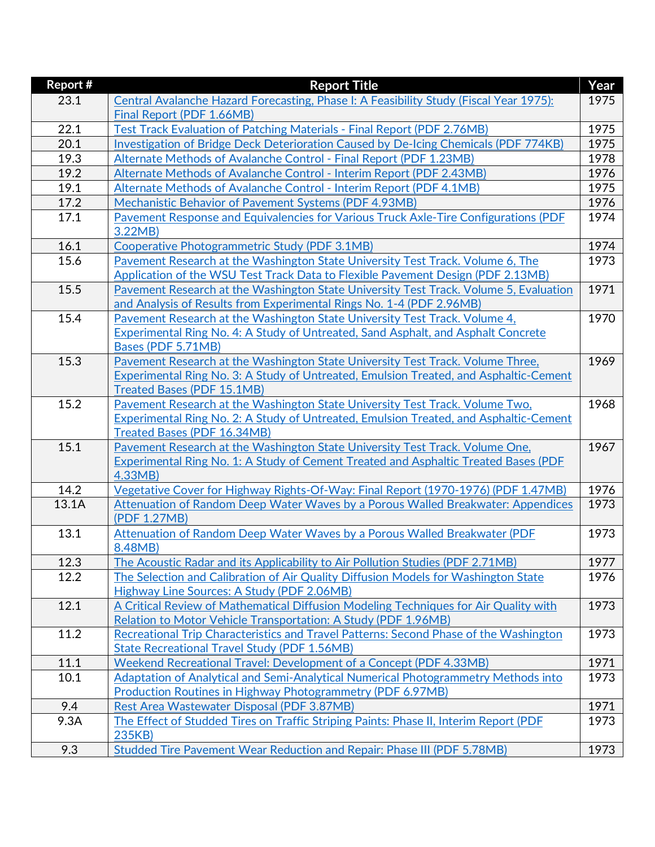| <b>Report#</b> | <b>Report Title</b>                                                                                                | Year |
|----------------|--------------------------------------------------------------------------------------------------------------------|------|
| 23.1           | Central Avalanche Hazard Forecasting, Phase I: A Feasibility Study (Fiscal Year 1975):                             | 1975 |
|                | Final Report (PDF 1.66MB)                                                                                          |      |
| 22.1           | Test Track Evaluation of Patching Materials - Final Report (PDF 2.76MB)                                            | 1975 |
| 20.1           | Investigation of Bridge Deck Deterioration Caused by De-Icing Chemicals (PDF 774KB)                                | 1975 |
| 19.3           | Alternate Methods of Avalanche Control - Final Report (PDF 1.23MB)                                                 | 1978 |
| 19.2           | Alternate Methods of Avalanche Control - Interim Report (PDF 2.43MB)                                               | 1976 |
| 19.1           | Alternate Methods of Avalanche Control - Interim Report (PDF 4.1MB)                                                | 1975 |
| 17.2           | Mechanistic Behavior of Pavement Systems (PDF 4.93MB)                                                              | 1976 |
| 17.1           | Pavement Response and Equivalencies for Various Truck Axle-Tire Configurations (PDF<br>3.22MB)                     | 1974 |
| 16.1           | Cooperative Photogrammetric Study (PDF 3.1MB)                                                                      | 1974 |
| 15.6           | Pavement Research at the Washington State University Test Track. Volume 6, The                                     | 1973 |
|                | Application of the WSU Test Track Data to Flexible Pavement Design (PDF 2.13MB)                                    |      |
| 15.5           | Pavement Research at the Washington State University Test Track. Volume 5, Evaluation                              | 1971 |
|                | and Analysis of Results from Experimental Rings No. 1-4 (PDF 2.96MB)                                               |      |
| 15.4           | Pavement Research at the Washington State University Test Track. Volume 4,                                         | 1970 |
|                | Experimental Ring No. 4: A Study of Untreated, Sand Asphalt, and Asphalt Concrete                                  |      |
|                | Bases (PDF 5.71MB)                                                                                                 |      |
| 15.3           | Pavement Research at the Washington State University Test Track. Volume Three,                                     | 1969 |
|                | Experimental Ring No. 3: A Study of Untreated, Emulsion Treated, and Asphaltic-Cement                              |      |
|                | <b>Treated Bases (PDF 15.1MB)</b>                                                                                  |      |
| 15.2           | Pavement Research at the Washington State University Test Track. Volume Two,                                       | 1968 |
|                | <b>Experimental Ring No. 2: A Study of Untreated, Emulsion Treated, and Asphaltic-Cement</b>                       |      |
| 15.1           | <b>Treated Bases (PDF 16.34MB)</b><br>Pavement Research at the Washington State University Test Track. Volume One, | 1967 |
|                | Experimental Ring No. 1: A Study of Cement Treated and Asphaltic Treated Bases (PDF                                |      |
|                | 4.33MB)                                                                                                            |      |
| 14.2           | Vegetative Cover for Highway Rights-Of-Way: Final Report (1970-1976) (PDF 1.47MB)                                  | 1976 |
| 13.1A          | Attenuation of Random Deep Water Waves by a Porous Walled Breakwater: Appendices                                   | 1973 |
|                | (PDF 1.27MB)                                                                                                       |      |
| 13.1           | Attenuation of Random Deep Water Waves by a Porous Walled Breakwater (PDF                                          | 1973 |
|                | 8.48MB)                                                                                                            |      |
| 12.3           | The Acoustic Radar and its Applicability to Air Pollution Studies (PDF 2.71MB)                                     | 1977 |
| 12.2           | The Selection and Calibration of Air Quality Diffusion Models for Washington State                                 | 1976 |
|                | Highway Line Sources: A Study (PDF 2.06MB)                                                                         |      |
| 12.1           | A Critical Review of Mathematical Diffusion Modeling Techniques for Air Quality with                               | 1973 |
|                | Relation to Motor Vehicle Transportation: A Study (PDF 1.96MB)                                                     |      |
| 11.2           | Recreational Trip Characteristics and Travel Patterns: Second Phase of the Washington                              | 1973 |
|                | <b>State Recreational Travel Study (PDF 1.56MB)</b>                                                                |      |
| 11.1           | <b>Weekend Recreational Travel: Development of a Concept (PDF 4.33MB)</b>                                          | 1971 |
| 10.1           | Adaptation of Analytical and Semi-Analytical Numerical Photogrammetry Methods into                                 | 1973 |
|                | <b>Production Routines in Highway Photogrammetry (PDF 6.97MB)</b>                                                  |      |
| 9.4            | Rest Area Wastewater Disposal (PDF 3.87MB)                                                                         | 1971 |
| 9.3A           | The Effect of Studded Tires on Traffic Striping Paints: Phase II, Interim Report (PDF)                             | 1973 |
| 9.3            | 235KB)<br>Studded Tire Pavement Wear Reduction and Repair: Phase III (PDF 5.78MB)                                  | 1973 |
|                |                                                                                                                    |      |